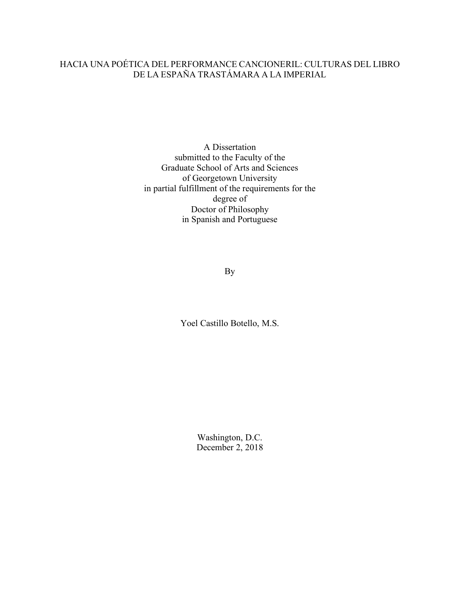# HACIA UNA POÉTICA DEL PERFORMANCE CANCIONERIL: CULTURAS DEL LIBRO DE LA ESPAÑA TRASTÁMARA A LA IMPERIAL

A Dissertation submitted to the Faculty of the Graduate School of Arts and Sciences of Georgetown University in partial fulfillment of the requirements for the degree of Doctor of Philosophy in Spanish and Portuguese

By

Yoel Castillo Botello, M.S.

Washington, D.C. December 2, 2018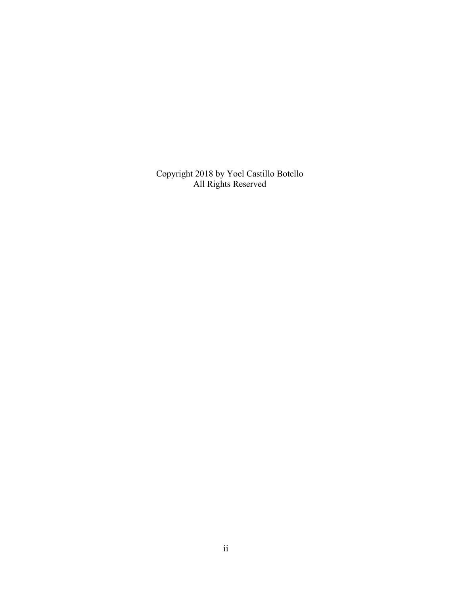Copyright 2018 by Yoel Castillo Botello All Rights Reserved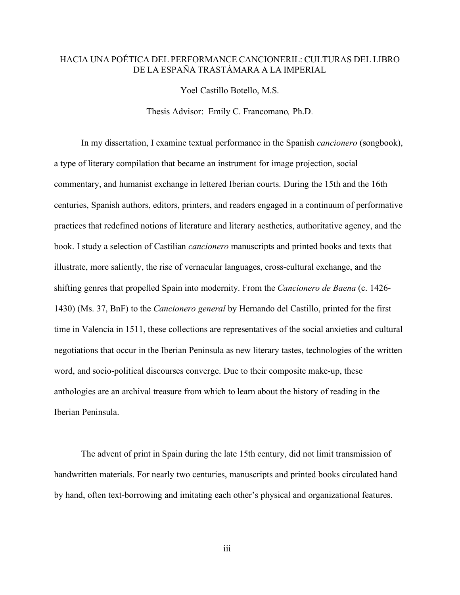## HACIA UNA POÉTICA DEL PERFORMANCE CANCIONERIL: CULTURAS DEL LIBRO DE LA ESPAÑA TRASTÁMARA A LA IMPERIAL

Yoel Castillo Botello, M.S.

Thesis Advisor:Emily C. Francomano*,* Ph.D.

In my dissertation, I examine textual performance in the Spanish *cancionero* (songbook), a type of literary compilation that became an instrument for image projection, social commentary, and humanist exchange in lettered Iberian courts. During the 15th and the 16th centuries, Spanish authors, editors, printers, and readers engaged in a continuum of performative practices that redefined notions of literature and literary aesthetics, authoritative agency, and the book. I study a selection of Castilian *cancionero* manuscripts and printed books and texts that illustrate, more saliently, the rise of vernacular languages, cross-cultural exchange, and the shifting genres that propelled Spain into modernity. From the *Cancionero de Baena* (c. 1426- 1430) (Ms. 37, BnF) to the *Cancionero general* by Hernando del Castillo, printed for the first time in Valencia in 1511, these collections are representatives of the social anxieties and cultural negotiations that occur in the Iberian Peninsula as new literary tastes, technologies of the written word, and socio-political discourses converge. Due to their composite make-up, these anthologies are an archival treasure from which to learn about the history of reading in the Iberian Peninsula.

The advent of print in Spain during the late 15th century, did not limit transmission of handwritten materials. For nearly two centuries, manuscripts and printed books circulated hand by hand, often text-borrowing and imitating each other's physical and organizational features.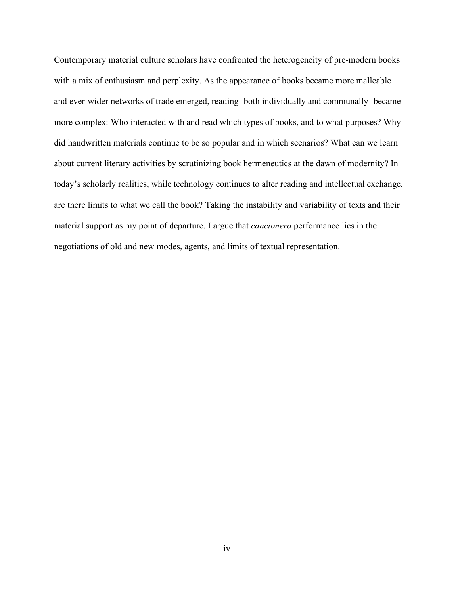Contemporary material culture scholars have confronted the heterogeneity of pre-modern books with a mix of enthusiasm and perplexity. As the appearance of books became more malleable and ever-wider networks of trade emerged, reading -both individually and communally- became more complex: Who interacted with and read which types of books, and to what purposes? Why did handwritten materials continue to be so popular and in which scenarios? What can we learn about current literary activities by scrutinizing book hermeneutics at the dawn of modernity? In today's scholarly realities, while technology continues to alter reading and intellectual exchange, are there limits to what we call the book? Taking the instability and variability of texts and their material support as my point of departure. I argue that *cancionero* performance lies in the negotiations of old and new modes, agents, and limits of textual representation.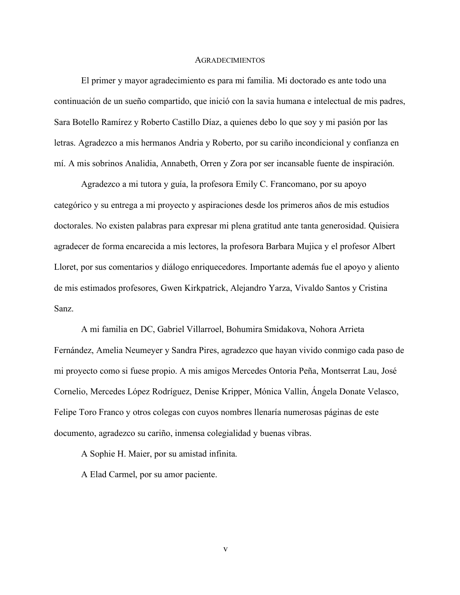#### AGRADECIMIENTOS

El primer y mayor agradecimiento es para mi familia. Mi doctorado es ante todo una continuación de un sueño compartido, que inició con la savia humana e intelectual de mis padres, Sara Botello Ramírez y Roberto Castillo Díaz, a quienes debo lo que soy y mi pasión por las letras. Agradezco a mis hermanos Andria y Roberto, por su cariño incondicional y confianza en mí. A mis sobrinos Analidia, Annabeth, Orren y Zora por ser incansable fuente de inspiración.

Agradezco a mi tutora y guía, la profesora Emily C. Francomano, por su apoyo categórico y su entrega a mi proyecto y aspiraciones desde los primeros años de mis estudios doctorales. No existen palabras para expresar mi plena gratitud ante tanta generosidad. Quisiera agradecer de forma encarecida a mis lectores, la profesora Barbara Mujica y el profesor Albert Lloret, por sus comentarios y diálogo enriquecedores. Importante además fue el apoyo y aliento de mis estimados profesores, Gwen Kirkpatrick, Alejandro Yarza, Vivaldo Santos y Cristina Sanz.

A mi familia en DC, Gabriel Villarroel, Bohumira Smidakova, Nohora Arrieta Fernández, Amelia Neumeyer y Sandra Pires, agradezco que hayan vivido conmigo cada paso de mi proyecto como si fuese propio. A mis amigos Mercedes Ontoria Peña, Montserrat Lau, José Cornelio, Mercedes López Rodríguez, Denise Kripper, Mónica Vallin, Ángela Donate Velasco, Felipe Toro Franco y otros colegas con cuyos nombres llenaría numerosas páginas de este documento, agradezco su cariño, inmensa colegialidad y buenas vibras.

A Sophie H. Maier, por su amistad infinita.

A Elad Carmel, por su amor paciente.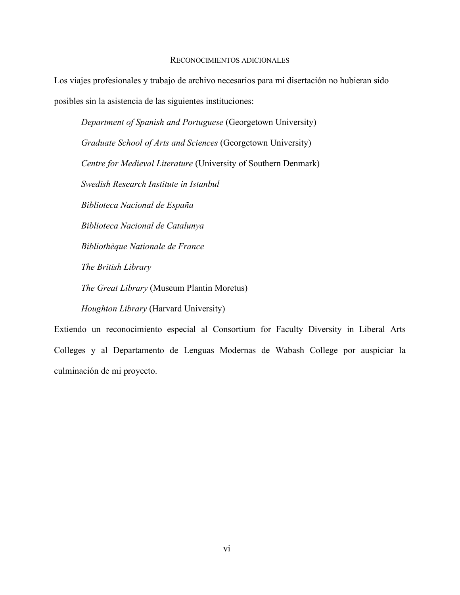#### RECONOCIMIENTOS ADICIONALES

Los viajes profesionales y trabajo de archivo necesarios para mi disertación no hubieran sido posibles sin la asistencia de las siguientes instituciones:

*Department of Spanish and Portuguese* (Georgetown University) *Graduate School of Arts and Sciences* (Georgetown University) *Centre for Medieval Literature* (University of Southern Denmark) *Swedish Research Institute in Istanbul Biblioteca Nacional de España Biblioteca Nacional de Catalunya Bibliothèque Nationale de France The British Library The Great Library* (Museum Plantin Moretus) *Houghton Library* (Harvard University)

Extiendo un reconocimiento especial al Consortium for Faculty Diversity in Liberal Arts Colleges y al Departamento de Lenguas Modernas de Wabash College por auspiciar la culminación de mi proyecto.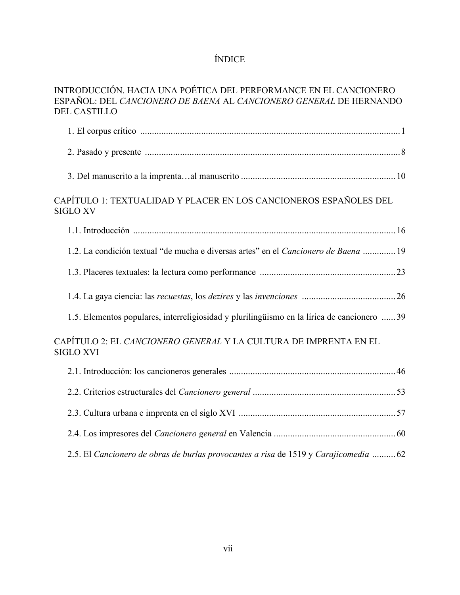# ÍNDICE

| INTRODUCCIÓN. HACIA UNA POÉTICA DEL PERFORMANCE EN EL CANCIONERO   |  |
|--------------------------------------------------------------------|--|
| ESPAÑOL: DEL CANCIONERO DE BAENA AL CANCIONERO GENERAL DE HERNANDO |  |
| <b>DEL CASTILLO</b>                                                |  |

| CAPÍTULO 1: TEXTUALIDAD Y PLACER EN LOS CANCIONEROS ESPAÑOLES DEL<br><b>SIGLO XV</b>        |  |
|---------------------------------------------------------------------------------------------|--|
|                                                                                             |  |
| 1.2. La condición textual "de mucha e diversas artes" en el Cancionero de Baena  19         |  |
|                                                                                             |  |
|                                                                                             |  |
| 1.5. Elementos populares, interreligiosidad y plurilingüismo en la lírica de cancionero  39 |  |
| CAPÍTULO 2: EL <i>CANCIONERO GENERAL</i> Y LA CULTURA DE IMPRENTA EN EL<br><b>SIGLO XVI</b> |  |
|                                                                                             |  |
|                                                                                             |  |
|                                                                                             |  |
|                                                                                             |  |
| 2.5. El Cancionero de obras de burlas provocantes a risa de 1519 y Carajicomedia  62        |  |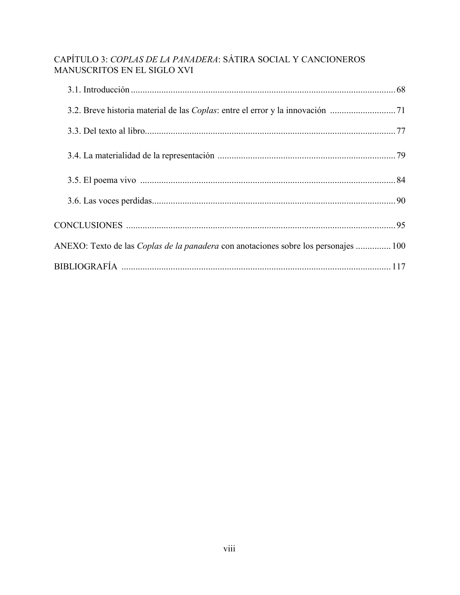# CAPÍTULO 3: *COPLAS DE LA PANADERA*: SÁTIRA SOCIAL Y CANCIONEROS MANUSCRITOS EN EL SIGLO XVI

| ANEXO: Texto de las Coplas de la panadera con anotaciones sobre los personajes  100 |  |
|-------------------------------------------------------------------------------------|--|
|                                                                                     |  |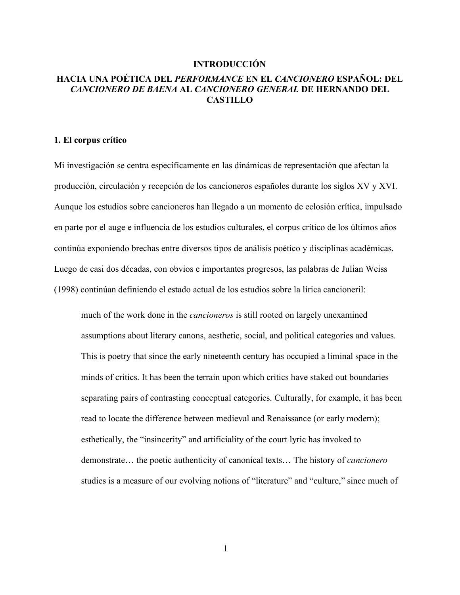## **INTRODUCCIÓN**

# **HACIA UNA POÉTICA DEL** *PERFORMANCE* **EN EL** *CANCIONERO* **ESPAÑOL: DEL**  *CANCIONERO DE BAENA* **AL** *CANCIONERO GENERAL* **DE HERNANDO DEL CASTILLO**

### **1. El corpus crítico**

Mi investigación se centra específicamente en las dinámicas de representación que afectan la producción, circulación y recepción de los cancioneros españoles durante los siglos XV y XVI. Aunque los estudios sobre cancioneros han llegado a un momento de eclosión crítica, impulsado en parte por el auge e influencia de los estudios culturales, el corpus crítico de los últimos años continúa exponiendo brechas entre diversos tipos de análisis poético y disciplinas académicas. Luego de casi dos décadas, con obvios e importantes progresos, las palabras de Julian Weiss (1998) continúan definiendo el estado actual de los estudios sobre la lírica cancioneril:

much of the work done in the *cancioneros* is still rooted on largely unexamined assumptions about literary canons, aesthetic, social, and political categories and values. This is poetry that since the early nineteenth century has occupied a liminal space in the minds of critics. It has been the terrain upon which critics have staked out boundaries separating pairs of contrasting conceptual categories. Culturally, for example, it has been read to locate the difference between medieval and Renaissance (or early modern); esthetically, the "insincerity" and artificiality of the court lyric has invoked to demonstrate… the poetic authenticity of canonical texts… The history of *cancionero* studies is a measure of our evolving notions of "literature" and "culture," since much of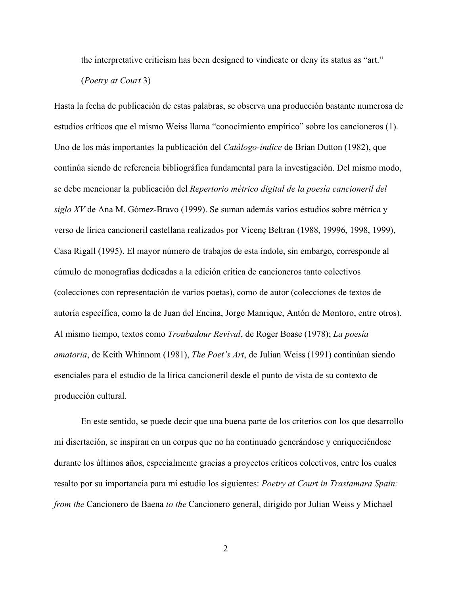the interpretative criticism has been designed to vindicate or deny its status as "art."

(*Poetry at Court* 3)

Hasta la fecha de publicación de estas palabras, se observa una producción bastante numerosa de estudios críticos que el mismo Weiss llama "conocimiento empírico" sobre los cancioneros (1). Uno de los más importantes la publicación del *Catálogo-índice* de Brian Dutton (1982), que continúa siendo de referencia bibliográfica fundamental para la investigación. Del mismo modo, se debe mencionar la publicación del *Repertorio métrico digital de la poesía cancioneril del siglo XV* de Ana M. Gómez-Bravo (1999). Se suman además varios estudios sobre métrica y verso de lírica cancioneril castellana realizados por Vicenç Beltran (1988, 19996, 1998, 1999), Casa Rigall (1995). El mayor número de trabajos de esta índole, sin embargo, corresponde al cúmulo de monografías dedicadas a la edición crítica de cancioneros tanto colectivos (colecciones con representación de varios poetas), como de autor (colecciones de textos de autoría específica, como la de Juan del Encina, Jorge Manrique, Antón de Montoro, entre otros). Al mismo tiempo, textos como *Troubadour Revival*, de Roger Boase (1978); *La poesía amatoria*, de Keith Whinnom (1981), *The Poet's Art*, de Julian Weiss (1991) continúan siendo esenciales para el estudio de la lírica cancioneril desde el punto de vista de su contexto de producción cultural.

En este sentido, se puede decir que una buena parte de los criterios con los que desarrollo mi disertación, se inspiran en un corpus que no ha continuado generándose y enriqueciéndose durante los últimos años, especialmente gracias a proyectos críticos colectivos, entre los cuales resalto por su importancia para mi estudio los siguientes: *Poetry at Court in Trastamara Spain: from the* Cancionero de Baena *to the* Cancionero general, dirigido por Julian Weiss y Michael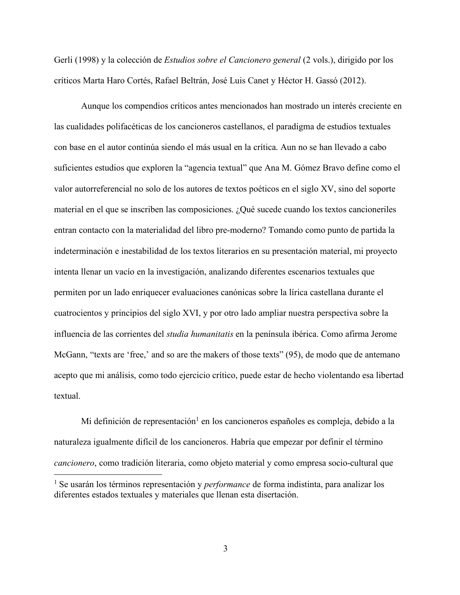Gerli (1998) y la colección de *Estudios sobre el Cancionero general* (2 vols.), dirigido por los críticos Marta Haro Cortés, Rafael Beltrán, José Luis Canet y Héctor H. Gassó (2012).

Aunque los compendios críticos antes mencionados han mostrado un interés creciente en las cualidades polifacéticas de los cancioneros castellanos, el paradigma de estudios textuales con base en el autor continúa siendo el más usual en la crítica. Aun no se han llevado a cabo suficientes estudios que exploren la "agencia textual" que Ana M. Gómez Bravo define como el valor autorreferencial no solo de los autores de textos poéticos en el siglo XV, sino del soporte material en el que se inscriben las composiciones. ¿Qué sucede cuando los textos cancioneriles entran contacto con la materialidad del libro pre-moderno? Tomando como punto de partida la indeterminación e inestabilidad de los textos literarios en su presentación material, mi proyecto intenta llenar un vacío en la investigación, analizando diferentes escenarios textuales que permiten por un lado enriquecer evaluaciones canónicas sobre la lírica castellana durante el cuatrocientos y principios del siglo XVI, y por otro lado ampliar nuestra perspectiva sobre la influencia de las corrientes del *studia humanitatis* en la península ibérica. Como afirma Jerome McGann, "texts are 'free,' and so are the makers of those texts" (95), de modo que de antemano acepto que mi análisis, como todo ejercicio crítico, puede estar de hecho violentando esa libertad textual.

Mi definición de representación<sup>1</sup> en los cancioneros españoles es compleja, debido a la naturaleza igualmente difícil de los cancioneros. Habría que empezar por definir el término *cancionero*, como tradición literaria, como objeto material y como empresa socio-cultural que

 <sup>1</sup> Se usarán los términos representación y *performance* de forma indistinta, para analizar los diferentes estados textuales y materiales que llenan esta disertación.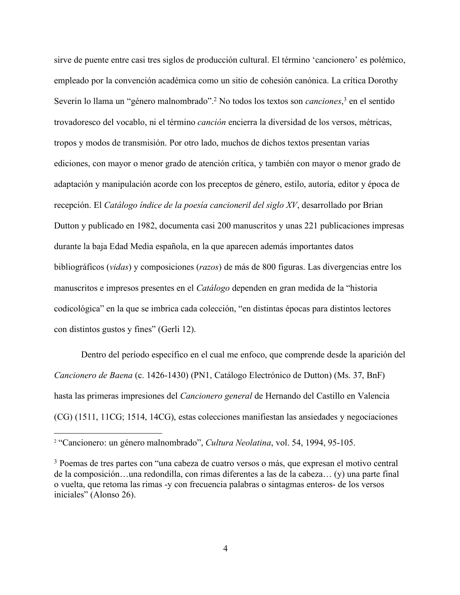sirve de puente entre casi tres siglos de producción cultural. El término 'cancionero' es polémico, empleado por la convención académica como un sitio de cohesión canónica. La crítica Dorothy Severin lo llama un "género malnombrado".2 No todos los textos son *canciones*, <sup>3</sup> en el sentido trovadoresco del vocablo, ni el término *canción* encierra la diversidad de los versos, métricas, tropos y modos de transmisión. Por otro lado, muchos de dichos textos presentan varias ediciones, con mayor o menor grado de atención crítica, y también con mayor o menor grado de adaptación y manipulación acorde con los preceptos de género, estilo, autoría, editor y época de recepción. El *Catálogo índice de la poesía cancioneril del siglo XV*, desarrollado por Brian Dutton y publicado en 1982, documenta casi 200 manuscritos y unas 221 publicaciones impresas durante la baja Edad Media española, en la que aparecen además importantes datos bibliográficos (*vidas*) y composiciones (*razos*) de más de 800 figuras. Las divergencias entre los manuscritos e impresos presentes en el *Catálogo* dependen en gran medida de la "historia codicológica" en la que se imbrica cada colección, "en distintas épocas para distintos lectores con distintos gustos y fines" (Gerli 12).

Dentro del período específico en el cual me enfoco, que comprende desde la aparición del *Cancionero de Baena* (c. 1426-1430) (PN1, Catálogo Electrónico de Dutton) (Ms. 37, BnF) hasta las primeras impresiones del *Cancionero general* de Hernando del Castillo en Valencia (CG) (1511, 11CG; 1514, 14CG), estas colecciones manifiestan las ansiedades y negociaciones

 <sup>2</sup> "Cancionero: un género malnombrado", *Cultura Neolatina*, vol. 54, 1994, 95-105.

<sup>3</sup> Poemas de tres partes con "una cabeza de cuatro versos o más, que expresan el motivo central de la composición…una redondilla, con rimas diferentes a las de la cabeza… (y) una parte final o vuelta, que retoma las rimas -y con frecuencia palabras o sintagmas enteros- de los versos iniciales" (Alonso 26).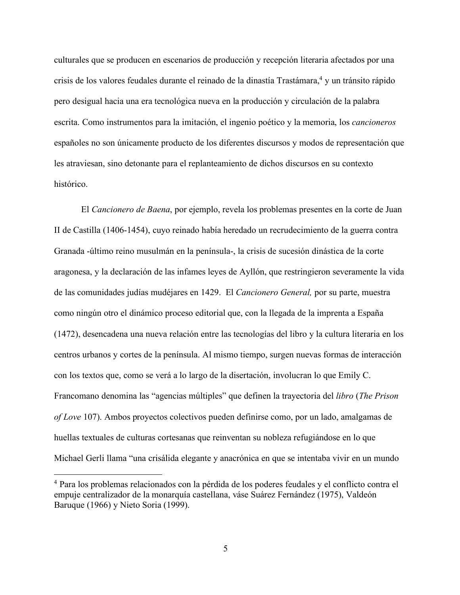culturales que se producen en escenarios de producción y recepción literaria afectados por una crisis de los valores feudales durante el reinado de la dinastía Trastámara,<sup>4</sup> y un tránsito rápido pero desigual hacia una era tecnológica nueva en la producción y circulación de la palabra escrita. Como instrumentos para la imitación, el ingenio poético y la memoria, los *cancioneros* españoles no son únicamente producto de los diferentes discursos y modos de representación que les atraviesan, sino detonante para el replanteamiento de dichos discursos en su contexto histórico.

El *Cancionero de Baena*, por ejemplo, revela los problemas presentes en la corte de Juan II de Castilla (1406-1454), cuyo reinado había heredado un recrudecimiento de la guerra contra Granada -último reino musulmán en la península-, la crisis de sucesión dinástica de la corte aragonesa, y la declaración de las infames leyes de Ayllón, que restringieron severamente la vida de las comunidades judías mudéjares en 1429. El *Cancionero General,* por su parte, muestra como ningún otro el dinámico proceso editorial que, con la llegada de la imprenta a España (1472), desencadena una nueva relación entre las tecnologías del libro y la cultura literaria en los centros urbanos y cortes de la península. Al mismo tiempo, surgen nuevas formas de interacción con los textos que, como se verá a lo largo de la disertación, involucran lo que Emily C. Francomano denomina las "agencias múltiples" que definen la trayectoria del *libro* (*The Prison of Love* 107). Ambos proyectos colectivos pueden definirse como, por un lado, amalgamas de huellas textuales de culturas cortesanas que reinventan su nobleza refugiándose en lo que Michael Gerli llama "una crisálida elegante y anacrónica en que se intentaba vivir en un mundo

 <sup>4</sup> Para los problemas relacionados con la pérdida de los poderes feudales y el conflicto contra el empuje centralizador de la monarquía castellana, váse Suárez Fernández (1975), Valdeón Baruque (1966) y Nieto Soria (1999).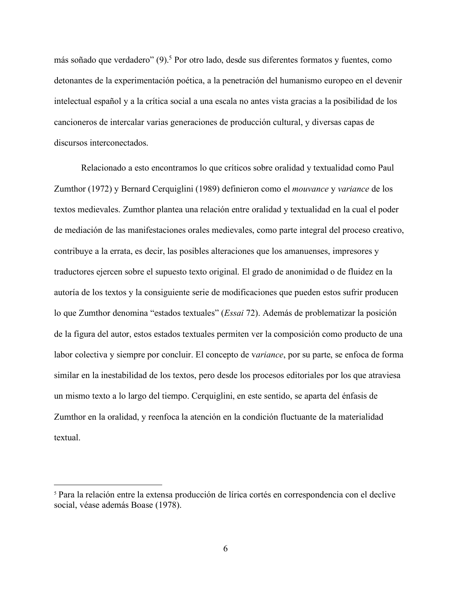más soñado que verdadero" (9).5 Por otro lado, desde sus diferentes formatos y fuentes, como detonantes de la experimentación poética, a la penetración del humanismo europeo en el devenir intelectual español y a la crítica social a una escala no antes vista gracias a la posibilidad de los cancioneros de intercalar varias generaciones de producción cultural, y diversas capas de discursos interconectados.

Relacionado a esto encontramos lo que críticos sobre oralidad y textualidad como Paul Zumthor (1972) y Bernard Cerquiglini (1989) definieron como el *mouvance* y *variance* de los textos medievales. Zumthor plantea una relación entre oralidad y textualidad en la cual el poder de mediación de las manifestaciones orales medievales, como parte integral del proceso creativo, contribuye a la errata, es decir, las posibles alteraciones que los amanuenses, impresores y traductores ejercen sobre el supuesto texto original. El grado de anonimidad o de fluidez en la autoría de los textos y la consiguiente serie de modificaciones que pueden estos sufrir producen lo que Zumthor denomina "estados textuales" (*Essai* 72). Además de problematizar la posición de la figura del autor, estos estados textuales permiten ver la composición como producto de una labor colectiva y siempre por concluir. El concepto de v*ariance*, por su parte, se enfoca de forma similar en la inestabilidad de los textos, pero desde los procesos editoriales por los que atraviesa un mismo texto a lo largo del tiempo. Cerquiglini, en este sentido, se aparta del énfasis de Zumthor en la oralidad, y reenfoca la atención en la condición fluctuante de la materialidad textual.

 <sup>5</sup> Para la relación entre la extensa producción de lírica cortés en correspondencia con el declive social, véase además Boase (1978).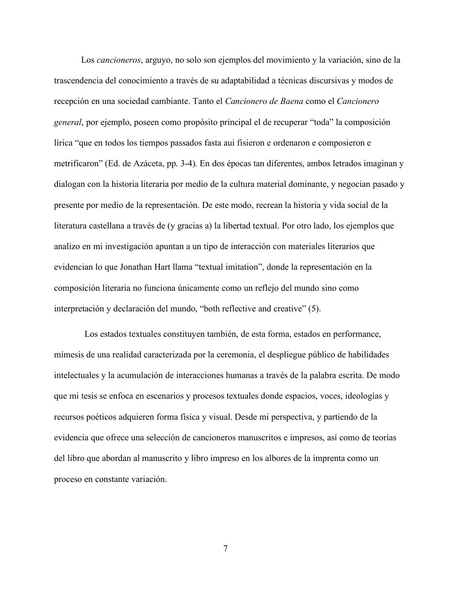Los *cancioneros*, arguyo, no solo son ejemplos del movimiento y la variación, sino de la trascendencia del conocimiento a través de su adaptabilidad a técnicas discursivas y modos de recepción en una sociedad cambiante. Tanto el *Cancionero de Baena* como el *Cancionero general*, por ejemplo, poseen como propósito principal el de recuperar "toda" la composición lírica "que en todos los tiempos passados fasta aui fisieron e ordenaron e composieron e metrificaron" (Ed. de Azáceta, pp. 3-4). En dos épocas tan diferentes, ambos letrados imaginan y dialogan con la historia literaria por medio de la cultura material dominante, y negocian pasado y presente por medio de la representación. De este modo, recrean la historia y vida social de la literatura castellana a través de (y gracias a) la libertad textual. Por otro lado, los ejemplos que analizo en mi investigación apuntan a un tipo de interacción con materiales literarios que evidencian lo que Jonathan Hart llama "textual imitation", donde la representación en la composición literaria no funciona únicamente como un reflejo del mundo sino como interpretación y declaración del mundo, "both reflective and creative" (5).

Los estados textuales constituyen también, de esta forma, estados en performance, mímesis de una realidad caracterizada por la ceremonia, el despliegue público de habilidades intelectuales y la acumulación de interacciones humanas a través de la palabra escrita. De modo que mi tesis se enfoca en escenarios y procesos textuales donde espacios, voces, ideologías y recursos poéticos adquieren forma física y visual. Desde mi perspectiva, y partiendo de la evidencia que ofrece una selección de cancioneros manuscritos e impresos, así como de teorías del libro que abordan al manuscrito y libro impreso en los albores de la imprenta como un proceso en constante variación.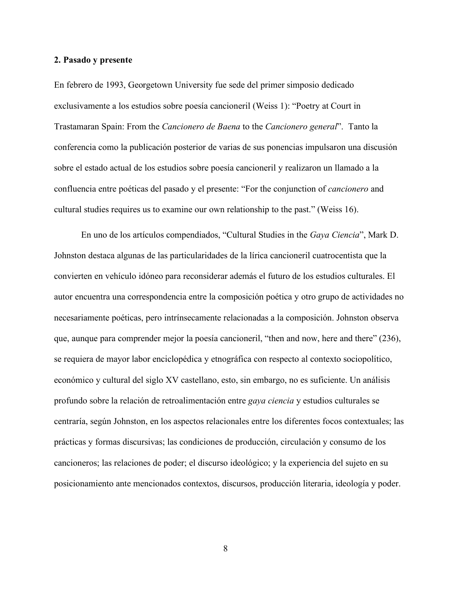#### **2. Pasado y presente**

En febrero de 1993, Georgetown University fue sede del primer simposio dedicado exclusivamente a los estudios sobre poesía cancioneril (Weiss 1): "Poetry at Court in Trastamaran Spain: From the *Cancionero de Baena* to the *Cancionero general*". Tanto la conferencia como la publicación posterior de varias de sus ponencias impulsaron una discusión sobre el estado actual de los estudios sobre poesía cancioneril y realizaron un llamado a la confluencia entre poéticas del pasado y el presente: "For the conjunction of *cancionero* and cultural studies requires us to examine our own relationship to the past." (Weiss 16).

En uno de los artículos compendiados, "Cultural Studies in the *Gaya Ciencia*", Mark D. Johnston destaca algunas de las particularidades de la lírica cancioneril cuatrocentista que la convierten en vehículo idóneo para reconsiderar además el futuro de los estudios culturales. El autor encuentra una correspondencia entre la composición poética y otro grupo de actividades no necesariamente poéticas, pero intrínsecamente relacionadas a la composición. Johnston observa que, aunque para comprender mejor la poesía cancioneril, "then and now, here and there" (236), se requiera de mayor labor enciclopédica y etnográfica con respecto al contexto sociopolítico, económico y cultural del siglo XV castellano, esto, sin embargo, no es suficiente. Un análisis profundo sobre la relación de retroalimentación entre *gaya ciencia* y estudios culturales se centraría, según Johnston, en los aspectos relacionales entre los diferentes focos contextuales; las prácticas y formas discursivas; las condiciones de producción, circulación y consumo de los cancioneros; las relaciones de poder; el discurso ideológico; y la experiencia del sujeto en su posicionamiento ante mencionados contextos, discursos, producción literaria, ideología y poder.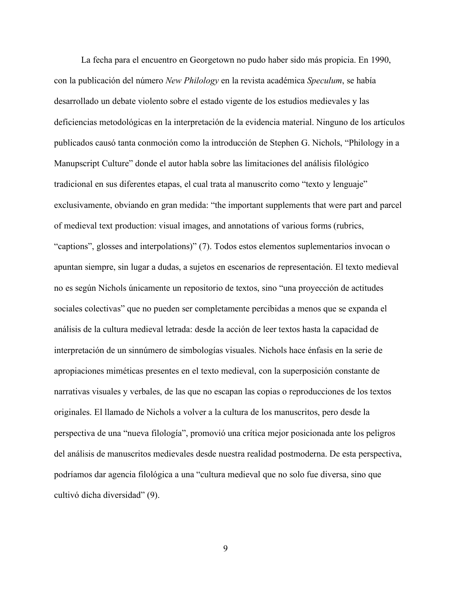La fecha para el encuentro en Georgetown no pudo haber sido más propicia. En 1990, con la publicación del número *New Philology* en la revista académica *Speculum*, se había desarrollado un debate violento sobre el estado vigente de los estudios medievales y las deficiencias metodológicas en la interpretación de la evidencia material. Ninguno de los artículos publicados causó tanta conmoción como la introducción de Stephen G. Nichols, "Philology in a Manupscript Culture" donde el autor habla sobre las limitaciones del análisis filológico tradicional en sus diferentes etapas, el cual trata al manuscrito como "texto y lenguaje" exclusivamente, obviando en gran medida: "the important supplements that were part and parcel of medieval text production: visual images, and annotations of various forms (rubrics, "captions", glosses and interpolations)" (7). Todos estos elementos suplementarios invocan o apuntan siempre, sin lugar a dudas, a sujetos en escenarios de representación. El texto medieval no es según Nichols únicamente un repositorio de textos, sino "una proyección de actitudes sociales colectivas" que no pueden ser completamente percibidas a menos que se expanda el análisis de la cultura medieval letrada: desde la acción de leer textos hasta la capacidad de interpretación de un sinnúmero de simbologías visuales. Nichols hace énfasis en la serie de apropiaciones miméticas presentes en el texto medieval, con la superposición constante de narrativas visuales y verbales, de las que no escapan las copias o reproducciones de los textos originales. El llamado de Nichols a volver a la cultura de los manuscritos, pero desde la perspectiva de una "nueva filología", promovió una crítica mejor posicionada ante los peligros del análisis de manuscritos medievales desde nuestra realidad postmoderna. De esta perspectiva, podríamos dar agencia filológica a una "cultura medieval que no solo fue diversa, sino que cultivó dicha diversidad" (9).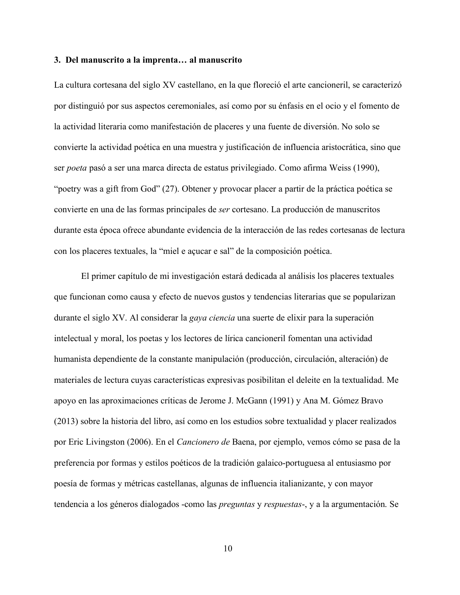#### **3. Del manuscrito a la imprenta… al manuscrito**

La cultura cortesana del siglo XV castellano, en la que floreció el arte cancioneril, se caracterizó por distinguió por sus aspectos ceremoniales, así como por su énfasis en el ocio y el fomento de la actividad literaria como manifestación de placeres y una fuente de diversión. No solo se convierte la actividad poética en una muestra y justificación de influencia aristocrática, sino que ser *poeta* pasó a ser una marca directa de estatus privilegiado. Como afirma Weiss (1990), "poetry was a gift from God" (27). Obtener y provocar placer a partir de la práctica poética se convierte en una de las formas principales de *ser* cortesano. La producción de manuscritos durante esta época ofrece abundante evidencia de la interacción de las redes cortesanas de lectura con los placeres textuales, la "miel e açucar e sal" de la composición poética.

El primer capítulo de mi investigación estará dedicada al análisis los placeres textuales que funcionan como causa y efecto de nuevos gustos y tendencias literarias que se popularizan durante el siglo XV. Al considerar la *gaya ciencia* una suerte de elixir para la superación intelectual y moral, los poetas y los lectores de lírica cancioneril fomentan una actividad humanista dependiente de la constante manipulación (producción, circulación, alteración) de materiales de lectura cuyas características expresivas posibilitan el deleite en la textualidad. Me apoyo en las aproximaciones críticas de Jerome J. McGann (1991) y Ana M. Gómez Bravo (2013) sobre la historia del libro, así como en los estudios sobre textualidad y placer realizados por Eric Livingston (2006). En el *Cancionero de* Baena, por ejemplo, vemos cómo se pasa de la preferencia por formas y estilos poéticos de la tradición galaico-portuguesa al entusiasmo por poesía de formas y métricas castellanas, algunas de influencia italianizante, y con mayor tendencia a los géneros dialogados -como las *preguntas* y *respuestas*-, y a la argumentación. Se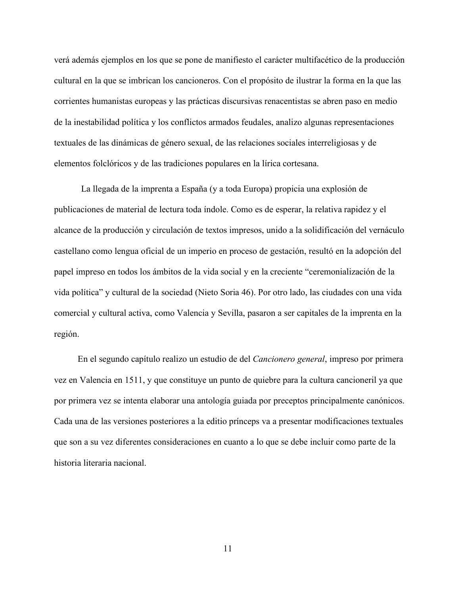verá además ejemplos en los que se pone de manifiesto el carácter multifacético de la producción cultural en la que se imbrican los cancioneros. Con el propósito de ilustrar la forma en la que las corrientes humanistas europeas y las prácticas discursivas renacentistas se abren paso en medio de la inestabilidad política y los conflictos armados feudales, analizo algunas representaciones textuales de las dinámicas de género sexual, de las relaciones sociales interreligiosas y de elementos folclóricos y de las tradiciones populares en la lírica cortesana.

La llegada de la imprenta a España (y a toda Europa) propicia una explosión de publicaciones de material de lectura toda índole. Como es de esperar, la relativa rapidez y el alcance de la producción y circulación de textos impresos, unido a la solidificación del vernáculo castellano como lengua oficial de un imperio en proceso de gestación, resultó en la adopción del papel impreso en todos los ámbitos de la vida social y en la creciente "ceremonialización de la vida política" y cultural de la sociedad (Nieto Soria 46). Por otro lado, las ciudades con una vida comercial y cultural activa, como Valencia y Sevilla, pasaron a ser capitales de la imprenta en la región.

En el segundo capítulo realizo un estudio de del *Cancionero general*, impreso por primera vez en Valencia en 1511, y que constituye un punto de quiebre para la cultura cancioneril ya que por primera vez se intenta elaborar una antología guiada por preceptos principalmente canónicos. Cada una de las versiones posteriores a la editio prínceps va a presentar modificaciones textuales que son a su vez diferentes consideraciones en cuanto a lo que se debe incluir como parte de la historia literaria nacional.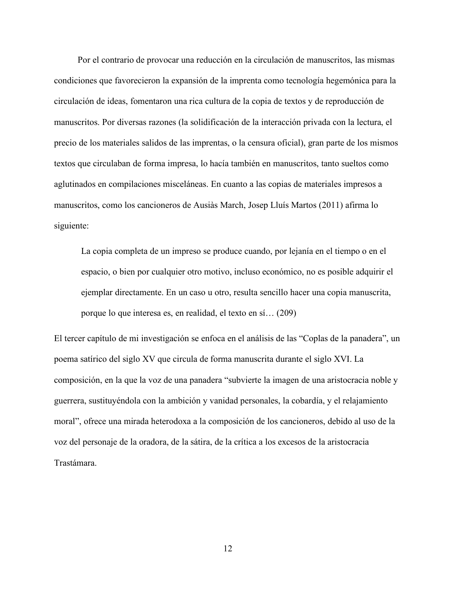Por el contrario de provocar una reducción en la circulación de manuscritos, las mismas condiciones que favorecieron la expansión de la imprenta como tecnología hegemónica para la circulación de ideas, fomentaron una rica cultura de la copia de textos y de reproducción de manuscritos. Por diversas razones (la solidificación de la interacción privada con la lectura, el precio de los materiales salidos de las imprentas, o la censura oficial), gran parte de los mismos textos que circulaban de forma impresa, lo hacía también en manuscritos, tanto sueltos como aglutinados en compilaciones misceláneas. En cuanto a las copias de materiales impresos a manuscritos, como los cancioneros de Ausiàs March, Josep Lluís Martos (2011) afirma lo siguiente:

La copia completa de un impreso se produce cuando, por lejanía en el tiempo o en el espacio, o bien por cualquier otro motivo, incluso económico, no es posible adquirir el ejemplar directamente. En un caso u otro, resulta sencillo hacer una copia manuscrita, porque lo que interesa es, en realidad, el texto en sí… (209)

El tercer capítulo de mi investigación se enfoca en el análisis de las "Coplas de la panadera", un poema satírico del siglo XV que circula de forma manuscrita durante el siglo XVI. La composición, en la que la voz de una panadera "subvierte la imagen de una aristocracia noble y guerrera, sustituyéndola con la ambición y vanidad personales, la cobardía, y el relajamiento moral", ofrece una mirada heterodoxa a la composición de los cancioneros, debido al uso de la voz del personaje de la oradora, de la sátira, de la crítica a los excesos de la aristocracia Trastámara.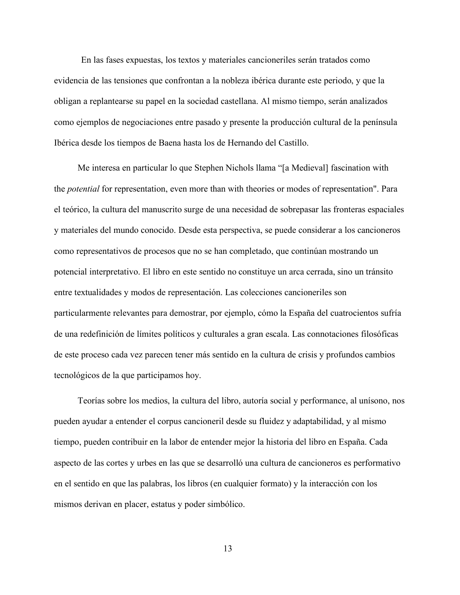En las fases expuestas, los textos y materiales cancioneriles serán tratados como evidencia de las tensiones que confrontan a la nobleza ibérica durante este periodo, y que la obligan a replantearse su papel en la sociedad castellana. Al mismo tiempo, serán analizados como ejemplos de negociaciones entre pasado y presente la producción cultural de la península Ibérica desde los tiempos de Baena hasta los de Hernando del Castillo.

Me interesa en particular lo que Stephen Nichols llama "[a Medieval] fascination with the *potential* for representation, even more than with theories or modes of representation". Para el teórico, la cultura del manuscrito surge de una necesidad de sobrepasar las fronteras espaciales y materiales del mundo conocido. Desde esta perspectiva, se puede considerar a los cancioneros como representativos de procesos que no se han completado, que continúan mostrando un potencial interpretativo. El libro en este sentido no constituye un arca cerrada, sino un tránsito entre textualidades y modos de representación. Las colecciones cancioneriles son particularmente relevantes para demostrar, por ejemplo, cómo la España del cuatrocientos sufría de una redefinición de límites políticos y culturales a gran escala. Las connotaciones filosóficas de este proceso cada vez parecen tener más sentido en la cultura de crisis y profundos cambios tecnológicos de la que participamos hoy.

Teorías sobre los medios, la cultura del libro, autoría social y performance, al unísono, nos pueden ayudar a entender el corpus cancioneril desde su fluidez y adaptabilidad, y al mismo tiempo, pueden contribuir en la labor de entender mejor la historia del libro en España. Cada aspecto de las cortes y urbes en las que se desarrolló una cultura de cancioneros es performativo en el sentido en que las palabras, los libros (en cualquier formato) y la interacción con los mismos derivan en placer, estatus y poder simbólico.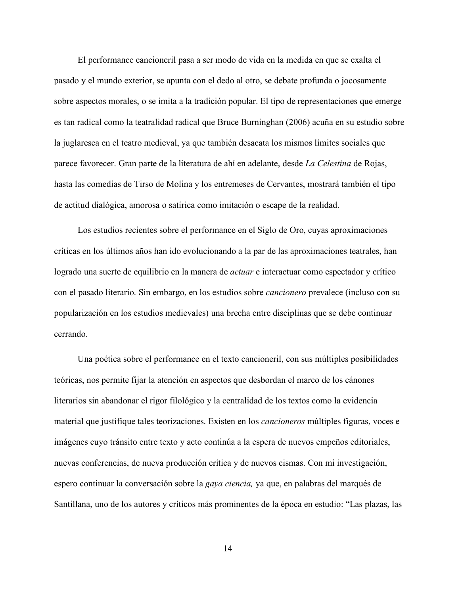El performance cancioneril pasa a ser modo de vida en la medida en que se exalta el pasado y el mundo exterior, se apunta con el dedo al otro, se debate profunda o jocosamente sobre aspectos morales, o se imita a la tradición popular. El tipo de representaciones que emerge es tan radical como la teatralidad radical que Bruce Burninghan (2006) acuña en su estudio sobre la juglaresca en el teatro medieval, ya que también desacata los mismos límites sociales que parece favorecer. Gran parte de la literatura de ahí en adelante, desde *La Celestina* de Rojas, hasta las comedias de Tirso de Molina y los entremeses de Cervantes, mostrará también el tipo de actitud dialógica, amorosa o satírica como imitación o escape de la realidad.

Los estudios recientes sobre el performance en el Siglo de Oro, cuyas aproximaciones críticas en los últimos años han ido evolucionando a la par de las aproximaciones teatrales, han logrado una suerte de equilibrio en la manera de *actuar* e interactuar como espectador y crítico con el pasado literario. Sin embargo, en los estudios sobre *cancionero* prevalece (incluso con su popularización en los estudios medievales) una brecha entre disciplinas que se debe continuar cerrando.

Una poética sobre el performance en el texto cancioneril, con sus múltiples posibilidades teóricas, nos permite fijar la atención en aspectos que desbordan el marco de los cánones literarios sin abandonar el rigor filológico y la centralidad de los textos como la evidencia material que justifique tales teorizaciones. Existen en los *cancioneros* múltiples figuras, voces e imágenes cuyo tránsito entre texto y acto continúa a la espera de nuevos empeños editoriales, nuevas conferencias, de nueva producción crítica y de nuevos cismas. Con mi investigación, espero continuar la conversación sobre la *gaya ciencia,* ya que, en palabras del marqués de Santillana, uno de los autores y críticos más prominentes de la época en estudio: "Las plazas, las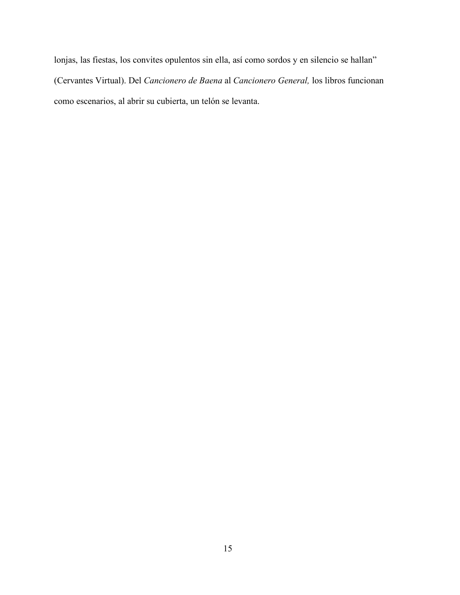lonjas, las fiestas, los convites opulentos sin ella, así como sordos y en silencio se hallan" (Cervantes Virtual). Del *Cancionero de Baena* al *Cancionero General,* los libros funcionan como escenarios, al abrir su cubierta, un telón se levanta.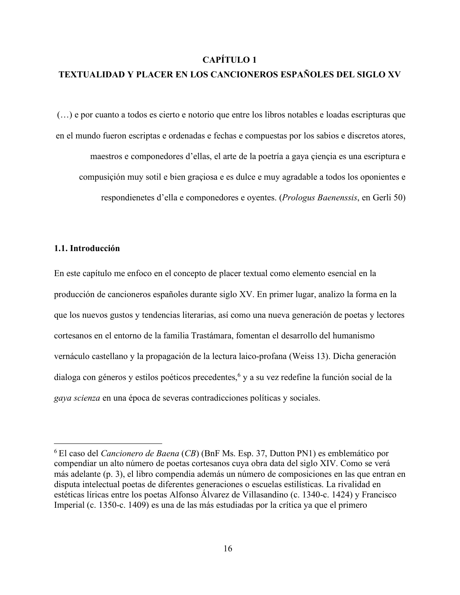## **CAPÍTULO 1**

# **TEXTUALIDAD Y PLACER EN LOS CANCIONEROS ESPAÑOLES DEL SIGLO XV**

(…) e por cuanto a todos es cierto e notorio que entre los libros notables e loadas escripturas que en el mundo fueron escriptas e ordenadas e fechas e compuestas por los sabios e discretos atores, maestros e componedores d'ellas, el arte de la poetría a gaya çiençia es una escriptura e compusiçión muy sotil e bien graçiosa e es dulce e muy agradable a todos los oponientes e respondienetes d'ella e componedores e oyentes. (*Prologus Baenenssis*, en Gerli 50)

## **1.1. Introducción**

En este capítulo me enfoco en el concepto de placer textual como elemento esencial en la producción de cancioneros españoles durante siglo XV. En primer lugar, analizo la forma en la que los nuevos gustos y tendencias literarias, así como una nueva generación de poetas y lectores cortesanos en el entorno de la familia Trastámara, fomentan el desarrollo del humanismo vernáculo castellano y la propagación de la lectura laico-profana (Weiss 13). Dicha generación dialoga con géneros y estilos poéticos precedentes,<sup>6</sup> y a su vez redefine la función social de la *gaya scienza* en una época de severas contradicciones políticas y sociales.

 <sup>6</sup> El caso del *Cancionero de Baena* (*CB*) (BnF Ms. Esp. 37, Dutton PN1) es emblemático por compendiar un alto número de poetas cortesanos cuya obra data del siglo XIV. Como se verá más adelante (p. 3), el libro compendia además un número de composiciones en las que entran en disputa intelectual poetas de diferentes generaciones o escuelas estilísticas. La rivalidad en estéticas líricas entre los poetas Alfonso Álvarez de Villasandino (c. 1340-c. 1424) y Francisco Imperial (c. 1350-c. 1409) es una de las más estudiadas por la crítica ya que el primero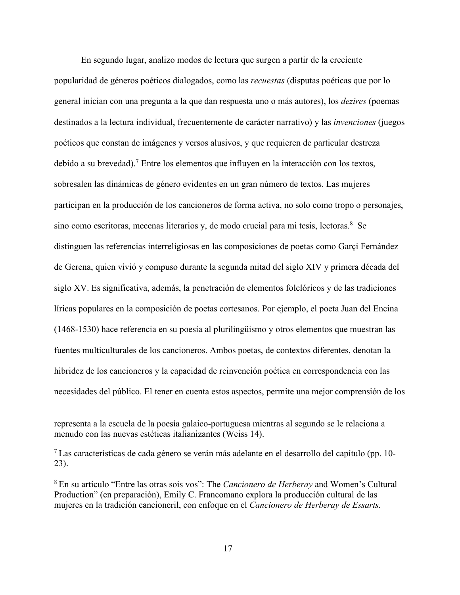En segundo lugar, analizo modos de lectura que surgen a partir de la creciente popularidad de géneros poéticos dialogados, como las *recuestas* (disputas poéticas que por lo general inician con una pregunta a la que dan respuesta uno o más autores), los *dezires* (poemas destinados a la lectura individual, frecuentemente de carácter narrativo) y las *invenciones* (juegos poéticos que constan de imágenes y versos alusivos, y que requieren de particular destreza debido a su brevedad).7 Entre los elementos que influyen en la interacción con los textos, sobresalen las dinámicas de género evidentes en un gran número de textos. Las mujeres participan en la producción de los cancioneros de forma activa, no solo como tropo o personajes, sino como escritoras, mecenas literarios y, de modo crucial para mi tesis, lectoras.<sup>8</sup> Se distinguen las referencias interreligiosas en las composiciones de poetas como Garçi Fernández de Gerena, quien vivió y compuso durante la segunda mitad del siglo XIV y primera década del siglo XV. Es significativa, además, la penetración de elementos folclóricos y de las tradiciones líricas populares en la composición de poetas cortesanos. Por ejemplo, el poeta Juan del Encina (1468-1530) hace referencia en su poesía al plurilingüismo y otros elementos que muestran las fuentes multiculturales de los cancioneros. Ambos poetas, de contextos diferentes, denotan la hibridez de los cancioneros y la capacidad de reinvención poética en correspondencia con las necesidades del público. El tener en cuenta estos aspectos, permite una mejor comprensión de los

 $\overline{a}$ 

representa a la escuela de la poesía galaico-portuguesa mientras al segundo se le relaciona a menudo con las nuevas estéticas italianizantes (Weiss 14).

<sup>7</sup> Las características de cada género se verán más adelante en el desarrollo del capítulo (pp. 10- 23).

<sup>8</sup> En su artículo "Entre las otras sois vos": The *Cancionero de Herberay* and Women's Cultural Production" (en preparación), Emily C. Francomano explora la producción cultural de las mujeres en la tradición cancioneril, con enfoque en el *Cancionero de Herberay de Essarts.*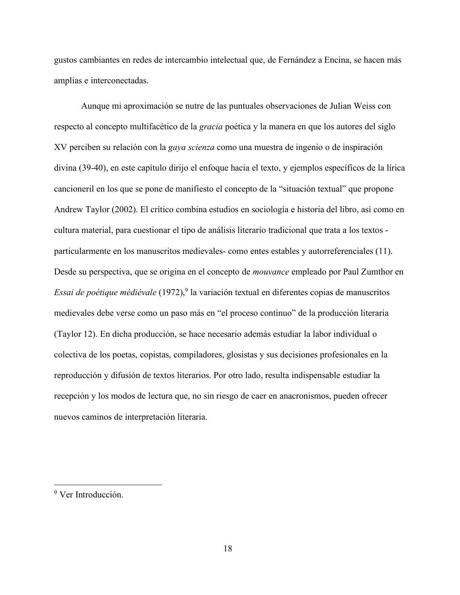gustos cambiantes en redes de intercambio intelectual que, de Fernández a Encina, se hacen más amplias e interconectadas.

Aunque mi aproximación se nutre de las puntuales observaciones de Julian Weiss con respecto al concepto multifacético de la *gracia* poética y la manera en que los autores del siglo XV perciben su relación con la *gaya scienza* como una muestra de ingenio o de inspiración divina (39-40), en este capítulo dirijo el enfoque hacia el texto, y ejemplos específicos de la lírica cancioneril en los que se pone de manifiesto el concepto de la "situación textual" que propone Andrew Taylor (2002). El crítico combina estudios en sociología e historia del libro, así como en cultura material, para cuestionar el tipo de análisis literario tradicional que trata a los textos particularmente en los manuscritos medievales- como entes estables y autorreferenciales (11). Desde su perspectiva, que se origina en el concepto de *mouvance* empleado por Paul Zumthor en *Essai de poétique médiévale* (1972),<sup>9</sup> la variación textual en diferentes copias de manuscritos medievales debe verse como un paso más en "el proceso continuo" de la producción literaria (Taylor 12). En dicha producción, se hace necesario además estudiar la labor individual o colectiva de los poetas, copistas, compiladores, glosistas y sus decisiones profesionales en la reproducción y difusión de textos literarios. Por otro lado, resulta indispensable estudiar la recepción y los modos de lectura que, no sin riesgo de caer en anacronismos, pueden ofrecer nuevos caminos de interpretación literaria.

 <sup>9</sup> Ver Introducción.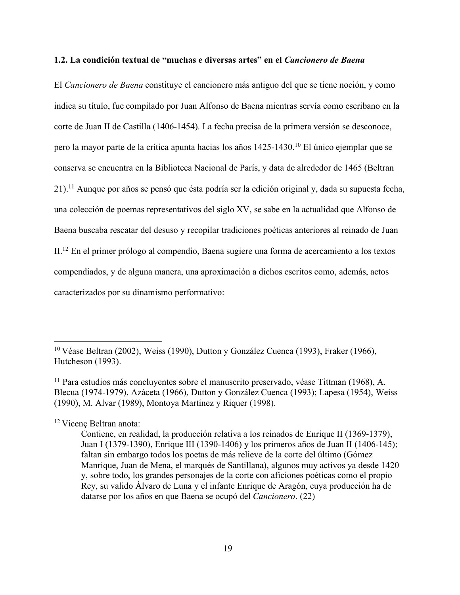# **1.2. La condición textual de "muchas e diversas artes" en el** *Cancionero de Baena*

El *Cancionero de Baena* constituye el cancionero más antiguo del que se tiene noción, y como indica su título, fue compilado por Juan Alfonso de Baena mientras servía como escribano en la corte de Juan II de Castilla (1406-1454). La fecha precisa de la primera versión se desconoce, pero la mayor parte de la crítica apunta hacias los años 1425-1430.10 El único ejemplar que se conserva se encuentra en la Biblioteca Nacional de París, y data de alrededor de 1465 (Beltran 21).11 Aunque por años se pensó que ésta podría ser la edición original y, dada su supuesta fecha, una colección de poemas representativos del siglo XV, se sabe en la actualidad que Alfonso de Baena buscaba rescatar del desuso y recopilar tradiciones poéticas anteriores al reinado de Juan II.12 En el primer prólogo al compendio, Baena sugiere una forma de acercamiento a los textos compendiados, y de alguna manera, una aproximación a dichos escritos como, además, actos caracterizados por su dinamismo performativo:

<sup>12</sup> Vicenc Beltran anota:

 <sup>10</sup> Véase Beltran (2002), Weiss (1990), Dutton y González Cuenca (1993), Fraker (1966), Hutcheson (1993).

<sup>11</sup> Para estudios más concluyentes sobre el manuscrito preservado, véase Tittman (1968), A. Blecua (1974-1979), Azáceta (1966), Dutton y González Cuenca (1993); Lapesa (1954), Weiss (1990), M. Alvar (1989), Montoya Martínez y Riquer (1998).

Contiene, en realidad, la producción relativa a los reinados de Enrique II (1369-1379), Juan I (1379-1390), Enrique III (1390-1406) y los primeros años de Juan II (1406-145); faltan sin embargo todos los poetas de más relieve de la corte del último (Gómez Manrique, Juan de Mena, el marqués de Santillana), algunos muy activos ya desde 1420 y, sobre todo, los grandes personajes de la corte con aficiones poéticas como el propio Rey, su valido Álvaro de Luna y el infante Enrique de Aragón, cuya producción ha de datarse por los años en que Baena se ocupó del *Cancionero*. (22)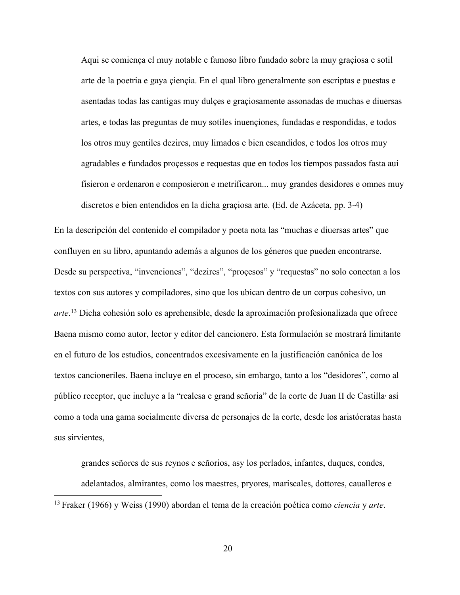Aqui se comiença el muy notable e famoso libro fundado sobre la muy graçiosa e sotil arte de la poetria e gaya çiençia. En el qual libro generalmente son escriptas e puestas e asentadas todas las cantigas muy dulçes e graçiosamente assonadas de muchas e diuersas artes, e todas las preguntas de muy sotiles inuençiones, fundadas e respondidas, e todos los otros muy gentiles dezires, muy limados e bien escandidos, e todos los otros muy agradables e fundados proçessos e requestas que en todos los tiempos passados fasta aui fisieron e ordenaron e composieron e metrificaron... muy grandes desidores e omnes muy discretos e bien entendidos en la dicha graçiosa arte. (Ed. de Azáceta, pp. 3-4)

En la descripción del contenido el compilador y poeta nota las "muchas e diuersas artes" que confluyen en su libro, apuntando además a algunos de los géneros que pueden encontrarse. Desde su perspectiva, "invenciones", "dezires", "proçesos" y "requestas" no solo conectan a los textos con sus autores y compiladores, sino que los ubican dentro de un corpus cohesivo, un *arte*. <sup>13</sup> Dicha cohesión solo es aprehensible, desde la aproximación profesionalizada que ofrece Baena mismo como autor, lector y editor del cancionero. Esta formulación se mostrará limitante en el futuro de los estudios, concentrados excesivamente en la justificación canónica de los textos cancioneriles. Baena incluye en el proceso, sin embargo, tanto a los "desidores", como al público receptor, que incluye a la "realesa e grand señoria" de la corte de Juan II de Castilla, así como a toda una gama socialmente diversa de personajes de la corte, desde los aristócratas hasta sus sirvientes,

grandes señores de sus reynos e señorios, asy los perlados, infantes, duques, condes,

adelantados, almirantes, como los maestres, pryores, mariscales, dottores, caualleros e

13 Fraker (1966) y Weiss (1990) abordan el tema de la creación poética como *ciencia* y *arte*.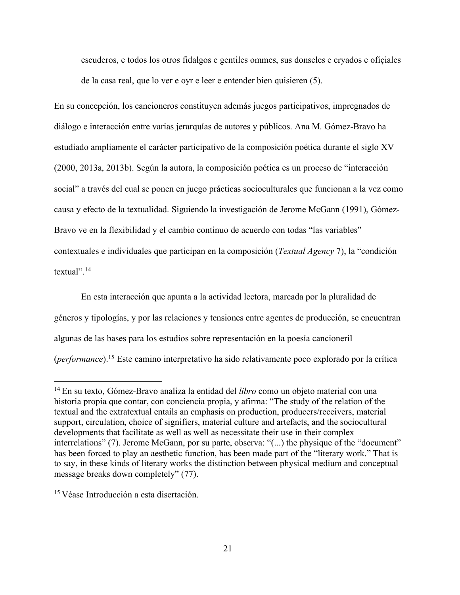escuderos, e todos los otros fidalgos e gentiles ommes, sus donseles e cryados e ofiçiales de la casa real, que lo ver e oyr e leer e entender bien quisieren (5).

En su concepción, los cancioneros constituyen además juegos participativos, impregnados de diálogo e interacción entre varias jerarquías de autores y públicos. Ana M. Gómez-Bravo ha estudiado ampliamente el carácter participativo de la composición poética durante el siglo XV (2000, 2013a, 2013b). Según la autora, la composición poética es un proceso de "interacción social" a través del cual se ponen en juego prácticas socioculturales que funcionan a la vez como causa y efecto de la textualidad. Siguiendo la investigación de Jerome McGann (1991), Gómez-Bravo ve en la flexibilidad y el cambio continuo de acuerdo con todas "las variables" contextuales e individuales que participan en la composición (*Textual Agency* 7), la "condición textual".14

En esta interacción que apunta a la actividad lectora, marcada por la pluralidad de géneros y tipologías, y por las relaciones y tensiones entre agentes de producción, se encuentran algunas de las bases para los estudios sobre representación en la poesía cancioneril (*performance*).15 Este camino interpretativo ha sido relativamente poco explorado por la crítica

 <sup>14</sup> En su texto, Gómez-Bravo analiza la entidad del *libro* como un objeto material con una historia propia que contar, con conciencia propia, y afirma: "The study of the relation of the textual and the extratextual entails an emphasis on production, producers/receivers, material support, circulation, choice of signifiers, material culture and artefacts, and the sociocultural developments that facilitate as well as well as necessitate their use in their complex interrelations" (7). Jerome McGann, por su parte, observa: "(...) the physique of the "document" has been forced to play an aesthetic function, has been made part of the "literary work." That is to say, in these kinds of literary works the distinction between physical medium and conceptual message breaks down completely" (77).

<sup>15</sup> Véase Introducción a esta disertación.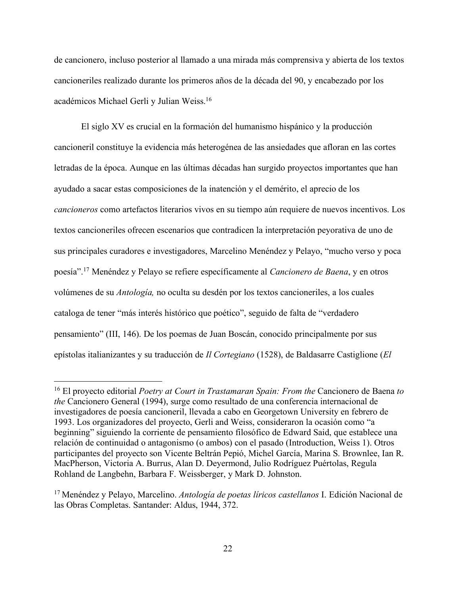de cancionero, incluso posterior al llamado a una mirada más comprensiva y abierta de los textos cancioneriles realizado durante los primeros años de la década del 90, y encabezado por los académicos Michael Gerli y Julian Weiss.16

El siglo XV es crucial en la formación del humanismo hispánico y la producción cancioneril constituye la evidencia más heterogénea de las ansiedades que afloran en las cortes letradas de la época. Aunque en las últimas décadas han surgido proyectos importantes que han ayudado a sacar estas composiciones de la inatención y el demérito, el aprecio de los *cancioneros* como artefactos literarios vivos en su tiempo aún requiere de nuevos incentivos. Los textos cancioneriles ofrecen escenarios que contradicen la interpretación peyorativa de uno de sus principales curadores e investigadores, Marcelino Menéndez y Pelayo, "mucho verso y poca poesía".17 Menéndez y Pelayo se refiere específicamente al *Cancionero de Baena*, y en otros volúmenes de su *Antología,* no oculta su desdén por los textos cancioneriles, a los cuales cataloga de tener "más interés histórico que poético", seguido de falta de "verdadero pensamiento" (III, 146). De los poemas de Juan Boscán, conocido principalmente por sus epístolas italianizantes y su traducción de *Il Cortegiano* (1528), de Baldasarre Castiglione (*El* 

 <sup>16</sup> El proyecto editorial *Poetry at Court in Trastamaran Spain: From the* Cancionero de Baena *to the* Cancionero General (1994), surge como resultado de una conferencia internacional de investigadores de poesía cancioneril, llevada a cabo en Georgetown University en febrero de 1993. Los organizadores del proyecto, Gerli and Weiss, consideraron la ocasión como "a beginning" siguiendo la corriente de pensamiento filosófico de Edward Said, que establece una relación de continuidad o antagonismo (o ambos) con el pasado (Introduction, Weiss 1). Otros participantes del proyecto son Vicente Beltrán Pepió, Michel García, Marina S. Brownlee, Ian R. MacPherson, Victoria A. Burrus, Alan D. Deyermond, Julio Rodríguez Puértolas, Regula Rohland de Langbehn, Barbara F. Weissberger, y Mark D. Johnston.

<sup>17</sup> Menéndez y Pelayo, Marcelino. *Antología de poetas líricos castellanos* I. Edición Nacional de las Obras Completas. Santander: Aldus, 1944, 372.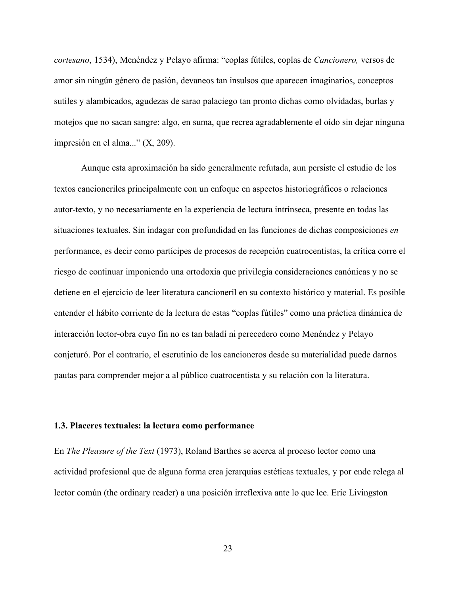*cortesano*, 1534), Menéndez y Pelayo afirma: "coplas fútiles, coplas de *Cancionero,* versos de amor sin ningún género de pasión, devaneos tan insulsos que aparecen imaginarios, conceptos sutiles y alambicados, agudezas de sarao palaciego tan pronto dichas como olvidadas, burlas y motejos que no sacan sangre: algo, en suma, que recrea agradablemente el oído sin dejar ninguna impresión en el alma..." (X, 209).

Aunque esta aproximación ha sido generalmente refutada, aun persiste el estudio de los textos cancioneriles principalmente con un enfoque en aspectos historiográficos o relaciones autor-texto, y no necesariamente en la experiencia de lectura intrínseca, presente en todas las situaciones textuales. Sin indagar con profundidad en las funciones de dichas composiciones *en* performance, es decir como partícipes de procesos de recepción cuatrocentistas, la crítica corre el riesgo de continuar imponiendo una ortodoxia que privilegia consideraciones canónicas y no se detiene en el ejercicio de leer literatura cancioneril en su contexto histórico y material. Es posible entender el hábito corriente de la lectura de estas "coplas fútiles" como una práctica dinámica de interacción lector-obra cuyo fin no es tan baladí ni perecedero como Menéndez y Pelayo conjeturó. Por el contrario, el escrutinio de los cancioneros desde su materialidad puede darnos pautas para comprender mejor a al público cuatrocentista y su relación con la literatura.

## **1.3. Placeres textuales: la lectura como performance**

En *The Pleasure of the Text* (1973), Roland Barthes se acerca al proceso lector como una actividad profesional que de alguna forma crea jerarquías estéticas textuales, y por ende relega al lector común (the ordinary reader) a una posición irreflexiva ante lo que lee. Eric Livingston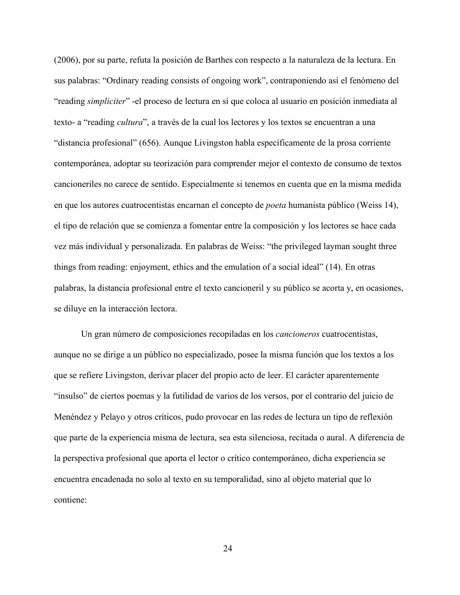(2006), por su parte, refuta la posición de Barthes con respecto a la naturaleza de la lectura. En sus palabras: "Ordinary reading consists of ongoing work", contraponiendo así el fenómeno del "reading *simpliciter*" -el proceso de lectura en sí que coloca al usuario en posición inmediata al texto- a "reading *cultura*", a través de la cual los lectores y los textos se encuentran a una "distancia profesional" (656). Aunque Livingston habla específicamente de la prosa corriente contemporánea, adoptar su teorización para comprender mejor el contexto de consumo de textos cancioneriles no carece de sentido. Especialmente si tenemos en cuenta que en la misma medida en que los autores cuatrocentistas encarnan el concepto de *poeta* humanista público (Weiss 14), el tipo de relación que se comienza a fomentar entre la composición y los lectores se hace cada vez más individual y personalizada. En palabras de Weiss: "the privileged layman sought three things from reading: enjoyment, ethics and the emulation of a social ideal" (14). En otras palabras, la distancia profesional entre el texto cancioneril y su público se acorta y, en ocasiones, se diluye en la interacción lectora.

Un gran número de composiciones recopiladas en los *cancioneros* cuatrocentistas, aunque no se dirige a un público no especializado, posee la misma función que los textos a los que se refiere Livingston, derivar placer del propio acto de leer. El carácter aparentemente "insulso" de ciertos poemas y la futilidad de varios de los versos, por el contrario del juicio de Menéndez y Pelayo y otros críticos, pudo provocar en las redes de lectura un tipo de reflexión que parte de la experiencia misma de lectura, sea esta silenciosa, recitada o aural. A diferencia de la perspectiva profesional que aporta el lector o crítico contemporáneo, dicha experiencia se encuentra encadenada no solo al texto en su temporalidad, sino al objeto material que lo contiene: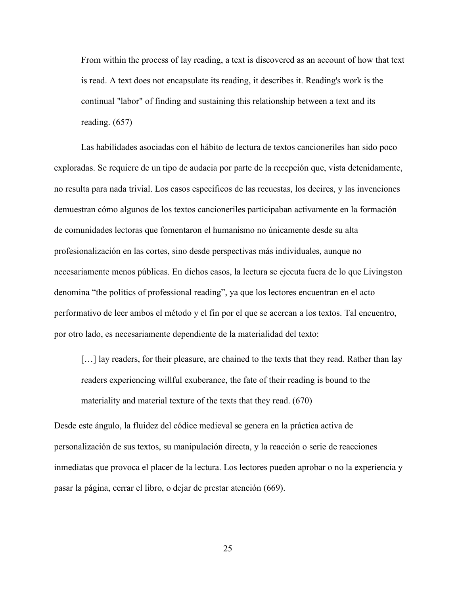From within the process of lay reading, a text is discovered as an account of how that text is read. A text does not encapsulate its reading, it describes it. Reading's work is the continual "labor" of finding and sustaining this relationship between a text and its reading. (657)

Las habilidades asociadas con el hábito de lectura de textos cancioneriles han sido poco exploradas. Se requiere de un tipo de audacia por parte de la recepción que, vista detenidamente, no resulta para nada trivial. Los casos específicos de las recuestas, los decires, y las invenciones demuestran cómo algunos de los textos cancioneriles participaban activamente en la formación de comunidades lectoras que fomentaron el humanismo no únicamente desde su alta profesionalización en las cortes, sino desde perspectivas más individuales, aunque no necesariamente menos públicas. En dichos casos, la lectura se ejecuta fuera de lo que Livingston denomina "the politics of professional reading", ya que los lectores encuentran en el acto performativo de leer ambos el método y el fin por el que se acercan a los textos. Tal encuentro, por otro lado, es necesariamente dependiente de la materialidad del texto:

[...] lay readers, for their pleasure, are chained to the texts that they read. Rather than lay readers experiencing willful exuberance, the fate of their reading is bound to the materiality and material texture of the texts that they read. (670)

Desde este ángulo, la fluidez del códice medieval se genera en la práctica activa de personalización de sus textos, su manipulación directa, y la reacción o serie de reacciones inmediatas que provoca el placer de la lectura. Los lectores pueden aprobar o no la experiencia y pasar la página, cerrar el libro, o dejar de prestar atención (669).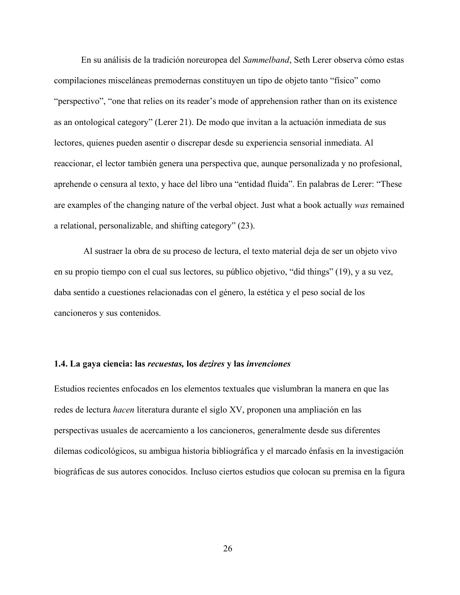En su análisis de la tradición noreuropea del *Sammelband*, Seth Lerer observa cómo estas compilaciones misceláneas premodernas constituyen un tipo de objeto tanto "físico" como "perspectivo", "one that relies on its reader's mode of apprehension rather than on its existence as an ontological category" (Lerer 21). De modo que invitan a la actuación inmediata de sus lectores, quienes pueden asentir o discrepar desde su experiencia sensorial inmediata. Al reaccionar, el lector también genera una perspectiva que, aunque personalizada y no profesional, aprehende o censura al texto, y hace del libro una "entidad fluida". En palabras de Lerer: "These are examples of the changing nature of the verbal object. Just what a book actually *was* remained a relational, personalizable, and shifting category" (23).

Al sustraer la obra de su proceso de lectura, el texto material deja de ser un objeto vivo en su propio tiempo con el cual sus lectores, su público objetivo, "did things" (19), y a su vez, daba sentido a cuestiones relacionadas con el género, la estética y el peso social de los cancioneros y sus contenidos.

#### **1.4. La gaya ciencia: las** *recuestas,* **los** *dezires* **y las** *invenciones*

Estudios recientes enfocados en los elementos textuales que vislumbran la manera en que las redes de lectura *hacen* literatura durante el siglo XV, proponen una ampliación en las perspectivas usuales de acercamiento a los cancioneros, generalmente desde sus diferentes dilemas codicológicos, su ambigua historia bibliográfica y el marcado énfasis en la investigación biográficas de sus autores conocidos. Incluso ciertos estudios que colocan su premisa en la figura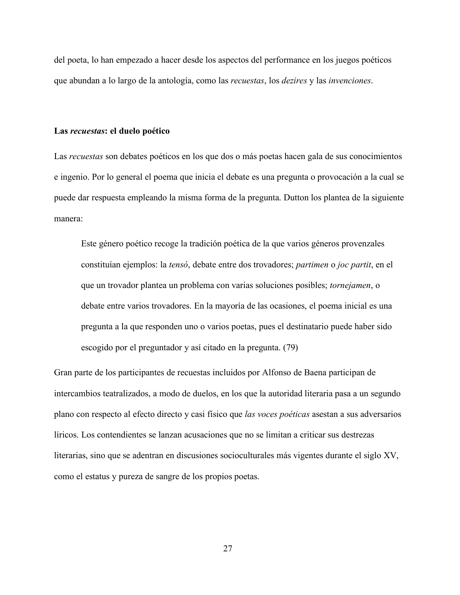del poeta, lo han empezado a hacer desde los aspectos del performance en los juegos poéticos que abundan a lo largo de la antología, como las *recuestas*, los *dezires* y las *invenciones*.

#### **Las** *recuestas***: el duelo poético**

Las *recuestas* son debates poéticos en los que dos o más poetas hacen gala de sus conocimientos e ingenio. Por lo general el poema que inicia el debate es una pregunta o provocación a la cual se puede dar respuesta empleando la misma forma de la pregunta. Dutton los plantea de la siguiente manera:

Este género poético recoge la tradición poética de la que varios géneros provenzales constituían ejemplos: la *tensó*, debate entre dos trovadores; *partimen* o *joc partit*, en el que un trovador plantea un problema con varias soluciones posibles; *tornejamen*, o debate entre varios trovadores. En la mayoría de las ocasiones, el poema inicial es una pregunta a la que responden uno o varios poetas, pues el destinatario puede haber sido escogido por el preguntador y así citado en la pregunta. (79)

Gran parte de los participantes de recuestas incluidos por Alfonso de Baena participan de intercambios teatralizados, a modo de duelos, en los que la autoridad literaria pasa a un segundo plano con respecto al efecto directo y casi físico que *las voces poéticas* asestan a sus adversarios líricos. Los contendientes se lanzan acusaciones que no se limitan a criticar sus destrezas literarias, sino que se adentran en discusiones socioculturales más vigentes durante el siglo XV, como el estatus y pureza de sangre de los propios poetas.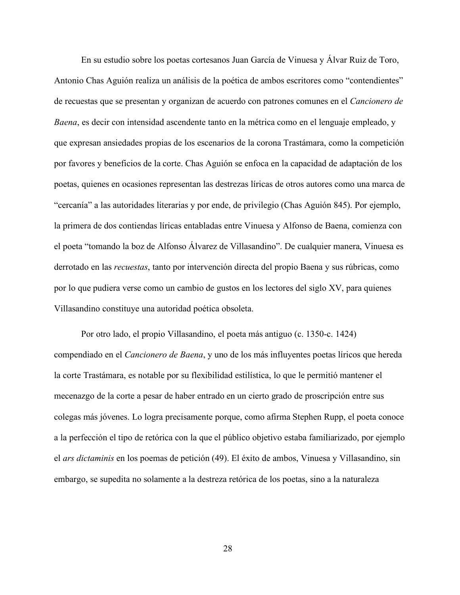En su estudio sobre los poetas cortesanos Juan García de Vinuesa y Álvar Ruiz de Toro, Antonio Chas Aguión realiza un análisis de la poética de ambos escritores como "contendientes" de recuestas que se presentan y organizan de acuerdo con patrones comunes en el *Cancionero de Baena*, es decir con intensidad ascendente tanto en la métrica como en el lenguaje empleado, y que expresan ansiedades propias de los escenarios de la corona Trastámara, como la competición por favores y beneficios de la corte. Chas Aguión se enfoca en la capacidad de adaptación de los poetas, quienes en ocasiones representan las destrezas líricas de otros autores como una marca de "cercanía" a las autoridades literarias y por ende, de privilegio (Chas Aguión 845). Por ejemplo, la primera de dos contiendas líricas entabladas entre Vinuesa y Alfonso de Baena, comienza con el poeta "tomando la boz de Alfonso Álvarez de Villasandino". De cualquier manera, Vinuesa es derrotado en las *recuestas*, tanto por intervención directa del propio Baena y sus rúbricas, como por lo que pudiera verse como un cambio de gustos en los lectores del siglo XV, para quienes Villasandino constituye una autoridad poética obsoleta.

Por otro lado, el propio Villasandino, el poeta más antiguo (c. 1350-c. 1424) compendiado en el *Cancionero de Baena*, y uno de los más influyentes poetas líricos que hereda la corte Trastámara, es notable por su flexibilidad estilística, lo que le permitió mantener el mecenazgo de la corte a pesar de haber entrado en un cierto grado de proscripción entre sus colegas más jóvenes. Lo logra precisamente porque, como afirma Stephen Rupp, el poeta conoce a la perfección el tipo de retórica con la que el público objetivo estaba familiarizado, por ejemplo el *ars dictaminis* en los poemas de petición (49). El éxito de ambos, Vinuesa y Villasandino, sin embargo, se supedita no solamente a la destreza retórica de los poetas, sino a la naturaleza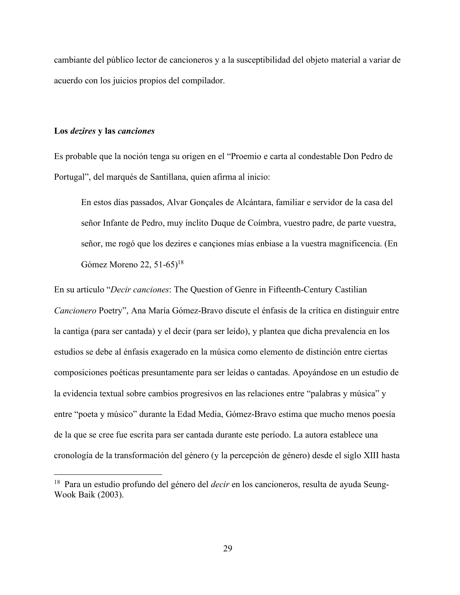cambiante del público lector de cancioneros y a la susceptibilidad del objeto material a variar de acuerdo con los juicios propios del compilador.

### **Los** *dezires* **y las** *canciones*

Es probable que la noción tenga su origen en el "Proemio e carta al condestable Don Pedro de Portugal", del marqués de Santillana, quien afirma al inicio:

En estos días passados, Alvar Gonçales de Alcántara, familiar e servidor de la casa del señor Infante de Pedro, muy ínclito Duque de Coímbra, vuestro padre, de parte vuestra, señor, me rogó que los dezires e cançiones mías enbiase a la vuestra magnificencia. (En Gómez Moreno 22, 51-65)<sup>18</sup>

En su artículo "*Decir canciones*: The Question of Genre in Fifteenth-Century Castilian *Cancionero* Poetry", Ana María Gómez-Bravo discute el énfasis de la crítica en distinguir entre la cantiga (para ser cantada) y el decir (para ser leído), y plantea que dicha prevalencia en los estudios se debe al énfasis exagerado en la música como elemento de distinción entre ciertas composiciones poéticas presuntamente para ser leídas o cantadas. Apoyándose en un estudio de la evidencia textual sobre cambios progresivos en las relaciones entre "palabras y música" y entre "poeta y músico" durante la Edad Media, Gómez-Bravo estima que mucho menos poesía de la que se cree fue escrita para ser cantada durante este período. La autora establece una cronología de la transformación del género (y la percepción de género) desde el siglo XIII hasta

 <sup>18</sup> Para un estudio profundo del género del *decir* en los cancioneros, resulta de ayuda Seung-Wook Baik (2003).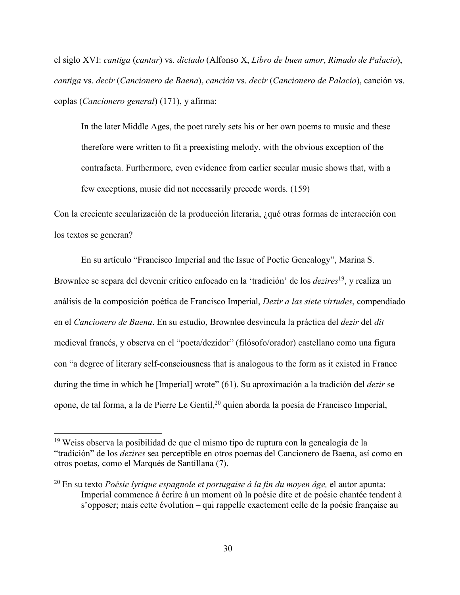el siglo XVI: *cantiga* (*cantar*) vs. *dictado* (Alfonso X, *Libro de buen amor*, *Rimado de Palacio*), *cantiga* vs. *decir* (*Cancionero de Baena*), *canción* vs. *decir* (*Cancionero de Palacio*), canción vs. coplas (*Cancionero general*) (171), y afirma:

In the later Middle Ages, the poet rarely sets his or her own poems to music and these therefore were written to fit a preexisting melody, with the obvious exception of the contrafacta. Furthermore, even evidence from earlier secular music shows that, with a few exceptions, music did not necessarily precede words. (159)

Con la creciente secularización de la producción literaria, ¿qué otras formas de interacción con los textos se generan?

En su artículo "Francisco Imperial and the Issue of Poetic Genealogy", Marina S. Brownlee se separa del devenir crítico enfocado en la 'tradición' de los *dezires*<sup>19</sup>, y realiza un análisis de la composición poética de Francisco Imperial, *Dezir a las siete virtudes*, compendiado en el *Cancionero de Baena*. En su estudio, Brownlee desvincula la práctica del *dezir* del *dit* medieval francés, y observa en el "poeta/dezidor" (filósofo/orador) castellano como una figura con "a degree of literary self-consciousness that is analogous to the form as it existed in France during the time in which he [Imperial] wrote" (61). Su aproximación a la tradición del *dezir* se opone, de tal forma, a la de Pierre Le Gentil,<sup>20</sup> quien aborda la poesía de Francisco Imperial,

 <sup>19</sup> Weiss observa la posibilidad de que el mismo tipo de ruptura con la genealogía de la "tradición" de los *dezires* sea perceptible en otros poemas del Cancionero de Baena, así como en otros poetas, como el Marqués de Santillana (7).

<sup>20</sup> En su texto *Poésie lyrique espagnole et portugaise à la fin du moyen âge,* el autor apunta: Imperial commence à écrire à un moment où la poésie dite et de poésie chantée tendent à s'opposer; mais cette évolution – qui rappelle exactement celle de la poésie française au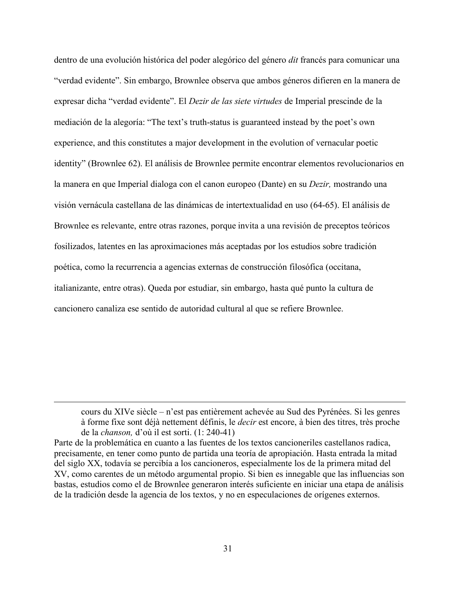dentro de una evolución histórica del poder alegórico del género *dit* francés para comunicar una "verdad evidente". Sin embargo, Brownlee observa que ambos géneros difieren en la manera de expresar dicha "verdad evidente". El *Dezir de las siete virtudes* de Imperial prescinde de la mediación de la alegoría: "The text's truth-status is guaranteed instead by the poet's own experience, and this constitutes a major development in the evolution of vernacular poetic identity" (Brownlee 62). El análisis de Brownlee permite encontrar elementos revolucionarios en la manera en que Imperial dialoga con el canon europeo (Dante) en su *Dezir,* mostrando una visión vernácula castellana de las dinámicas de intertextualidad en uso (64-65). El análisis de Brownlee es relevante, entre otras razones, porque invita a una revisión de preceptos teóricos fosilizados, latentes en las aproximaciones más aceptadas por los estudios sobre tradición poética, como la recurrencia a agencias externas de construcción filosófica (occitana, italianizante, entre otras). Queda por estudiar, sin embargo, hasta qué punto la cultura de cancionero canaliza ese sentido de autoridad cultural al que se refiere Brownlee.

cours du XIVe siècle – n'est pas entièrement achevée au Sud des Pyrénées. Si les genres à forme fixe sont déjà nettement définis, le *decir* est encore, à bien des titres, très proche de la *chanson,* d'où il est sorti. (1: 240-41)

 $\overline{a}$ 

Parte de la problemática en cuanto a las fuentes de los textos cancioneriles castellanos radica, precisamente, en tener como punto de partida una teoría de apropiación. Hasta entrada la mitad del siglo XX, todavía se percibía a los cancioneros, especialmente los de la primera mitad del XV, como carentes de un método argumental propio. Si bien es innegable que las influencias son bastas, estudios como el de Brownlee generaron interés suficiente en iniciar una etapa de análisis de la tradición desde la agencia de los textos, y no en especulaciones de orígenes externos.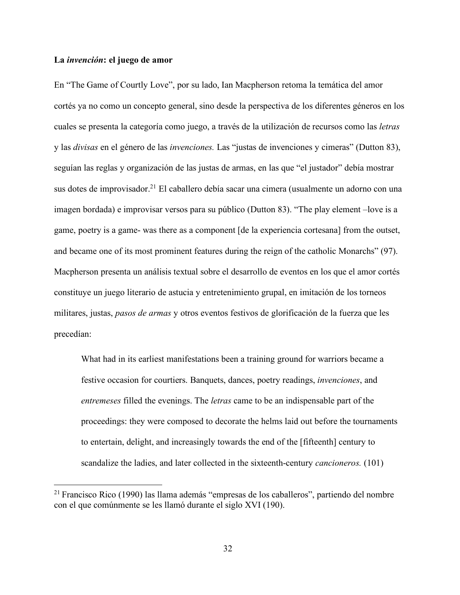## **La** *invención***: el juego de amor**

En "The Game of Courtly Love", por su lado, Ian Macpherson retoma la temática del amor cortés ya no como un concepto general, sino desde la perspectiva de los diferentes géneros en los cuales se presenta la categoría como juego, a través de la utilización de recursos como las *letras* y las *divisas* en el género de las *invenciones.* Las "justas de invenciones y cimeras" (Dutton 83), seguían las reglas y organización de las justas de armas, en las que "el justador" debía mostrar sus dotes de improvisador.<sup>21</sup> El caballero debía sacar una cimera (usualmente un adorno con una imagen bordada) e improvisar versos para su público (Dutton 83). "The play element –love is a game, poetry is a game- was there as a component [de la experiencia cortesana] from the outset, and became one of its most prominent features during the reign of the catholic Monarchs" (97). Macpherson presenta un análisis textual sobre el desarrollo de eventos en los que el amor cortés constituye un juego literario de astucia y entretenimiento grupal, en imitación de los torneos militares, justas, *pasos de armas* y otros eventos festivos de glorificación de la fuerza que les precedían:

What had in its earliest manifestations been a training ground for warriors became a festive occasion for courtiers. Banquets, dances, poetry readings, *invenciones*, and *entremeses* filled the evenings. The *letras* came to be an indispensable part of the proceedings: they were composed to decorate the helms laid out before the tournaments to entertain, delight, and increasingly towards the end of the [fifteenth] century to scandalize the ladies, and later collected in the sixteenth-century *cancioneros.* (101)

 <sup>21</sup> Francisco Rico (1990) las llama además "empresas de los caballeros", partiendo del nombre con el que comúnmente se les llamó durante el siglo XVI (190).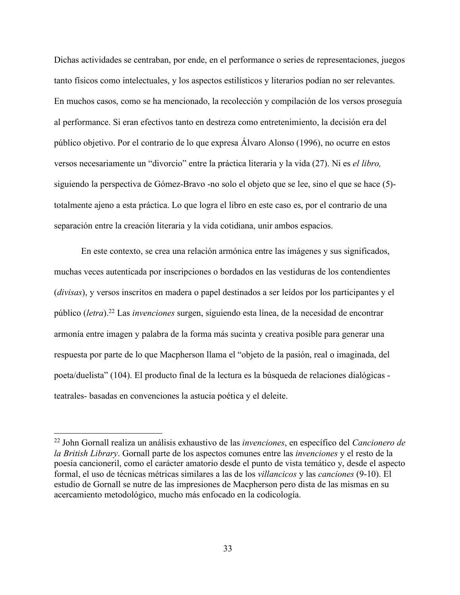Dichas actividades se centraban, por ende, en el performance o series de representaciones, juegos tanto físicos como intelectuales, y los aspectos estilísticos y literarios podían no ser relevantes. En muchos casos, como se ha mencionado, la recolección y compilación de los versos proseguía al performance. Si eran efectivos tanto en destreza como entretenimiento, la decisión era del público objetivo. Por el contrario de lo que expresa Álvaro Alonso (1996), no ocurre en estos versos necesariamente un "divorcio" entre la práctica literaria y la vida (27). Ni es *el libro,*  siguiendo la perspectiva de Gómez-Bravo -no solo el objeto que se lee, sino el que se hace (5) totalmente ajeno a esta práctica. Lo que logra el libro en este caso es, por el contrario de una separación entre la creación literaria y la vida cotidiana, unir ambos espacios.

En este contexto, se crea una relación armónica entre las imágenes y sus significados, muchas veces autenticada por inscripciones o bordados en las vestiduras de los contendientes (*divisas*), y versos inscritos en madera o papel destinados a ser leídos por los participantes y el público (*letra*). <sup>22</sup> Las *invenciones* surgen, siguiendo esta línea, de la necesidad de encontrar armonía entre imagen y palabra de la forma más sucinta y creativa posible para generar una respuesta por parte de lo que Macpherson llama el "objeto de la pasión, real o imaginada, del poeta/duelista" (104). El producto final de la lectura es la búsqueda de relaciones dialógicas teatrales- basadas en convenciones la astucia poética y el deleite.

 <sup>22</sup> John Gornall realiza un análisis exhaustivo de las *invenciones*, en específico del *Cancionero de la British Library*. Gornall parte de los aspectos comunes entre las *invenciones* y el resto de la poesía cancioneril, como el carácter amatorio desde el punto de vista temático y, desde el aspecto formal, el uso de técnicas métricas similares a las de los *villancicos* y las *canciones* (9-10). El estudio de Gornall se nutre de las impresiones de Macpherson pero dista de las mismas en su acercamiento metodológico, mucho más enfocado en la codicología.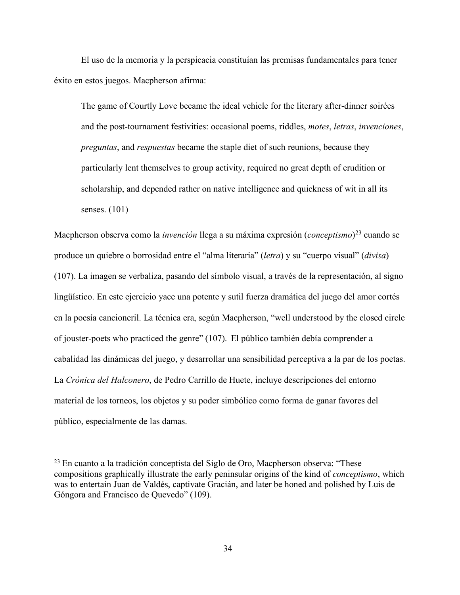El uso de la memoria y la perspicacia constituían las premisas fundamentales para tener éxito en estos juegos. Macpherson afirma:

The game of Courtly Love became the ideal vehicle for the literary after-dinner soirées and the post-tournament festivities: occasional poems, riddles, *motes*, *letras*, *invenciones*, *preguntas*, and *respuestas* became the staple diet of such reunions, because they particularly lent themselves to group activity, required no great depth of erudition or scholarship, and depended rather on native intelligence and quickness of wit in all its senses. (101)

Macpherson observa como la *invención* llega a su máxima expresión (*conceptismo*)23 cuando se produce un quiebre o borrosidad entre el "alma literaria" (*letra*) y su "cuerpo visual" (*divisa*) (107). La imagen se verbaliza, pasando del símbolo visual, a través de la representación, al signo lingüístico. En este ejercicio yace una potente y sutil fuerza dramática del juego del amor cortés en la poesía cancioneril. La técnica era, según Macpherson, "well understood by the closed circle of jouster-poets who practiced the genre" (107). El público también debía comprender a cabalidad las dinámicas del juego, y desarrollar una sensibilidad perceptiva a la par de los poetas. La *Crónica del Halconero*, de Pedro Carrillo de Huete, incluye descripciones del entorno material de los torneos, los objetos y su poder simbólico como forma de ganar favores del público, especialmente de las damas.

 $23$  En cuanto a la tradición conceptista del Siglo de Oro, Macpherson observa: "These compositions graphically illustrate the early peninsular origins of the kind of *conceptismo*, which was to entertain Juan de Valdés, captivate Gracián, and later be honed and polished by Luis de Góngora and Francisco de Quevedo" (109).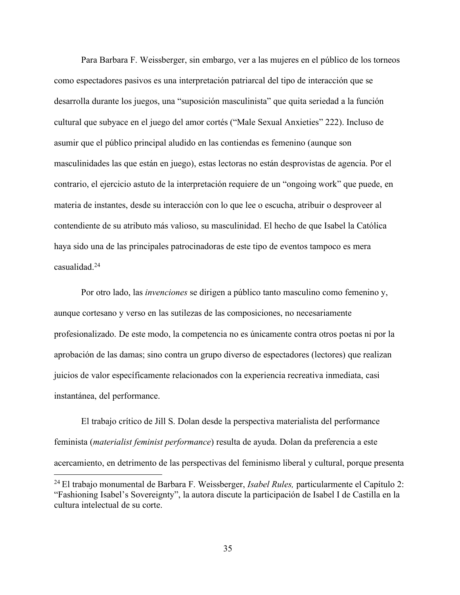Para Barbara F. Weissberger, sin embargo, ver a las mujeres en el público de los torneos como espectadores pasivos es una interpretación patriarcal del tipo de interacción que se desarrolla durante los juegos, una "suposición masculinista" que quita seriedad a la función cultural que subyace en el juego del amor cortés ("Male Sexual Anxieties" 222). Incluso de asumir que el público principal aludido en las contiendas es femenino (aunque son masculinidades las que están en juego), estas lectoras no están desprovistas de agencia. Por el contrario, el ejercicio astuto de la interpretación requiere de un "ongoing work" que puede, en materia de instantes, desde su interacción con lo que lee o escucha, atribuir o desproveer al contendiente de su atributo más valioso, su masculinidad. El hecho de que Isabel la Católica haya sido una de las principales patrocinadoras de este tipo de eventos tampoco es mera casualidad.24

Por otro lado, las *invenciones* se dirigen a público tanto masculino como femenino y, aunque cortesano y verso en las sutilezas de las composiciones, no necesariamente profesionalizado. De este modo, la competencia no es únicamente contra otros poetas ni por la aprobación de las damas; sino contra un grupo diverso de espectadores (lectores) que realizan juicios de valor específicamente relacionados con la experiencia recreativa inmediata, casi instantánea, del performance.

El trabajo crítico de Jill S. Dolan desde la perspectiva materialista del performance feminista (*materialist feminist performance*) resulta de ayuda. Dolan da preferencia a este acercamiento, en detrimento de las perspectivas del feminismo liberal y cultural, porque presenta

 <sup>24</sup> El trabajo monumental de Barbara F. Weissberger, *Isabel Rules,* particularmente el Capítulo 2: "Fashioning Isabel's Sovereignty", la autora discute la participación de Isabel I de Castilla en la cultura intelectual de su corte.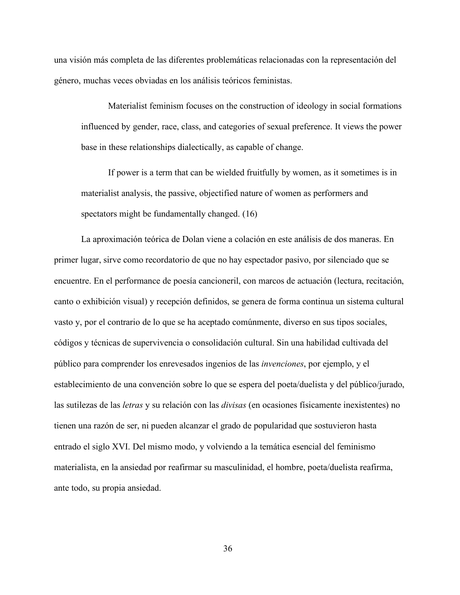una visión más completa de las diferentes problemáticas relacionadas con la representación del género, muchas veces obviadas en los análisis teóricos feministas.

Materialist feminism focuses on the construction of ideology in social formations influenced by gender, race, class, and categories of sexual preference. It views the power base in these relationships dialectically, as capable of change.

If power is a term that can be wielded fruitfully by women, as it sometimes is in materialist analysis, the passive, objectified nature of women as performers and spectators might be fundamentally changed. (16)

La aproximación teórica de Dolan viene a colación en este análisis de dos maneras. En primer lugar, sirve como recordatorio de que no hay espectador pasivo, por silenciado que se encuentre. En el performance de poesía cancioneril, con marcos de actuación (lectura, recitación, canto o exhibición visual) y recepción definidos, se genera de forma continua un sistema cultural vasto y, por el contrario de lo que se ha aceptado comúnmente, diverso en sus tipos sociales, códigos y técnicas de supervivencia o consolidación cultural. Sin una habilidad cultivada del público para comprender los enrevesados ingenios de las *invenciones*, por ejemplo, y el establecimiento de una convención sobre lo que se espera del poeta/duelista y del público/jurado, las sutilezas de las *letras* y su relación con las *divisas* (en ocasiones físicamente inexistentes) no tienen una razón de ser, ni pueden alcanzar el grado de popularidad que sostuvieron hasta entrado el siglo XVI. Del mismo modo, y volviendo a la temática esencial del feminismo materialista, en la ansiedad por reafirmar su masculinidad, el hombre, poeta/duelista reafirma, ante todo, su propia ansiedad.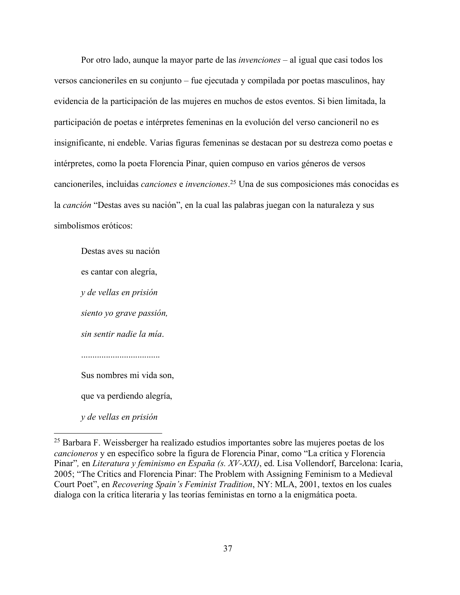Por otro lado, aunque la mayor parte de las *invenciones* – al igual que casi todos los versos cancioneriles en su conjunto – fue ejecutada y compilada por poetas masculinos, hay evidencia de la participación de las mujeres en muchos de estos eventos. Si bien limitada, la participación de poetas e intérpretes femeninas en la evolución del verso cancioneril no es insignificante, ni endeble. Varias figuras femeninas se destacan por su destreza como poetas e intérpretes, como la poeta Florencia Pinar, quien compuso en varios géneros de versos cancioneriles, incluidas *canciones* e *invenciones*. <sup>25</sup> Una de sus composiciones más conocidas es la *canción* "Destas aves su nación", en la cual las palabras juegan con la naturaleza y sus simbolismos eróticos:

Destas aves su nación es cantar con alegría, *y de vellas en prisión siento yo grave passión, sin sentir nadie la mía*. Sus nombres mi vida son, que va perdiendo alegría, *y de vellas en prisión*

 <sup>25</sup> Barbara F. Weissberger ha realizado estudios importantes sobre las mujeres poetas de los *cancioneros* y en específico sobre la figura de Florencia Pinar, como "La crítica y Florencia Pinar"*,* en *Literatura y feminismo en España (s. XV-XXI)*, ed. Lisa Vollendorf, Barcelona: Icaria, 2005; "The Critics and Florencia Pinar: The Problem with Assigning Feminism to a Medieval Court Poet", en *Recovering Spain's Feminist Tradition*, NY: MLA, 2001, textos en los cuales dialoga con la crítica literaria y las teorías feministas en torno a la enigmática poeta.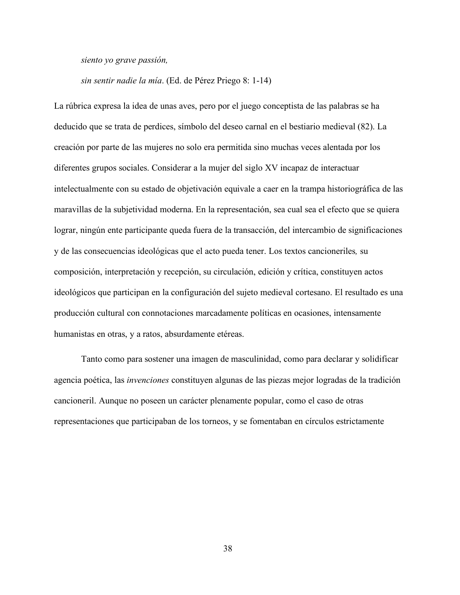*siento yo grave passión,*

*sin sentir nadie la mía*. (Ed. de Pérez Priego 8: 1-14)

La rúbrica expresa la idea de unas aves, pero por el juego conceptista de las palabras se ha deducido que se trata de perdices, símbolo del deseo carnal en el bestiario medieval (82). La creación por parte de las mujeres no solo era permitida sino muchas veces alentada por los diferentes grupos sociales. Considerar a la mujer del siglo XV incapaz de interactuar intelectualmente con su estado de objetivación equivale a caer en la trampa historiográfica de las maravillas de la subjetividad moderna. En la representación, sea cual sea el efecto que se quiera lograr, ningún ente participante queda fuera de la transacción, del intercambio de significaciones y de las consecuencias ideológicas que el acto pueda tener. Los textos cancioneriles*,* su composición, interpretación y recepción, su circulación, edición y crítica, constituyen actos ideológicos que participan en la configuración del sujeto medieval cortesano. El resultado es una producción cultural con connotaciones marcadamente políticas en ocasiones, intensamente humanistas en otras, y a ratos, absurdamente etéreas.

Tanto como para sostener una imagen de masculinidad, como para declarar y solidificar agencia poética, las *invenciones* constituyen algunas de las piezas mejor logradas de la tradición cancioneril. Aunque no poseen un carácter plenamente popular, como el caso de otras representaciones que participaban de los torneos, y se fomentaban en círculos estrictamente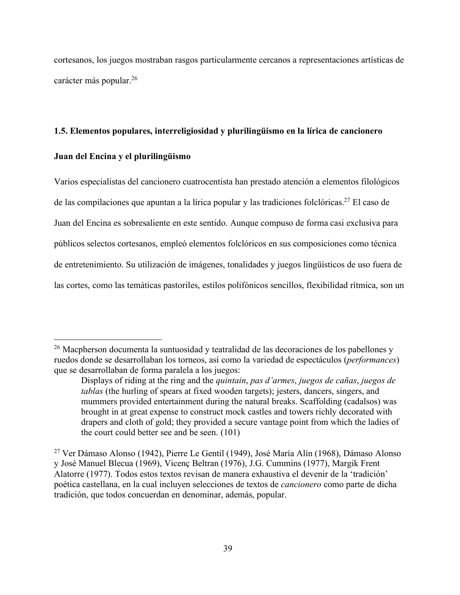cortesanos, los juegos mostraban rasgos particularmente cercanos a representaciones artísticas de carácter más popular.26

### **1.5. Elementos populares, interreligiosidad y plurilingüismo en la lírica de cancionero**

### **Juan del Encina y el plurilingüismo**

Varios especialistas del cancionero cuatrocentista han prestado atención a elementos filológicos de las compilaciones que apuntan a la lírica popular y las tradiciones folclóricas.27 El caso de Juan del Encina es sobresaliente en este sentido. Aunque compuso de forma casi exclusiva para públicos selectos cortesanos, empleó elementos folclóricos en sus composiciones como técnica de entretenimiento. Su utilización de imágenes, tonalidades y juegos lingüísticos de uso fuera de las cortes, como las temáticas pastoriles, estilos polifónicos sencillos, flexibilidad rítmica, son un

 <sup>26</sup> Macpherson documenta la suntuosidad y teatralidad de las decoraciones de los pabellones y ruedos donde se desarrollaban los torneos, así como la variedad de espectáculos (*performances*) que se desarrollaban de forma paralela a los juegos:

Displays of riding at the ring and the *quintain*, *pas d'armes*, *juegos de cañas*, *juegos de tablas* (the hurling of spears at fixed wooden targets); jesters, dancers, singers, and mummers provided entertainment during the natural breaks. Scaffolding (cadalsos) was brought in at great expense to construct mock castles and towers richly decorated with drapers and cloth of gold; they provided a secure vantage point from which the ladies of the court could better see and be seen. (101)

<sup>27</sup> Ver Dámaso Alonso (1942), Pierre Le Gentil (1949), José María Alín (1968), Dámaso Alonso y José Manuel Blecua (1969), Vicenç Beltran (1976), J.G. Cummins (1977), Margik Frent Alatorre (1977). Todos estos textos revisan de manera exhaustiva el devenir de la 'tradición' poética castellana, en la cual incluyen selecciones de textos de *cancionero* como parte de dicha tradición, que todos concuerdan en denominar, además, popular.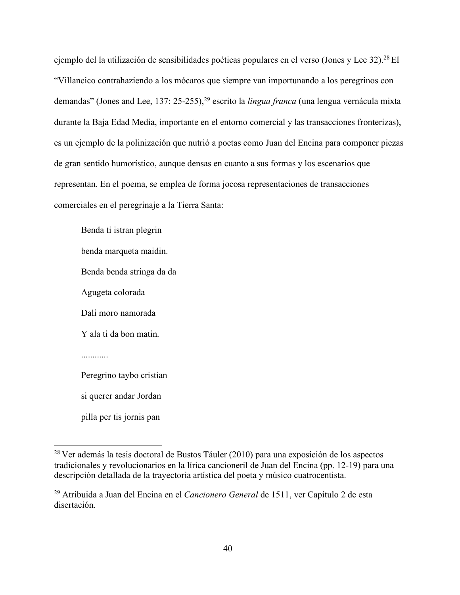ejemplo del la utilización de sensibilidades poéticas populares en el verso (Jones y Lee 32).28 El "Villancico contrahaziendo a los mócaros que siempre van importunando a los peregrinos con demandas" (Jones and Lee, 137: 25-255),29 escrito la *lingua franca* (una lengua vernácula mixta durante la Baja Edad Media, importante en el entorno comercial y las transacciones fronterizas), es un ejemplo de la polinización que nutrió a poetas como Juan del Encina para componer piezas de gran sentido humorístico, aunque densas en cuanto a sus formas y los escenarios que representan. En el poema, se emplea de forma jocosa representaciones de transacciones comerciales en el peregrinaje a la Tierra Santa:

Benda ti istran plegrin benda marqueta maidin. Benda benda stringa da da Agugeta colorada Dali moro namorada Y ala ti da bon matin. Peregrino taybo cristian si querer andar Jordan pilla per tis jornis pan

 <sup>28</sup> Ver además la tesis doctoral de Bustos Táuler (2010) para una exposición de los aspectos tradicionales y revolucionarios en la lírica cancioneril de Juan del Encina (pp. 12-19) para una descripción detallada de la trayectoria artística del poeta y músico cuatrocentista.

<sup>29</sup> Atribuida a Juan del Encina en el *Cancionero General* de 1511, ver Capítulo 2 de esta disertación.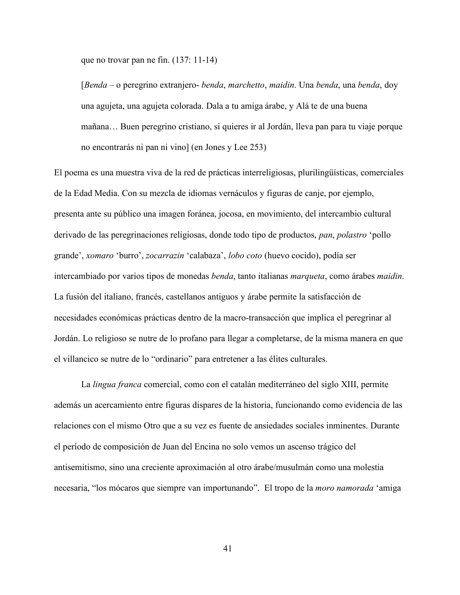que no trovar pan ne fin. (137: 11-14)

[*Benda* – o peregrino extranjero- *benda*, *marchetto*, *maidin*. Una *benda*, una *benda*, doy una agujeta, una agujeta colorada. Dala a tu amiga árabe, y Alá te de una buena mañana… Buen peregrino cristiano, si quieres ir al Jordán, lleva pan para tu viaje porque no encontrarás ni pan ni vino] (en Jones y Lee 253)

El poema es una muestra viva de la red de prácticas interreligiosas, plurilingüísticas, comerciales de la Edad Media. Con su mezcla de idiomas vernáculos y figuras de canje, por ejemplo, presenta ante su público una imagen foránea, jocosa, en movimiento, del intercambio cultural derivado de las peregrinaciones religiosas, donde todo tipo de productos, *pan*, *polastro* 'pollo grande', *xomaro* 'burro', *zocarrazin* 'calabaza', *lobo coto* (huevo cocido), podía ser intercambiado por varios tipos de monedas *benda*, tanto italianas *marqueta*, como árabes *maidin*. La fusión del italiano, francés, castellanos antiguos y árabe permite la satisfacción de necesidades económicas prácticas dentro de la macro-transacción que implica el peregrinar al Jordán. Lo religioso se nutre de lo profano para llegar a completarse, de la misma manera en que el villancico se nutre de lo "ordinario" para entretener a las élites culturales.

La *lingua franca* comercial, como con el catalán mediterráneo del siglo XIII, permite además un acercamiento entre figuras dispares de la historia, funcionando como evidencia de las relaciones con el mismo Otro que a su vez es fuente de ansiedades sociales inminentes. Durante el período de composición de Juan del Encina no solo vemos un ascenso trágico del antisemitismo, sino una creciente aproximación al otro árabe/musulmán como una molestia necesaria, "los mócaros que siempre van importunando". El tropo de la *moro namorada* 'amiga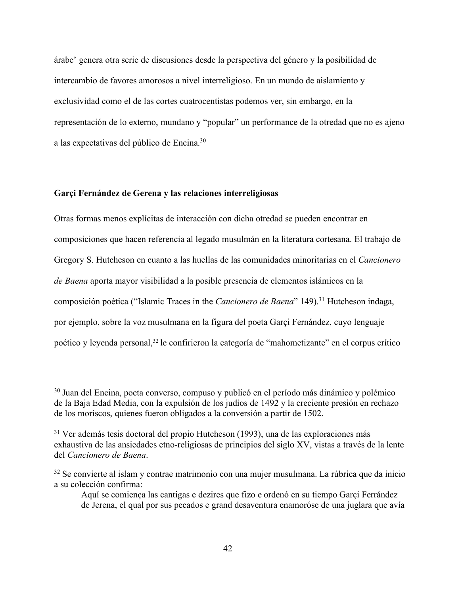árabe' genera otra serie de discusiones desde la perspectiva del género y la posibilidad de intercambio de favores amorosos a nivel interreligioso. En un mundo de aislamiento y exclusividad como el de las cortes cuatrocentistas podemos ver, sin embargo, en la representación de lo externo, mundano y "popular" un performance de la otredad que no es ajeno a las expectativas del público de Encina.30

## **Garçi Fernández de Gerena y las relaciones interreligiosas**

Otras formas menos explícitas de interacción con dicha otredad se pueden encontrar en composiciones que hacen referencia al legado musulmán en la literatura cortesana. El trabajo de Gregory S. Hutcheson en cuanto a las huellas de las comunidades minoritarias en el *Cancionero de Baena* aporta mayor visibilidad a la posible presencia de elementos islámicos en la composición poética ("Islamic Traces in the *Cancionero de Baena*" 149).<sup>31</sup> Hutcheson indaga, por ejemplo, sobre la voz musulmana en la figura del poeta Garçi Fernández, cuyo lenguaje poético y leyenda personal,32 le confirieron la categoría de "mahometizante" en el corpus crítico

 <sup>30</sup> Juan del Encina, poeta converso, compuso y publicó en el período más dinámico y polémico de la Baja Edad Media, con la expulsión de los judíos de 1492 y la creciente presión en rechazo de los moriscos, quienes fueron obligados a la conversión a partir de 1502.

<sup>&</sup>lt;sup>31</sup> Ver además tesis doctoral del propio Hutcheson (1993), una de las exploraciones más exhaustiva de las ansiedades etno-religiosas de principios del siglo XV, vistas a través de la lente del *Cancionero de Baena*.

<sup>&</sup>lt;sup>32</sup> Se convierte al islam y contrae matrimonio con una mujer musulmana. La rúbrica que da inicio a su colección confirma:

Aquí se comiença las cantigas e dezires que fizo e ordenó en su tiempo Garçi Ferrández de Jerena, el qual por sus pecados e grand desaventura enamoróse de una juglara que avía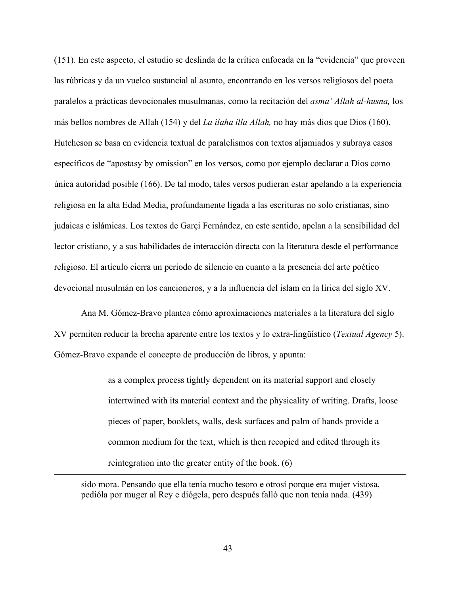(151). En este aspecto, el estudio se deslinda de la crítica enfocada en la "evidencia" que proveen las rúbricas y da un vuelco sustancial al asunto, encontrando en los versos religiosos del poeta paralelos a prácticas devocionales musulmanas, como la recitación del *asma' Allah al-husna,* los más bellos nombres de Allah (154) y del *La ilaha illa Allah,* no hay más dios que Dios (160). Hutcheson se basa en evidencia textual de paralelismos con textos aljamiados y subraya casos específicos de "apostasy by omission" en los versos, como por ejemplo declarar a Dios como única autoridad posible (166). De tal modo, tales versos pudieran estar apelando a la experiencia religiosa en la alta Edad Media, profundamente ligada a las escrituras no solo cristianas, sino judaicas e islámicas. Los textos de Garçi Fernández, en este sentido, apelan a la sensibilidad del lector cristiano, y a sus habilidades de interacción directa con la literatura desde el performance religioso. El artículo cierra un período de silencio en cuanto a la presencia del arte poético devocional musulmán en los cancioneros, y a la influencia del islam en la lírica del siglo XV.

Ana M. Gómez-Bravo plantea cómo aproximaciones materiales a la literatura del siglo XV permiten reducir la brecha aparente entre los textos y lo extra-lingüístico (*Textual Agency* 5). Gómez-Bravo expande el concepto de producción de libros, y apunta:

> as a complex process tightly dependent on its material support and closely intertwined with its material context and the physicality of writing. Drafts, loose pieces of paper, booklets, walls, desk surfaces and palm of hands provide a common medium for the text, which is then recopied and edited through its reintegration into the greater entity of the book. (6)

sido mora. Pensando que ella tenía mucho tesoro e otrosí porque era mujer vistosa, pedióla por muger al Rey e diógela, pero después falló que non tenía nada. (439)

 $\overline{a}$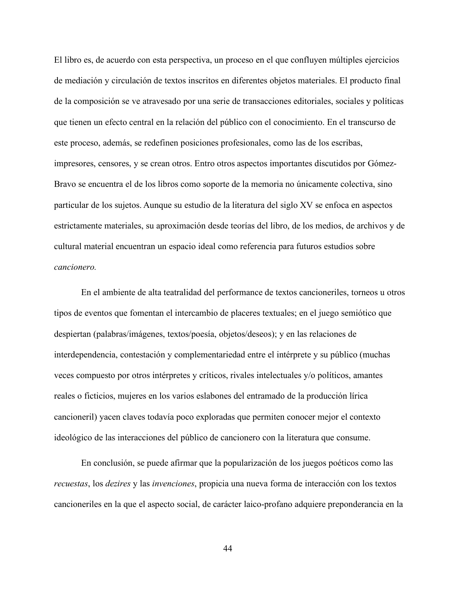El libro es, de acuerdo con esta perspectiva, un proceso en el que confluyen múltiples ejercicios de mediación y circulación de textos inscritos en diferentes objetos materiales. El producto final de la composición se ve atravesado por una serie de transacciones editoriales, sociales y políticas que tienen un efecto central en la relación del público con el conocimiento. En el transcurso de este proceso, además, se redefinen posiciones profesionales, como las de los escribas, impresores, censores, y se crean otros. Entro otros aspectos importantes discutidos por Gómez-Bravo se encuentra el de los libros como soporte de la memoria no únicamente colectiva, sino particular de los sujetos. Aunque su estudio de la literatura del siglo XV se enfoca en aspectos estrictamente materiales, su aproximación desde teorías del libro, de los medios, de archivos y de cultural material encuentran un espacio ideal como referencia para futuros estudios sobre *cancionero.* 

En el ambiente de alta teatralidad del performance de textos cancioneriles, torneos u otros tipos de eventos que fomentan el intercambio de placeres textuales; en el juego semiótico que despiertan (palabras/imágenes, textos/poesía, objetos/deseos); y en las relaciones de interdependencia, contestación y complementariedad entre el intérprete y su público (muchas veces compuesto por otros intérpretes y críticos, rivales intelectuales y/o políticos, amantes reales o ficticios, mujeres en los varios eslabones del entramado de la producción lírica cancioneril) yacen claves todavía poco exploradas que permiten conocer mejor el contexto ideológico de las interacciones del público de cancionero con la literatura que consume.

En conclusión, se puede afirmar que la popularización de los juegos poéticos como las *recuestas*, los *dezires* y las *invenciones*, propicia una nueva forma de interacción con los textos cancioneriles en la que el aspecto social, de carácter laico-profano adquiere preponderancia en la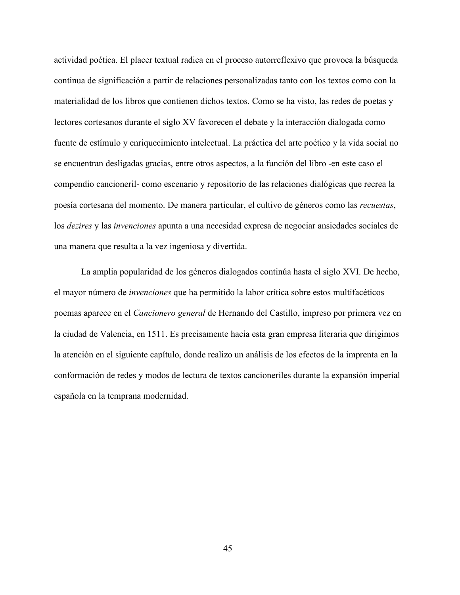actividad poética. El placer textual radica en el proceso autorreflexivo que provoca la búsqueda continua de significación a partir de relaciones personalizadas tanto con los textos como con la materialidad de los libros que contienen dichos textos. Como se ha visto, las redes de poetas y lectores cortesanos durante el siglo XV favorecen el debate y la interacción dialogada como fuente de estímulo y enriquecimiento intelectual. La práctica del arte poético y la vida social no se encuentran desligadas gracias, entre otros aspectos, a la función del libro -en este caso el compendio cancioneril- como escenario y repositorio de las relaciones dialógicas que recrea la poesía cortesana del momento. De manera particular, el cultivo de géneros como las *recuestas*, los *dezires* y las *invenciones* apunta a una necesidad expresa de negociar ansiedades sociales de una manera que resulta a la vez ingeniosa y divertida.

La amplia popularidad de los géneros dialogados continúa hasta el siglo XVI. De hecho, el mayor número de *invenciones* que ha permitido la labor crítica sobre estos multifacéticos poemas aparece en el *Cancionero general* de Hernando del Castillo, impreso por primera vez en la ciudad de Valencia, en 1511. Es precisamente hacia esta gran empresa literaria que dirigimos la atención en el siguiente capítulo, donde realizo un análisis de los efectos de la imprenta en la conformación de redes y modos de lectura de textos cancioneriles durante la expansión imperial española en la temprana modernidad.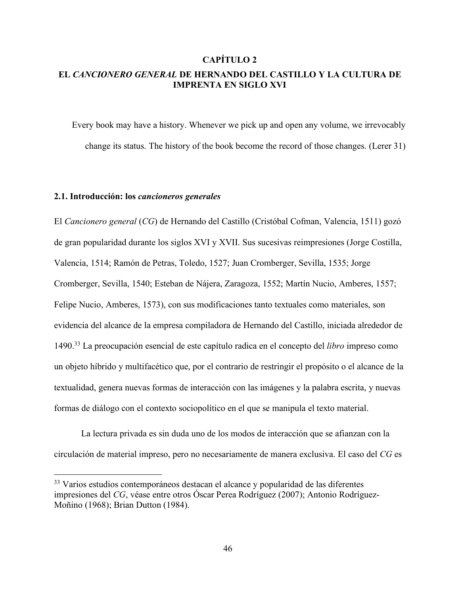# **CAPÍTULO 2**

# **EL** *CANCIONERO GENERAL* **DE HERNANDO DEL CASTILLO Y LA CULTURA DE IMPRENTA EN SIGLO XVI**

Every book may have a history. Whenever we pick up and open any volume, we irrevocably change its status. The history of the book become the record of those changes. (Lerer 31)

### **2.1. Introducción: los** *cancioneros generales*

El *Cancionero general* (*CG*) de Hernando del Castillo (Cristóbal Cofman, Valencia, 1511) gozó de gran popularidad durante los siglos XVI y XVII. Sus sucesivas reimpresiones (Jorge Costilla, Valencia, 1514; Ramón de Petras, Toledo, 1527; Juan Cromberger, Sevilla, 1535; Jorge Cromberger, Sevilla, 1540; Esteban de Nájera, Zaragoza, 1552; Martín Nucio, Amberes, 1557; Felipe Nucio, Amberes, 1573), con sus modificaciones tanto textuales como materiales, son evidencia del alcance de la empresa compiladora de Hernando del Castillo, iniciada alrededor de 1490.33 La preocupación esencial de este capítulo radica en el concepto del *libro* impreso como un objeto híbrido y multifacético que, por el contrario de restringir el propósito o el alcance de la textualidad, genera nuevas formas de interacción con las imágenes y la palabra escrita, y nuevas formas de diálogo con el contexto sociopolítico en el que se manipula el texto material.

La lectura privada es sin duda uno de los modos de interacción que se afianzan con la circulación de material impreso, pero no necesariamente de manera exclusiva. El caso del *CG* es

<sup>33</sup> Varios estudios contemporáneos destacan el alcance y popularidad de las diferentes impresiones del *CG*, véase entre otros Óscar Perea Rodríguez (2007); Antonio Rodríguez-Moñino (1968); Brian Dutton (1984).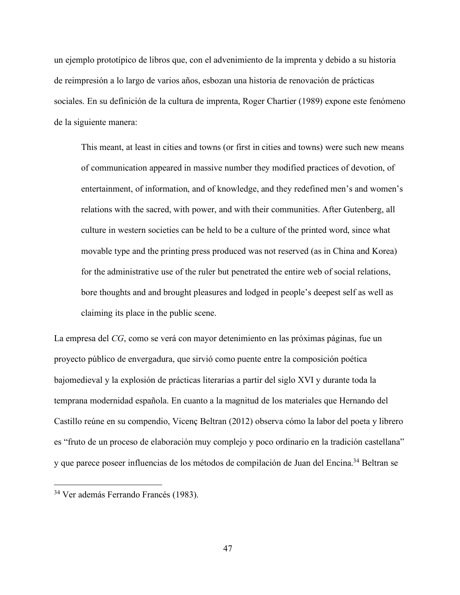un ejemplo prototípico de libros que, con el advenimiento de la imprenta y debido a su historia de reimpresión a lo largo de varios años, esbozan una historia de renovación de prácticas sociales. En su definición de la cultura de imprenta, Roger Chartier (1989) expone este fenómeno de la siguiente manera:

This meant, at least in cities and towns (or first in cities and towns) were such new means of communication appeared in massive number they modified practices of devotion, of entertainment, of information, and of knowledge, and they redefined men's and women's relations with the sacred, with power, and with their communities. After Gutenberg, all culture in western societies can be held to be a culture of the printed word, since what movable type and the printing press produced was not reserved (as in China and Korea) for the administrative use of the ruler but penetrated the entire web of social relations, bore thoughts and and brought pleasures and lodged in people's deepest self as well as claiming its place in the public scene.

La empresa del *CG*, como se verá con mayor detenimiento en las próximas páginas, fue un proyecto público de envergadura, que sirvió como puente entre la composición poética bajomedieval y la explosión de prácticas literarias a partir del siglo XVI y durante toda la temprana modernidad española. En cuanto a la magnitud de los materiales que Hernando del Castillo reúne en su compendio, Vicenç Beltran (2012) observa cómo la labor del poeta y librero es "fruto de un proceso de elaboración muy complejo y poco ordinario en la tradición castellana" y que parece poseer influencias de los métodos de compilación de Juan del Encina.34 Beltran se

 <sup>34</sup> Ver además Ferrando Francés (1983).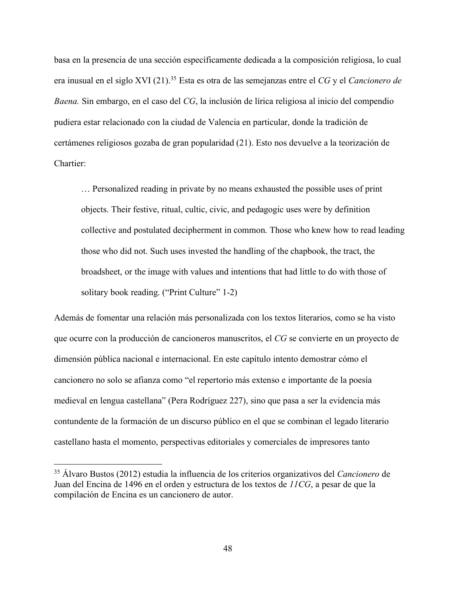basa en la presencia de una sección específicamente dedicada a la composición religiosa, lo cual era inusual en el siglo XVI (21).35 Esta es otra de las semejanzas entre el *CG* y el *Cancionero de Baena.* Sin embargo, en el caso del *CG*, la inclusión de lírica religiosa al inicio del compendio pudiera estar relacionado con la ciudad de Valencia en particular, donde la tradición de certámenes religiosos gozaba de gran popularidad (21). Esto nos devuelve a la teorización de Chartier:

… Personalized reading in private by no means exhausted the possible uses of print objects. Their festive, ritual, cultic, civic, and pedagogic uses were by definition collective and postulated decipherment in common. Those who knew how to read leading those who did not. Such uses invested the handling of the chapbook, the tract, the broadsheet, or the image with values and intentions that had little to do with those of solitary book reading. ("Print Culture" 1-2)

Además de fomentar una relación más personalizada con los textos literarios, como se ha visto que ocurre con la producción de cancioneros manuscritos, el *CG* se convierte en un proyecto de dimensión pública nacional e internacional. En este capítulo intento demostrar cómo el cancionero no solo se afianza como "el repertorio más extenso e importante de la poesía medieval en lengua castellana" (Pera Rodríguez 227), sino que pasa a ser la evidencia más contundente de la formación de un discurso público en el que se combinan el legado literario castellano hasta el momento, perspectivas editoriales y comerciales de impresores tanto

 <sup>35</sup> Álvaro Bustos (2012) estudia la influencia de los criterios organizativos del *Cancionero* de Juan del Encina de 1496 en el orden y estructura de los textos de *11CG*, a pesar de que la compilación de Encina es un cancionero de autor.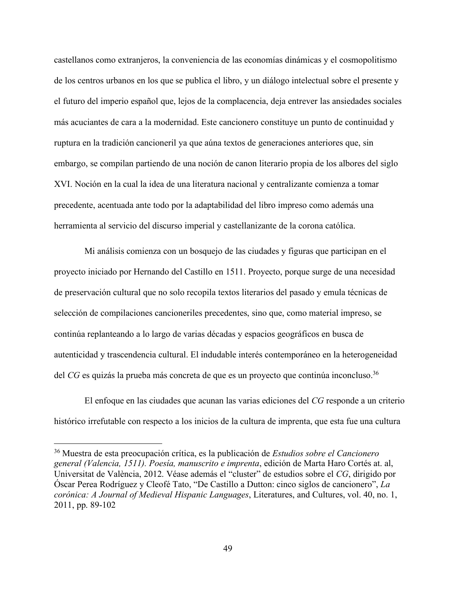castellanos como extranjeros, la conveniencia de las economías dinámicas y el cosmopolitismo de los centros urbanos en los que se publica el libro, y un diálogo intelectual sobre el presente y el futuro del imperio español que, lejos de la complacencia, deja entrever las ansiedades sociales más acuciantes de cara a la modernidad. Este cancionero constituye un punto de continuidad y ruptura en la tradición cancioneril ya que aúna textos de generaciones anteriores que, sin embargo, se compilan partiendo de una noción de canon literario propia de los albores del siglo XVI. Noción en la cual la idea de una literatura nacional y centralizante comienza a tomar precedente, acentuada ante todo por la adaptabilidad del libro impreso como además una herramienta al servicio del discurso imperial y castellanizante de la corona católica.

Mi análisis comienza con un bosquejo de las ciudades y figuras que participan en el proyecto iniciado por Hernando del Castillo en 1511. Proyecto, porque surge de una necesidad de preservación cultural que no solo recopila textos literarios del pasado y emula técnicas de selección de compilaciones cancioneriles precedentes, sino que, como material impreso, se continúa replanteando a lo largo de varias décadas y espacios geográficos en busca de autenticidad y trascendencia cultural. El indudable interés contemporáneo en la heterogeneidad del *CG* es quizás la prueba más concreta de que es un proyecto que continúa inconcluso.<sup>36</sup>

El enfoque en las ciudades que acunan las varias ediciones del *CG* responde a un criterio histórico irrefutable con respecto a los inicios de la cultura de imprenta, que esta fue una cultura

 <sup>36</sup> Muestra de esta preocupación crítica, es la publicación de *Estudios sobre el Cancionero general (Valencia, 1511). Poesía, manuscrito e imprenta*, edición de Marta Haro Cortés at. al, Universitat de València, 2012. Véase además el "cluster" de estudios sobre el *CG*, dirigido por Óscar Perea Rodríguez y Cleofé Tato, "De Castillo a Dutton: cinco siglos de cancionero", *La corónica: A Journal of Medieval Hispanic Languages*, Literatures, and Cultures, vol. 40, no. 1, 2011, pp. 89-102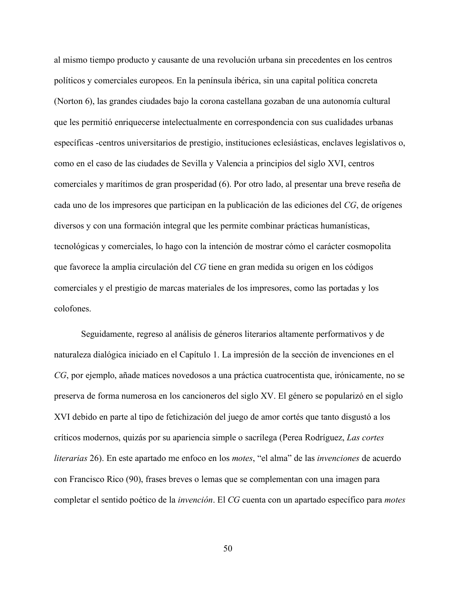al mismo tiempo producto y causante de una revolución urbana sin precedentes en los centros políticos y comerciales europeos. En la península ibérica, sin una capital política concreta (Norton 6), las grandes ciudades bajo la corona castellana gozaban de una autonomía cultural que les permitió enriquecerse intelectualmente en correspondencia con sus cualidades urbanas específicas -centros universitarios de prestigio, instituciones eclesiásticas, enclaves legislativos o, como en el caso de las ciudades de Sevilla y Valencia a principios del siglo XVI, centros comerciales y marítimos de gran prosperidad (6). Por otro lado, al presentar una breve reseña de cada uno de los impresores que participan en la publicación de las ediciones del *CG*, de orígenes diversos y con una formación integral que les permite combinar prácticas humanísticas, tecnológicas y comerciales, lo hago con la intención de mostrar cómo el carácter cosmopolita que favorece la amplia circulación del *CG* tiene en gran medida su origen en los códigos comerciales y el prestigio de marcas materiales de los impresores, como las portadas y los colofones.

Seguidamente, regreso al análisis de géneros literarios altamente performativos y de naturaleza dialógica iniciado en el Capítulo 1. La impresión de la sección de invenciones en el *CG*, por ejemplo, añade matices novedosos a una práctica cuatrocentista que, irónicamente, no se preserva de forma numerosa en los cancioneros del siglo XV. El género se popularizó en el siglo XVI debido en parte al tipo de fetichización del juego de amor cortés que tanto disgustó a los críticos modernos, quizás por su apariencia simple o sacrílega (Perea Rodríguez, *Las cortes literarias* 26). En este apartado me enfoco en los *motes*, "el alma" de las *invenciones* de acuerdo con Francisco Rico (90), frases breves o lemas que se complementan con una imagen para completar el sentido poético de la *invención*. El *CG* cuenta con un apartado específico para *motes*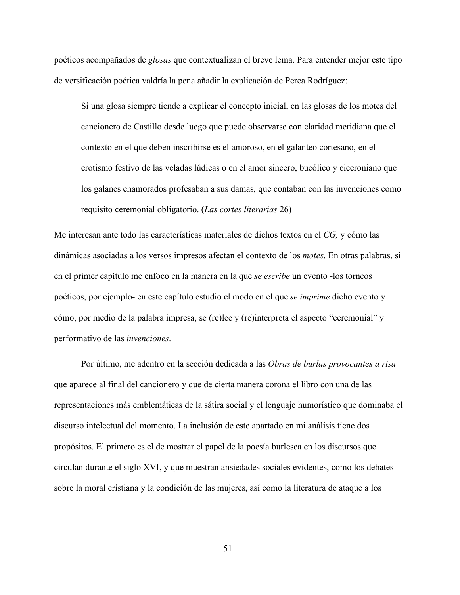poéticos acompañados de *glosas* que contextualizan el breve lema. Para entender mejor este tipo de versificación poética valdría la pena añadir la explicación de Perea Rodríguez:

Si una glosa siempre tiende a explicar el concepto inicial, en las glosas de los motes del cancionero de Castillo desde luego que puede observarse con claridad meridiana que el contexto en el que deben inscribirse es el amoroso, en el galanteo cortesano, en el erotismo festivo de las veladas lúdicas o en el amor sincero, bucólico y ciceroniano que los galanes enamorados profesaban a sus damas, que contaban con las invenciones como requisito ceremonial obligatorio. (*Las cortes literarias* 26)

Me interesan ante todo las características materiales de dichos textos en el *CG,* y cómo las dinámicas asociadas a los versos impresos afectan el contexto de los *motes*. En otras palabras, si en el primer capítulo me enfoco en la manera en la que *se escribe* un evento -los torneos poéticos, por ejemplo- en este capítulo estudio el modo en el que *se imprime* dicho evento y cómo, por medio de la palabra impresa, se (re)lee y (re)interpreta el aspecto "ceremonial" y performativo de las *invenciones*.

Por último, me adentro en la sección dedicada a las *Obras de burlas provocantes a risa* que aparece al final del cancionero y que de cierta manera corona el libro con una de las representaciones más emblemáticas de la sátira social y el lenguaje humorístico que dominaba el discurso intelectual del momento. La inclusión de este apartado en mi análisis tiene dos propósitos. El primero es el de mostrar el papel de la poesía burlesca en los discursos que circulan durante el siglo XVI, y que muestran ansiedades sociales evidentes, como los debates sobre la moral cristiana y la condición de las mujeres, así como la literatura de ataque a los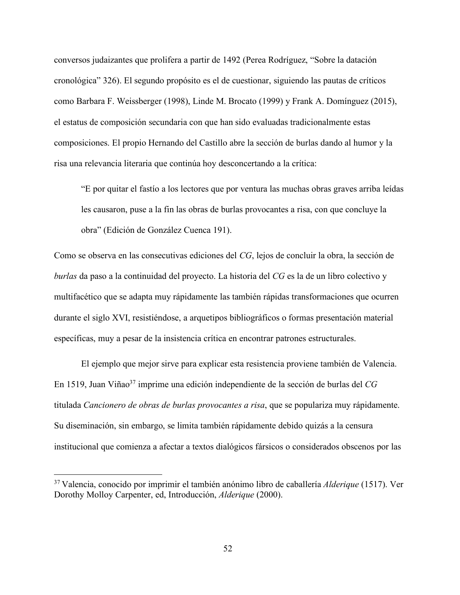conversos judaizantes que prolifera a partir de 1492 (Perea Rodríguez, "Sobre la datación cronológica" 326). El segundo propósito es el de cuestionar, siguiendo las pautas de críticos como Barbara F. Weissberger (1998), Linde M. Brocato (1999) y Frank A. Domínguez (2015), el estatus de composición secundaria con que han sido evaluadas tradicionalmente estas composiciones. El propio Hernando del Castillo abre la sección de burlas dando al humor y la risa una relevancia literaria que continúa hoy desconcertando a la crítica:

"E por quitar el fastío a los lectores que por ventura las muchas obras graves arriba leídas les causaron, puse a la fin las obras de burlas provocantes a risa, con que concluye la obra" (Edición de González Cuenca 191).

Como se observa en las consecutivas ediciones del *CG*, lejos de concluir la obra, la sección de *burlas* da paso a la continuidad del proyecto. La historia del *CG* es la de un libro colectivo y multifacético que se adapta muy rápidamente las también rápidas transformaciones que ocurren durante el siglo XVI, resistiéndose, a arquetipos bibliográficos o formas presentación material específicas, muy a pesar de la insistencia crítica en encontrar patrones estructurales.

El ejemplo que mejor sirve para explicar esta resistencia proviene también de Valencia. En 1519, Juan Viñao37 imprime una edición independiente de la sección de burlas del *CG* titulada *Cancionero de obras de burlas provocantes a risa*, que se populariza muy rápidamente. Su diseminación, sin embargo, se limita también rápidamente debido quizás a la censura institucional que comienza a afectar a textos dialógicos fársicos o considerados obscenos por las

 <sup>37</sup> Valencia, conocido por imprimir el también anónimo libro de caballería *Alderique* (1517). Ver Dorothy Molloy Carpenter, ed, Introducción, *Alderique* (2000).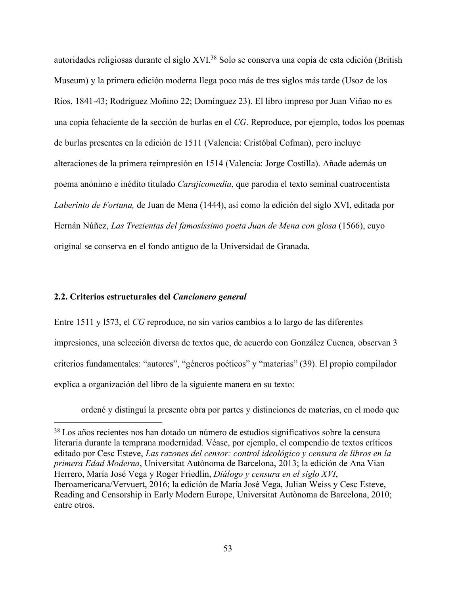autoridades religiosas durante el siglo XVI.38 Solo se conserva una copia de esta edición (British Museum) y la primera edición moderna llega poco más de tres siglos más tarde (Usoz de los Ríos, 1841-43; Rodríguez Moñino 22; Domínguez 23). El libro impreso por Juan Viñao no es una copia fehaciente de la sección de burlas en el *CG*. Reproduce, por ejemplo, todos los poemas de burlas presentes en la edición de 1511 (Valencia: Cristóbal Cofman), pero incluye alteraciones de la primera reimpresión en 1514 (Valencia: Jorge Costilla). Añade además un poema anónimo e inédito titulado *Carajicomedia*, que parodia el texto seminal cuatrocentista *Laberinto de Fortuna,* de Juan de Mena (1444), así como la edición del siglo XVI, editada por Hernán Núñez, *Las Trezientas del famosíssimo poeta Juan de Mena con glosa* (1566), cuyo original se conserva en el fondo antiguo de la Universidad de Granada.

## **2.2. Criterios estructurales del** *Cancionero general*

Entre 1511 y l573, el *CG* reproduce, no sin varios cambios a lo largo de las diferentes impresiones, una selección diversa de textos que, de acuerdo con González Cuenca, observan 3 criterios fundamentales: "autores", "géneros poéticos" y "materias" (39). El propio compilador explica a organización del libro de la siguiente manera en su texto:

ordené y distinguí la presente obra por partes y distinciones de materias, en el modo que

 <sup>38</sup> Los años recientes nos han dotado un número de estudios significativos sobre la censura literaria durante la temprana modernidad. Véase, por ejemplo, el compendio de textos críticos editado por Cesc Esteve, *Las razones del censor: control ideológico y censura de libros en la primera Edad Moderna*, Universitat Autònoma de Barcelona, 2013; la edición de Ana Vian Herrero, María José Vega y Roger Friedlin, *Diálogo y censura en el siglo XVI*, Iberoamericana/Vervuert, 2016; la edición de María José Vega, Julian Weiss y Cesc Esteve, Reading and Censorship in Early Modern Europe, Universitat Autònoma de Barcelona, 2010; entre otros.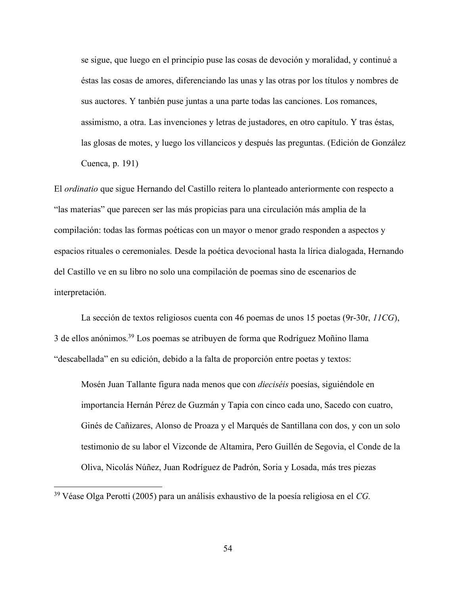se sigue, que luego en el principio puse las cosas de devoción y moralidad, y continué a éstas las cosas de amores, diferenciando las unas y las otras por los títulos y nombres de sus auctores. Y tanbién puse juntas a una parte todas las canciones. Los romances, assimismo, a otra. Las invenciones y letras de justadores, en otro capítulo. Y tras éstas, las glosas de motes, y luego los villancicos y después las preguntas. (Edición de González Cuenca, p. 191)

El *ordinatio* que sigue Hernando del Castillo reitera lo planteado anteriormente con respecto a "las materias" que parecen ser las más propicias para una circulación más amplia de la compilación: todas las formas poéticas con un mayor o menor grado responden a aspectos y espacios rituales o ceremoniales. Desde la poética devocional hasta la lírica dialogada, Hernando del Castillo ve en su libro no solo una compilación de poemas sino de escenarios de interpretación.

La sección de textos religiosos cuenta con 46 poemas de unos 15 poetas (9r-30r, *11CG*), 3 de ellos anónimos.39 Los poemas se atribuyen de forma que Rodríguez Moñino llama "descabellada" en su edición, debido a la falta de proporción entre poetas y textos:

Mosén Juan Tallante figura nada menos que con *dieciséis* poesías, siguiéndole en importancia Hernán Pérez de Guzmán y Tapia con cinco cada uno, Sacedo con cuatro, Ginés de Cañizares, Alonso de Proaza y el Marqués de Santillana con dos, y con un solo testimonio de su labor el Vizconde de Altamira, Pero Guillén de Segovia, el Conde de la Oliva, Nicolás Núñez, Juan Rodríguez de Padrón, Soria y Losada, más tres piezas

 <sup>39</sup> Véase Olga Perotti (2005) para un análisis exhaustivo de la poesía religiosa en el *CG.*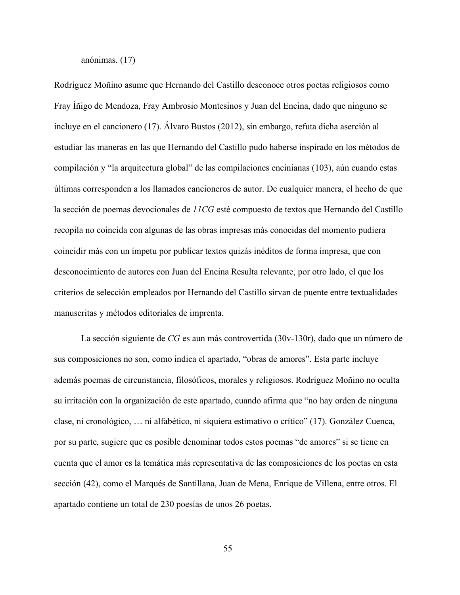anónimas. (17)

Rodríguez Moñino asume que Hernando del Castillo desconoce otros poetas religiosos como Fray Íñigo de Mendoza, Fray Ambrosio Montesinos y Juan del Encina, dado que ninguno se incluye en el cancionero (17). Álvaro Bustos (2012), sin embargo, refuta dicha aserción al estudiar las maneras en las que Hernando del Castillo pudo haberse inspirado en los métodos de compilación y "la arquitectura global" de las compilaciones encinianas (103), aún cuando estas últimas corresponden a los llamados cancioneros de autor. De cualquier manera, el hecho de que la sección de poemas devocionales de *11CG* esté compuesto de textos que Hernando del Castillo recopila no coincida con algunas de las obras impresas más conocidas del momento pudiera coincidir más con un ímpetu por publicar textos quizás inéditos de forma impresa, que con desconocimiento de autores con Juan del Encina Resulta relevante, por otro lado, el que los criterios de selección empleados por Hernando del Castillo sirvan de puente entre textualidades manuscritas y métodos editoriales de imprenta.

La sección siguiente de *CG* es aun más controvertida (30v-130r), dado que un número de sus composiciones no son, como indica el apartado, "obras de amores". Esta parte incluye además poemas de circunstancia, filosóficos, morales y religiosos. Rodríguez Moñino no oculta su irritación con la organización de este apartado, cuando afirma que "no hay orden de ninguna clase, ni cronológico, … ni alfabético, ni siquiera estimativo o crítico" (17). González Cuenca, por su parte, sugiere que es posible denominar todos estos poemas "de amores" si se tiene en cuenta que el amor es la temática más representativa de las composiciones de los poetas en esta sección (42), como el Marqués de Santillana, Juan de Mena, Enrique de Villena, entre otros. El apartado contiene un total de 230 poesías de unos 26 poetas.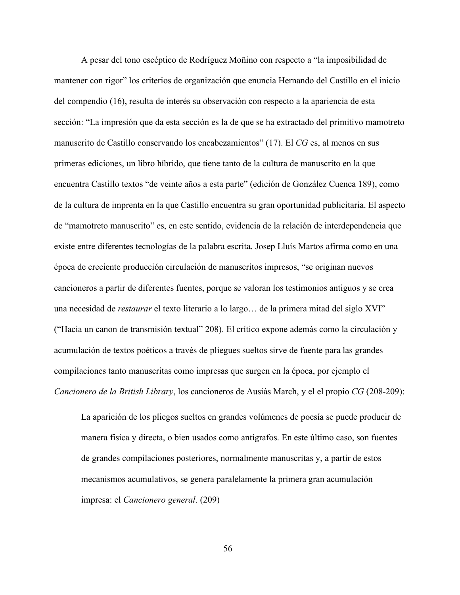A pesar del tono escéptico de Rodríguez Moñino con respecto a "la imposibilidad de mantener con rigor" los criterios de organización que enuncia Hernando del Castillo en el inicio del compendio (16), resulta de interés su observación con respecto a la apariencia de esta sección: "La impresión que da esta sección es la de que se ha extractado del primitivo mamotreto manuscrito de Castillo conservando los encabezamientos" (17). El *CG* es, al menos en sus primeras ediciones, un libro híbrido, que tiene tanto de la cultura de manuscrito en la que encuentra Castillo textos "de veinte años a esta parte" (edición de González Cuenca 189), como de la cultura de imprenta en la que Castillo encuentra su gran oportunidad publicitaria. El aspecto de "mamotreto manuscrito" es, en este sentido, evidencia de la relación de interdependencia que existe entre diferentes tecnologías de la palabra escrita. Josep Lluís Martos afirma como en una época de creciente producción circulación de manuscritos impresos, "se originan nuevos cancioneros a partir de diferentes fuentes, porque se valoran los testimonios antiguos y se crea una necesidad de *restaurar* el texto literario a lo largo… de la primera mitad del siglo XVI" ("Hacia un canon de transmisión textual" 208). El crítico expone además como la circulación y acumulación de textos poéticos a través de pliegues sueltos sirve de fuente para las grandes compilaciones tanto manuscritas como impresas que surgen en la época, por ejemplo el *Cancionero de la British Library*, los cancioneros de Ausiàs March, y el el propio *CG* (208-209):

La aparición de los pliegos sueltos en grandes volúmenes de poesía se puede producir de manera física y directa, o bien usados como antígrafos. En este último caso, son fuentes de grandes compilaciones posteriores, normalmente manuscritas y, a partir de estos mecanismos acumulativos, se genera paralelamente la primera gran acumulación impresa: el *Cancionero general*. (209)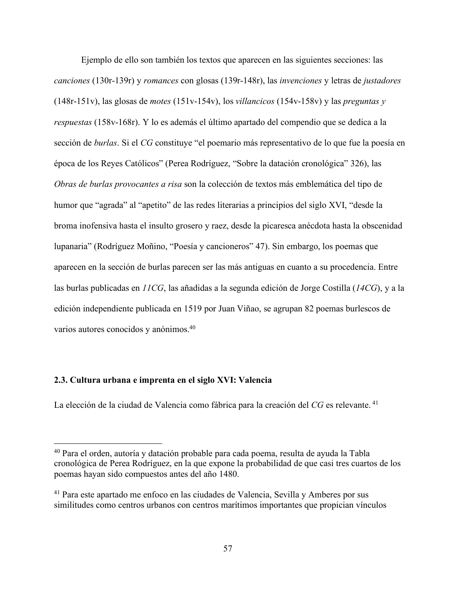Ejemplo de ello son también los textos que aparecen en las siguientes secciones: las *canciones* (130r-139r) y *romances* con glosas (139r-148r), las *invenciones* y letras de *justadores* (148r-151v), las glosas de *motes* (151v-154v), los *villancicos* (154v-158v) y las *preguntas y respuestas* (158v-168r). Y lo es además el último apartado del compendio que se dedica a la sección de *burlas*. Si el *CG* constituye "el poemario más representativo de lo que fue la poesía en época de los Reyes Católicos" (Perea Rodríguez, "Sobre la datación cronológica" 326), las *Obras de burlas provocantes a risa* son la colección de textos más emblemática del tipo de humor que "agrada" al "apetito" de las redes literarias a principios del siglo XVI, "desde la broma inofensiva hasta el insulto grosero y raez, desde la picaresca anécdota hasta la obscenidad lupanaria" (Rodríguez Moñino, "Poesía y cancioneros" 47). Sin embargo, los poemas que aparecen en la sección de burlas parecen ser las más antiguas en cuanto a su procedencia. Entre las burlas publicadas en *11CG*, las añadidas a la segunda edición de Jorge Costilla (*14CG*), y a la edición independiente publicada en 1519 por Juan Viñao, se agrupan 82 poemas burlescos de varios autores conocidos y anónimos.40

## **2.3. Cultura urbana e imprenta en el siglo XVI: Valencia**

La elección de la ciudad de Valencia como fábrica para la creación del CG es relevante.<sup>41</sup>

 <sup>40</sup> Para el orden, autoría y datación probable para cada poema, resulta de ayuda la Tabla cronológica de Perea Rodríguez, en la que expone la probabilidad de que casi tres cuartos de los poemas hayan sido compuestos antes del año 1480.

<sup>41</sup> Para este apartado me enfoco en las ciudades de Valencia, Sevilla y Amberes por sus similitudes como centros urbanos con centros marítimos importantes que propician vínculos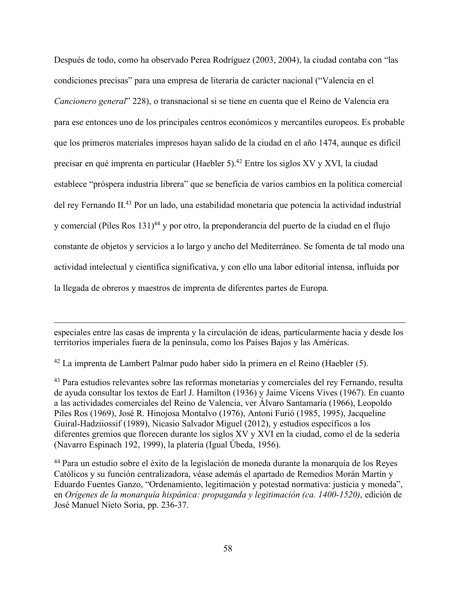Después de todo, como ha observado Perea Rodríguez (2003, 2004), la ciudad contaba con "las condiciones precisas" para una empresa de literaria de carácter nacional ("Valencia en el *Cancionero general*" 228), o transnacional si se tiene en cuenta que el Reino de Valencia era para ese entonces uno de los principales centros económicos y mercantiles europeos. Es probable que los primeros materiales impresos hayan salido de la ciudad en el año 1474, aunque es difícil precisar en qué imprenta en particular (Haebler 5).42 Entre los siglos XV y XVI, la ciudad establece "próspera industria librera" que se beneficia de varios cambios en la política comercial del rey Fernando II.43 Por un lado, una estabilidad monetaria que potencia la actividad industrial y comercial (Piles Ros 131)44 y por otro, la preponderancia del puerto de la ciudad en el flujo constante de objetos y servicios a lo largo y ancho del Mediterráneo. Se fomenta de tal modo una actividad intelectual y científica significativa, y con ello una labor editorial intensa, influida por la llegada de obreros y maestros de imprenta de diferentes partes de Europa.

especiales entre las casas de imprenta y la circulación de ideas, particularmente hacia y desde los territorios imperiales fuera de la península, como los Países Bajos y las Américas.

<sup>42</sup> La imprenta de Lambert Palmar pudo haber sido la primera en el Reino (Haebler (5).

 $\overline{a}$ 

<sup>43</sup> Para estudios relevantes sobre las reformas monetarias y comerciales del rey Fernando, resulta de ayuda consultar los textos de Earl J. Hamilton (1936) y Jaime Vicens Vives (1967). En cuanto a las actividades comerciales del Reino de Valencia, ver Álvaro Santamaría (1966), Leopoldo Piles Ros (1969), José R. Hinojosa Montalvo (1976), Antoni Furió (1985, 1995), Jacqueline Guiral-Hadziiossif (1989), Nicasio Salvador Miguel (2012), y estudios específicos a los diferentes gremios que florecen durante los siglos XV y XVI en la ciudad, como el de la sedería (Navarro Espinach 192, 1999), la platería (Igual Úbeda, 1956).

<sup>44</sup> Para un estudio sobre el éxito de la legislación de moneda durante la monarquía de los Reyes Católicos y su función centralizadora, véase además el apartado de Remedios Morán Martín y Eduardo Fuentes Ganzo, "Ordenamiento, legitimación y potestad normativa: justicia y moneda", en *Orígenes de la monarquía hispánica: propaganda y legitimación (ca. 1400-1520)*, edición de José Manuel Nieto Soria, pp. 236-37.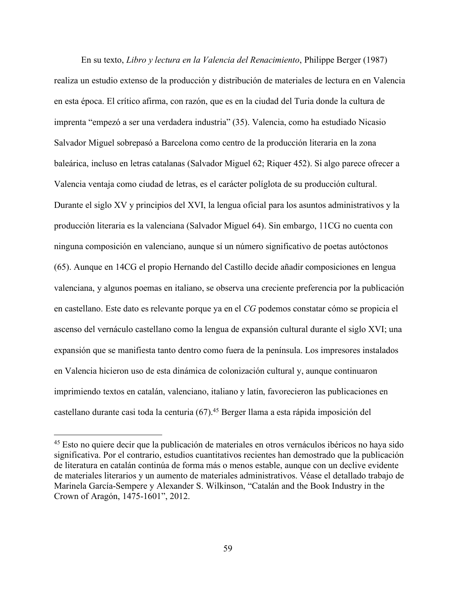En su texto, *Libro y lectura en la Valencia del Renacimiento*, Philippe Berger (1987) realiza un estudio extenso de la producción y distribución de materiales de lectura en en Valencia en esta época. El crítico afirma, con razón, que es en la ciudad del Turia donde la cultura de imprenta "empezó a ser una verdadera industria" (35). Valencia, como ha estudiado Nicasio Salvador Miguel sobrepasó a Barcelona como centro de la producción literaria en la zona baleárica, incluso en letras catalanas (Salvador Miguel 62; Riquer 452). Si algo parece ofrecer a Valencia ventaja como ciudad de letras, es el carácter políglota de su producción cultural. Durante el siglo XV y principios del XVI, la lengua oficial para los asuntos administrativos y la producción literaria es la valenciana (Salvador Miguel 64). Sin embargo, 11CG no cuenta con ninguna composición en valenciano, aunque sí un número significativo de poetas autóctonos (65). Aunque en 14CG el propio Hernando del Castillo decide añadir composiciones en lengua valenciana, y algunos poemas en italiano, se observa una creciente preferencia por la publicación en castellano. Este dato es relevante porque ya en el *CG* podemos constatar cómo se propicia el ascenso del vernáculo castellano como la lengua de expansión cultural durante el siglo XVI; una expansión que se manifiesta tanto dentro como fuera de la península. Los impresores instalados en Valencia hicieron uso de esta dinámica de colonización cultural y, aunque continuaron imprimiendo textos en catalán, valenciano, italiano y latín, favorecieron las publicaciones en castellano durante casi toda la centuria (67).45 Berger llama a esta rápida imposición del

 <sup>45</sup> Esto no quiere decir que la publicación de materiales en otros vernáculos ibéricos no haya sido significativa. Por el contrario, estudios cuantitativos recientes han demostrado que la publicación de literatura en catalán continúa de forma más o menos estable, aunque con un declive evidente de materiales literarios y un aumento de materiales administrativos. Véase el detallado trabajo de Marinela García-Sempere y Alexander S. Wilkinson, "Catalán and the Book Industry in the Crown of Aragón, 1475-1601", 2012.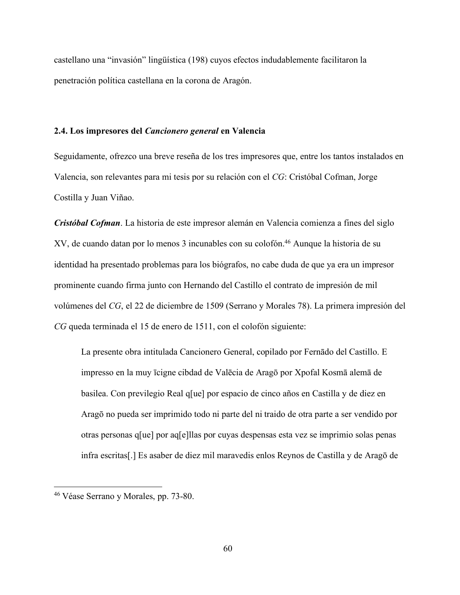castellano una "invasión" lingüística (198) cuyos efectos indudablemente facilitaron la penetración política castellana en la corona de Aragón.

### **2.4. Los impresores del** *Cancionero general* **en Valencia**

Seguidamente, ofrezco una breve reseña de los tres impresores que, entre los tantos instalados en Valencia, son relevantes para mi tesis por su relación con el *CG*: Cristóbal Cofman, Jorge Costilla y Juan Viñao.

*Cristóbal Cofman*. La historia de este impresor alemán en Valencia comienza a fines del siglo XV, de cuando datan por lo menos 3 incunables con su colofón.46 Aunque la historia de su identidad ha presentado problemas para los biógrafos, no cabe duda de que ya era un impresor prominente cuando firma junto con Hernando del Castillo el contrato de impresión de mil volúmenes del *CG*, el 22 de diciembre de 1509 (Serrano y Morales 78). La primera impresión del *CG* queda terminada el 15 de enero de 1511, con el colofón siguiente:

La presente obra intitulada Cancionero General, copilado por Fernādo del Castillo. E impresso en la muy īcigne cibdad de Valēcia de Aragō por Xpofal Kosmā alemā de basilea. Con previlegio Real q[ue] por espacio de cinco años en Castilla y de diez en Aragō no pueda ser imprimido todo ni parte del ni traido de otra parte a ser vendido por otras personas q[ue] por aq[e]llas por cuyas despensas esta vez se imprimio solas penas infra escritas[.] Es asaber de diez mil maravedis enlos Reynos de Castilla y de Aragō de

 <sup>46</sup> Véase Serrano y Morales, pp. 73-80.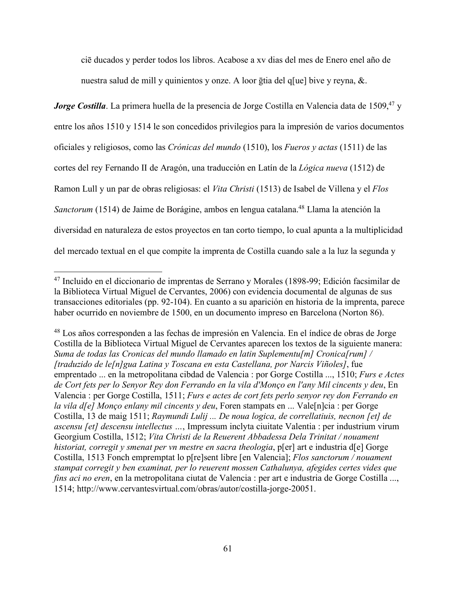ciē ducados y perder todos los libros. Acabose a xv dias del mes de Enero enel año de nuestra salud de mill y quinientos y onze. A loor ḡtia del q[ue] bive y reyna, &.

*Jorge Costilla*. La primera huella de la presencia de Jorge Costilla en Valencia data de 1509,<sup>47</sup> y entre los años 1510 y 1514 le son concedidos privilegios para la impresión de varios documentos oficiales y religiosos, como las *Crónicas del mundo* (1510), los *Fueros y actas* (1511) de las cortes del rey Fernando II de Aragón, una traducción en Latín de la *Lógica nueva* (1512) de Ramon Lull y un par de obras religiosas: el *Vita Christi* (1513) de Isabel de Villena y el *Flos Sanctorum* (1514) de Jaime de Borágine, ambos en lengua catalana.<sup>48</sup> Llama la atención la diversidad en naturaleza de estos proyectos en tan corto tiempo, lo cual apunta a la multiplicidad del mercado textual en el que compite la imprenta de Costilla cuando sale a la luz la segunda y

<sup>48</sup> Los años corresponden a las fechas de impresión en Valencia. En el índice de obras de Jorge Costilla de la Biblioteca Virtual Miguel de Cervantes aparecen los textos de la siguiente manera: *Suma de todas las Cronicas del mundo llamado en latin Suplementu[m] Cronica[rum] / [traduzido de le[n]gua Latina y Toscana en esta Castellana, por Narcis Viñoles]*, fue emprentado ... en la metropolitana cibdad de Valencia : por Gorge Costilla ..., 1510; *Furs e Actes de Cort fets per lo Senyor Rey don Ferrando en la vila d'Monço en l'any Mil cincents y deu*, En Valencia : per Gorge Costilla, 1511; *Furs e actes de cort fets perlo senyor rey don Ferrando en la vila d[e] Monço enlany mil cincents y deu*, Foren stampats en ... Vale[n]cia : per Gorge Costilla, 13 de maig 1511; *Raymundi Lulij ... De noua logica, de correllatiuis, necnon [et] de ascensu [et] descensu intellectus …*, Impressum inclyta ciuitate Valentia : per industrium virum Georgium Costilla, 1512; *Vita Christi de la Reuerent Abbadessa Dela Trinitat / nouament historiat, corregit y smenat per vn mestre en sacra theologia*, p[er] art e industria d[e] Gorge Costilla, 1513 Fonch empremptat lo p[re]sent libre [en Valencia]; *Flos sanctorum / nouament stampat corregit y ben examinat, per lo reuerent mossen Cathalunya, afegides certes vides que fins aci no eren*, en la metropolitana ciutat de Valencia : per art e industria de Gorge Costilla ..., 1514; http://www.cervantesvirtual.com/obras/autor/costilla-jorge-20051.

 <sup>47</sup> Incluido en el diccionario de imprentas de Serrano y Morales (1898-99; Edición facsimilar de la Biblioteca Virtual Miguel de Cervantes, 2006) con evidencia documental de algunas de sus transacciones editoriales (pp. 92-104). En cuanto a su aparición en historia de la imprenta, parece haber ocurrido en noviembre de 1500, en un documento impreso en Barcelona (Norton 86).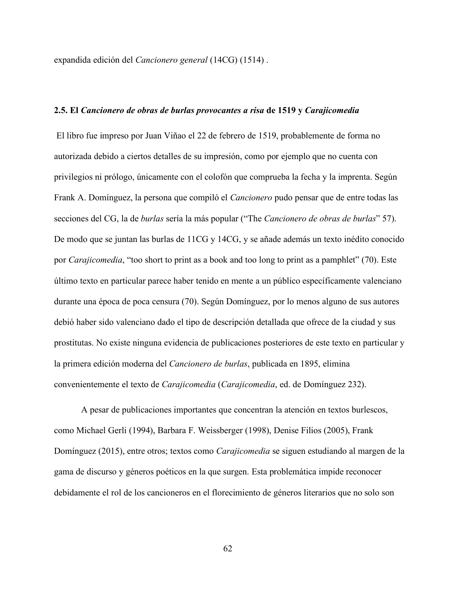expandida edición del *Cancionero general* (14CG) (1514) .

### **2.5. El** *Cancionero de obras de burlas provocantes a risa* **de 1519 y** *Carajicomedia*

El libro fue impreso por Juan Viñao el 22 de febrero de 1519, probablemente de forma no autorizada debido a ciertos detalles de su impresión, como por ejemplo que no cuenta con privilegios ni prólogo, únicamente con el colofón que comprueba la fecha y la imprenta. Según Frank A. Domínguez, la persona que compiló el *Cancionero* pudo pensar que de entre todas las secciones del CG, la de *burlas* sería la más popular ("The *Cancionero de obras de burlas*" 57). De modo que se juntan las burlas de 11CG y 14CG, y se añade además un texto inédito conocido por *Carajicomedia*, "too short to print as a book and too long to print as a pamphlet" (70). Este último texto en particular parece haber tenido en mente a un público específicamente valenciano durante una época de poca censura (70). Según Domínguez, por lo menos alguno de sus autores debió haber sido valenciano dado el tipo de descripción detallada que ofrece de la ciudad y sus prostitutas. No existe ninguna evidencia de publicaciones posteriores de este texto en particular y la primera edición moderna del *Cancionero de burlas*, publicada en 1895, elimina convenientemente el texto de *Carajicomedia* (*Carajicomedia*, ed. de Domínguez 232).

A pesar de publicaciones importantes que concentran la atención en textos burlescos, como Michael Gerli (1994), Barbara F. Weissberger (1998), Denise Filios (2005), Frank Domínguez (2015), entre otros; textos como *Carajicomedia* se siguen estudiando al margen de la gama de discurso y géneros poéticos en la que surgen. Esta problemática impide reconocer debidamente el rol de los cancioneros en el florecimiento de géneros literarios que no solo son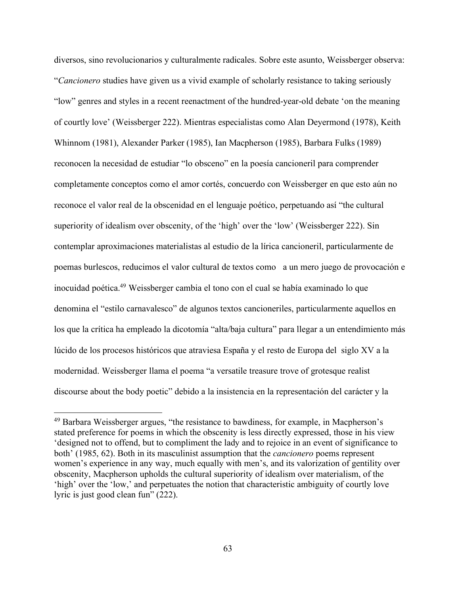diversos, sino revolucionarios y culturalmente radicales. Sobre este asunto, Weissberger observa: "*Cancionero* studies have given us a vivid example of scholarly resistance to taking seriously "low" genres and styles in a recent reenactment of the hundred-year-old debate 'on the meaning of courtly love' (Weissberger 222). Mientras especialistas como Alan Deyermond (1978), Keith Whinnom (1981), Alexander Parker (1985), Ian Macpherson (1985), Barbara Fulks (1989) reconocen la necesidad de estudiar "lo obsceno" en la poesía cancioneril para comprender completamente conceptos como el amor cortés, concuerdo con Weissberger en que esto aún no reconoce el valor real de la obscenidad en el lenguaje poético, perpetuando así "the cultural superiority of idealism over obscenity, of the 'high' over the 'low' (Weissberger 222). Sin contemplar aproximaciones materialistas al estudio de la lírica cancioneril, particularmente de poemas burlescos, reducimos el valor cultural de textos como a un mero juego de provocación e inocuidad poética.49 Weissberger cambia el tono con el cual se había examinado lo que denomina el "estilo carnavalesco" de algunos textos cancioneriles, particularmente aquellos en los que la crítica ha empleado la dicotomía "alta/baja cultura" para llegar a un entendimiento más lúcido de los procesos históricos que atraviesa España y el resto de Europa del siglo XV a la modernidad. Weissberger llama el poema "a versatile treasure trove of grotesque realist discourse about the body poetic" debido a la insistencia en la representación del carácter y la

 <sup>49</sup> Barbara Weissberger argues, "the resistance to bawdiness, for example, in Macpherson's stated preference for poems in which the obscenity is less directly expressed, those in his view 'designed not to offend, but to compliment the lady and to rejoice in an event of significance to both' (1985, 62). Both in its masculinist assumption that the *cancionero* poems represent women's experience in any way, much equally with men's, and its valorization of gentility over obscenity, Macpherson upholds the cultural superiority of idealism over materialism, of the 'high' over the 'low,' and perpetuates the notion that characteristic ambiguity of courtly love lyric is just good clean fun" (222).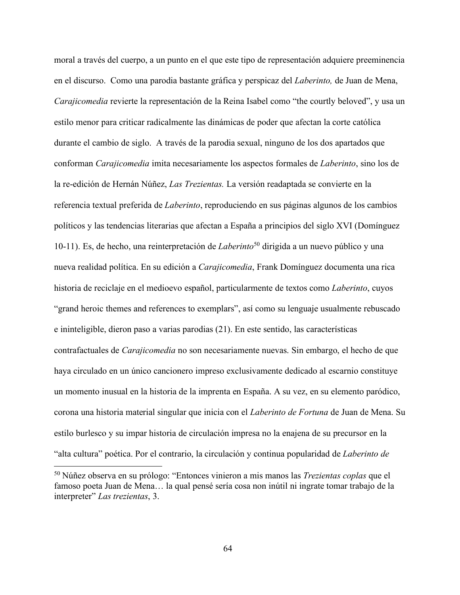moral a través del cuerpo, a un punto en el que este tipo de representación adquiere preeminencia en el discurso. Como una parodia bastante gráfica y perspicaz del *Laberinto,* de Juan de Mena, *Carajicomedia* revierte la representación de la Reina Isabel como "the courtly beloved", y usa un estilo menor para criticar radicalmente las dinámicas de poder que afectan la corte católica durante el cambio de siglo. A través de la parodia sexual, ninguno de los dos apartados que conforman *Carajicomedia* imita necesariamente los aspectos formales de *Laberinto*, sino los de la re-edición de Hernán Núñez, *Las Trezientas.* La versión readaptada se convierte en la referencia textual preferida de *Laberinto*, reproduciendo en sus páginas algunos de los cambios políticos y las tendencias literarias que afectan a España a principios del siglo XVI (Domínguez 10-11). Es, de hecho, una reinterpretación de *Laberinto*<sup>50</sup> dirigida a un nuevo público y una nueva realidad política. En su edición a *Carajicomedia*, Frank Domínguez documenta una rica historia de reciclaje en el medioevo español, particularmente de textos como *Laberinto*, cuyos "grand heroic themes and references to exemplars", así como su lenguaje usualmente rebuscado e ininteligible, dieron paso a varias parodias (21). En este sentido, las características contrafactuales de *Carajicomedia* no son necesariamente nuevas. Sin embargo, el hecho de que haya circulado en un único cancionero impreso exclusivamente dedicado al escarnio constituye un momento inusual en la historia de la imprenta en España. A su vez, en su elemento paródico, corona una historia material singular que inicia con el *Laberinto de Fortuna* de Juan de Mena. Su estilo burlesco y su impar historia de circulación impresa no la enajena de su precursor en la "alta cultura" poética. Por el contrario, la circulación y continua popularidad de *Laberinto de* 

 <sup>50</sup> Núñez observa en su prólogo: "Entonces vinieron a mis manos las *Trezientas coplas* que el famoso poeta Juan de Mena… la qual pensé sería cosa non inútil ni ingrate tomar trabajo de la interpreter" *Las trezientas*, 3.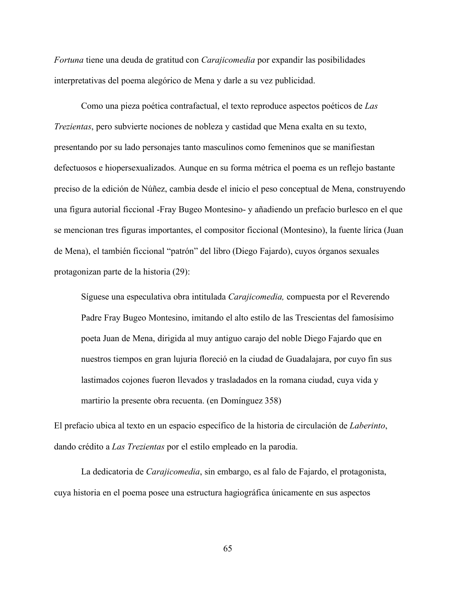*Fortuna* tiene una deuda de gratitud con *Carajicomedia* por expandir las posibilidades interpretativas del poema alegórico de Mena y darle a su vez publicidad.

Como una pieza poética contrafactual, el texto reproduce aspectos poéticos de *Las Trezientas*, pero subvierte nociones de nobleza y castidad que Mena exalta en su texto, presentando por su lado personajes tanto masculinos como femeninos que se manifiestan defectuosos e hiopersexualizados. Aunque en su forma métrica el poema es un reflejo bastante preciso de la edición de Núñez, cambia desde el inicio el peso conceptual de Mena, construyendo una figura autorial ficcional -Fray Bugeo Montesino- y añadiendo un prefacio burlesco en el que se mencionan tres figuras importantes, el compositor ficcional (Montesino), la fuente lírica (Juan de Mena), el también ficcional "patrón" del libro (Diego Fajardo), cuyos órganos sexuales protagonizan parte de la historia (29):

Síguese una especulativa obra intitulada *Carajicomedia,* compuesta por el Reverendo Padre Fray Bugeo Montesino, imitando el alto estilo de las Trescientas del famosísimo poeta Juan de Mena, dirigida al muy antiguo carajo del noble Diego Fajardo que en nuestros tiempos en gran lujuria floreció en la ciudad de Guadalajara, por cuyo fin sus lastimados cojones fueron llevados y trasladados en la romana ciudad, cuya vida y martirio la presente obra recuenta. (en Domínguez 358)

El prefacio ubica al texto en un espacio específico de la historia de circulación de *Laberinto*, dando crédito a *Las Trezientas* por el estilo empleado en la parodia.

La dedicatoria de *Carajicomedia*, sin embargo, es al falo de Fajardo, el protagonista, cuya historia en el poema posee una estructura hagiográfica únicamente en sus aspectos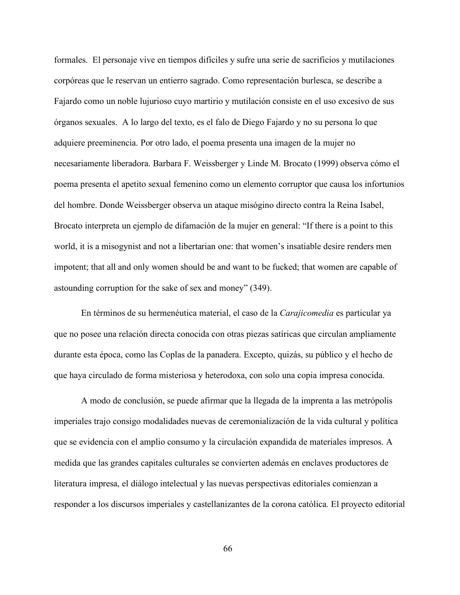formales. El personaje vive en tiempos difíciles y sufre una serie de sacrificios y mutilaciones corpóreas que le reservan un entierro sagrado. Como representación burlesca, se describe a Fajardo como un noble lujurioso cuyo martirio y mutilación consiste en el uso excesivo de sus órganos sexuales. A lo largo del texto, es el falo de Diego Fajardo y no su persona lo que adquiere preeminencia. Por otro lado, el poema presenta una imagen de la mujer no necesariamente liberadora. Barbara F. Weissberger y Linde M. Brocato (1999) observa cómo el poema presenta el apetito sexual femenino como un elemento corruptor que causa los infortunios del hombre. Donde Weissberger observa un ataque misógino directo contra la Reina Isabel, Brocato interpreta un ejemplo de difamación de la mujer en general: "If there is a point to this world, it is a misogynist and not a libertarian one: that women's insatiable desire renders men impotent; that all and only women should be and want to be fucked; that women are capable of astounding corruption for the sake of sex and money" (349).

En términos de su hermenéutica material, el caso de la *Carajicomedia* es particular ya que no posee una relación directa conocida con otras piezas satíricas que circulan ampliamente durante esta época, como las Coplas de la panadera. Excepto, quizás, su público y el hecho de que haya circulado de forma misteriosa y heterodoxa, con solo una copia impresa conocida.

A modo de conclusión, se puede afirmar que la llegada de la imprenta a las metrópolis imperiales trajo consigo modalidades nuevas de ceremonialización de la vida cultural y política que se evidencia con el amplio consumo y la circulación expandida de materiales impresos. A medida que las grandes capitales culturales se convierten además en enclaves productores de literatura impresa, el diálogo intelectual y las nuevas perspectivas editoriales comienzan a responder a los discursos imperiales y castellanizantes de la corona católica. El proyecto editorial

66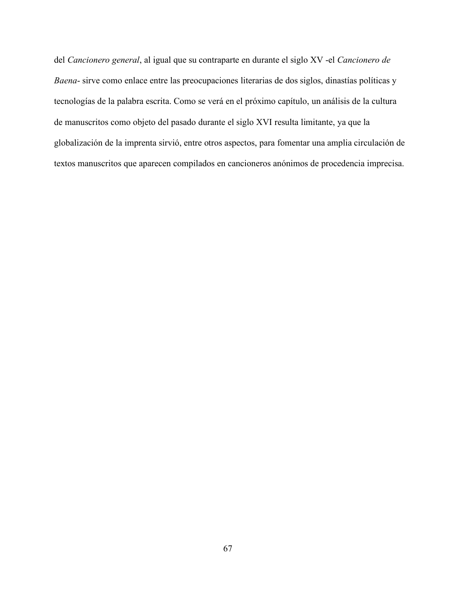del *Cancionero general*, al igual que su contraparte en durante el siglo XV -el *Cancionero de Baena*- sirve como enlace entre las preocupaciones literarias de dos siglos, dinastías políticas y tecnologías de la palabra escrita. Como se verá en el próximo capítulo, un análisis de la cultura de manuscritos como objeto del pasado durante el siglo XVI resulta limitante, ya que la globalización de la imprenta sirvió, entre otros aspectos, para fomentar una amplia circulación de textos manuscritos que aparecen compilados en cancioneros anónimos de procedencia imprecisa.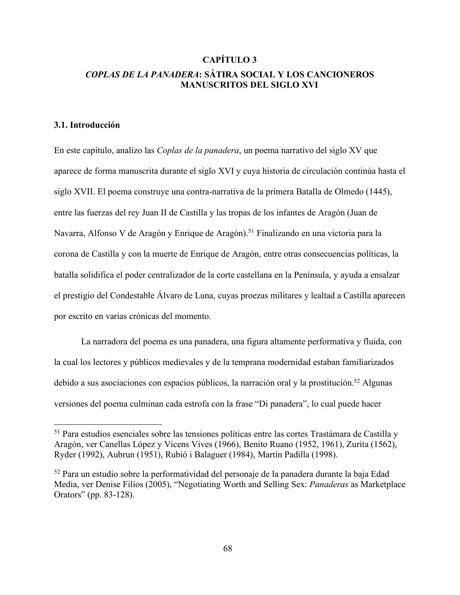# **CAPÍTULO 3** *COPLAS DE LA PANADERA***: SÁTIRA SOCIAL Y LOS CANCIONEROS MANUSCRITOS DEL SIGLO XVI**

## **3.1. Introducción**

En este capítulo, analizo las *Coplas de la panadera*, un poema narrativo del siglo XV que aparece de forma manuscrita durante el siglo XVI y cuya historia de circulación continúa hasta el siglo XVII. El poema construye una contra-narrativa de la primera Batalla de Olmedo (1445), entre las fuerzas del rey Juan II de Castilla y las tropas de los infantes de Aragón (Juan de Navarra, Alfonso V de Aragón y Enrique de Aragón).<sup>51</sup> Finalizando en una victoria para la corona de Castilla y con la muerte de Enrique de Aragón, entre otras consecuencias políticas, la batalla solidifica el poder centralizador de la corte castellana en la Península, y ayuda a ensalzar el prestigio del Condestable Álvaro de Luna, cuyas proezas militares y lealtad a Castilla aparecen por escrito en varias crónicas del momento.

La narradora del poema es una panadera, una figura altamente performativa y fluida, con la cual los lectores y públicos medievales y de la temprana modernidad estaban familiarizados debido a sus asociaciones con espacios públicos, la narración oral y la prostitución.<sup>52</sup> Algunas versiones del poema culminan cada estrofa con la frase "Di panadera", lo cual puede hacer

 <sup>51</sup> Para estudios esenciales sobre las tensiones políticas entre las cortes Trastámara de Castilla y Aragón, ver Canellas López y Vicens Vives (1966), Benito Ruano (1952, 1961), Zurita (1562), Ryder (1992), Aubrun (1951), Rubió i Balaguer (1984), Martín Padilla (1998).

<sup>52</sup> Para un estudio sobre la performatividad del personaje de la panadera durante la baja Edad Media, ver Denise Filios (2005), "Negotiating Worth and Selling Sex: *Panaderas* as Marketplace Orators" (pp. 83-128).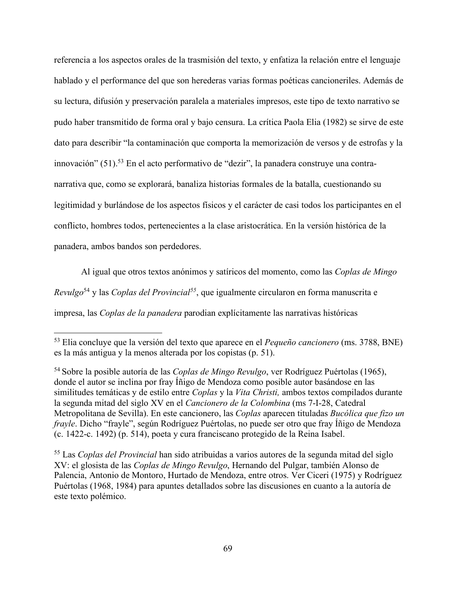referencia a los aspectos orales de la trasmisión del texto, y enfatiza la relación entre el lenguaje hablado y el performance del que son herederas varias formas poéticas cancioneriles. Además de su lectura, difusión y preservación paralela a materiales impresos, este tipo de texto narrativo se pudo haber transmitido de forma oral y bajo censura. La crítica Paola Elia (1982) se sirve de este dato para describir "la contaminación que comporta la memorización de versos y de estrofas y la innovación" (51).53 En el acto performativo de "dezir", la panadera construye una contranarrativa que, como se explorará, banaliza historias formales de la batalla, cuestionando su legitimidad y burlándose de los aspectos físicos y el carácter de casi todos los participantes en el conflicto, hombres todos, pertenecientes a la clase aristocrática. En la versión histórica de la panadera, ambos bandos son perdedores.

Al igual que otros textos anónimos y satíricos del momento, como las *Coplas de Mingo Revulgo*<sup>54</sup> y las *Coplas del Provincial*<sup>55</sup>, que igualmente circularon en forma manuscrita e impresa, las *Coplas de la panadera* parodian explícitamente las narrativas históricas

<sup>55</sup> Las *Coplas del Provincial* han sido atribuidas a varios autores de la segunda mitad del siglo XV: el glosista de las *Coplas de Mingo Revulgo*, Hernando del Pulgar, también Alonso de Palencia, Antonio de Montoro, Hurtado de Mendoza, entre otros. Ver Ciceri (1975) y Rodríguez Puértolas (1968, 1984) para apuntes detallados sobre las discusiones en cuanto a la autoría de este texto polémico.

 <sup>53</sup> Elia concluye que la versión del texto que aparece en el *Pequeño cancionero* (ms. 3788, BNE) es la más antigua y la menos alterada por los copistas (p. 51).

<sup>54</sup> Sobre la posible autoría de las *Coplas de Mingo Revulgo*, ver Rodríguez Puértolas (1965), donde el autor se inclina por fray Íñigo de Mendoza como posible autor basándose en las similitudes temáticas y de estilo entre *Coplas* y la *Vita Christi,* ambos textos compilados durante la segunda mitad del siglo XV en el *Cancionero de la Colombina* (ms 7-I-28, Catedral Metropolitana de Sevilla). En este cancionero, las *Coplas* aparecen tituladas *Bucólica que fizo un frayle*. Dicho "frayle", según Rodríguez Puértolas, no puede ser otro que fray Íñigo de Mendoza (c. 1422-c. 1492) (p. 514), poeta y cura franciscano protegido de la Reina Isabel.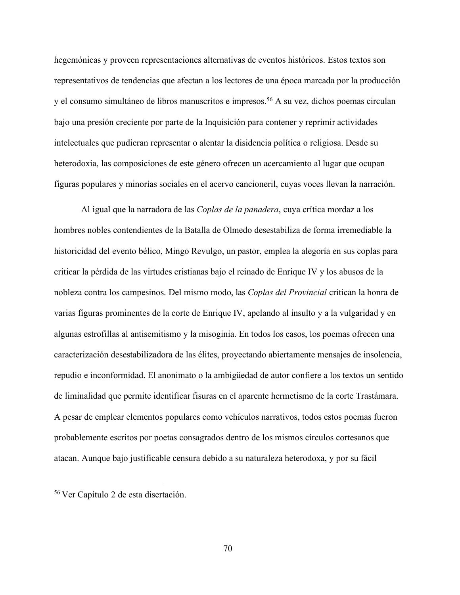hegemónicas y proveen representaciones alternativas de eventos históricos. Estos textos son representativos de tendencias que afectan a los lectores de una época marcada por la producción y el consumo simultáneo de libros manuscritos e impresos.<sup>56</sup> A su vez, dichos poemas circulan bajo una presión creciente por parte de la Inquisición para contener y reprimir actividades intelectuales que pudieran representar o alentar la disidencia política o religiosa. Desde su heterodoxia, las composiciones de este género ofrecen un acercamiento al lugar que ocupan figuras populares y minorías sociales en el acervo cancioneril, cuyas voces llevan la narración.

Al igual que la narradora de las *Coplas de la panadera*, cuya crítica mordaz a los hombres nobles contendientes de la Batalla de Olmedo desestabiliza de forma irremediable la historicidad del evento bélico, Mingo Revulgo, un pastor, emplea la alegoría en sus coplas para criticar la pérdida de las virtudes cristianas bajo el reinado de Enrique IV y los abusos de la nobleza contra los campesinos. Del mismo modo, las *Coplas del Provincial* critican la honra de varias figuras prominentes de la corte de Enrique IV, apelando al insulto y a la vulgaridad y en algunas estrofillas al antisemitismo y la misoginia. En todos los casos, los poemas ofrecen una caracterización desestabilizadora de las élites, proyectando abiertamente mensajes de insolencia, repudio e inconformidad. El anonimato o la ambigüedad de autor confiere a los textos un sentido de liminalidad que permite identificar fisuras en el aparente hermetismo de la corte Trastámara. A pesar de emplear elementos populares como vehículos narrativos, todos estos poemas fueron probablemente escritos por poetas consagrados dentro de los mismos círculos cortesanos que atacan. Aunque bajo justificable censura debido a su naturaleza heterodoxa, y por su fácil

 <sup>56</sup> Ver Capítulo 2 de esta disertación.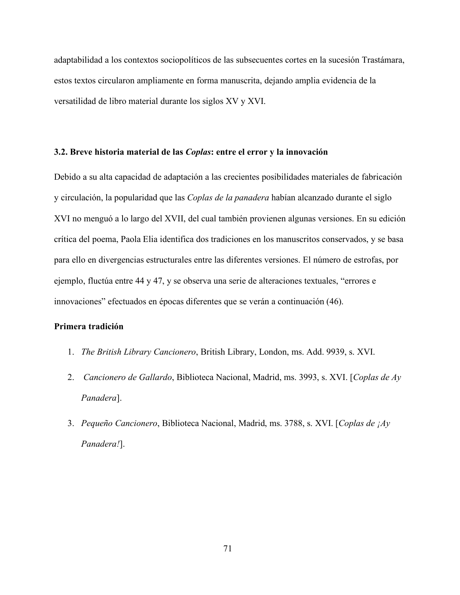adaptabilidad a los contextos sociopolíticos de las subsecuentes cortes en la sucesión Trastámara, estos textos circularon ampliamente en forma manuscrita, dejando amplia evidencia de la versatilidad de libro material durante los siglos XV y XVI.

## **3.2. Breve historia material de las** *Coplas***: entre el error y la innovación**

Debido a su alta capacidad de adaptación a las crecientes posibilidades materiales de fabricación y circulación, la popularidad que las *Coplas de la panadera* habían alcanzado durante el siglo XVI no menguó a lo largo del XVII, del cual también provienen algunas versiones. En su edición crítica del poema, Paola Elia identifica dos tradiciones en los manuscritos conservados, y se basa para ello en divergencias estructurales entre las diferentes versiones. El número de estrofas, por ejemplo, fluctúa entre 44 y 47, y se observa una serie de alteraciones textuales, "errores e innovaciones" efectuados en épocas diferentes que se verán a continuación (46).

## **Primera tradición**

- 1. *The British Library Cancionero*, British Library, London, ms. Add. 9939, s. XVI.
- 2. *Cancionero de Gallardo*, Biblioteca Nacional, Madrid, ms. 3993, s. XVI. [*Coplas de Ay Panadera*].
- 3. *Pequeño Cancionero*, Biblioteca Nacional, Madrid, ms. 3788, s. XVI. [*Coplas de ¡Ay Panadera!*].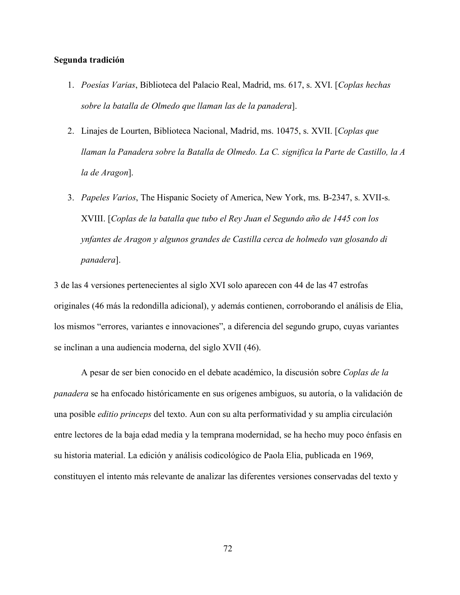## **Segunda tradición**

- 1. *Poesías Varias*, Biblioteca del Palacio Real, Madrid, ms. 617, s. XVI. [*Coplas hechas sobre la batalla de Olmedo que llaman las de la panadera*].
- 2. Linajes de Lourten, Biblioteca Nacional, Madrid, ms. 10475, s. XVII. [*Coplas que llaman la Panadera sobre la Batalla de Olmedo. La C. significa la Parte de Castillo, la A la de Aragon*].
- 3. *Papeles Varios*, The Hispanic Society of America, New York, ms. B-2347, s. XVII-s. XVIII. [*Coplas de la batalla que tubo el Rey Juan el Segundo año de 1445 con los ynfantes de Aragon y algunos grandes de Castilla cerca de holmedo van glosando di panadera*].

3 de las 4 versiones pertenecientes al siglo XVI solo aparecen con 44 de las 47 estrofas originales (46 más la redondilla adicional), y además contienen, corroborando el análisis de Elia, los mismos "errores, variantes e innovaciones", a diferencia del segundo grupo, cuyas variantes se inclinan a una audiencia moderna, del siglo XVII (46).

A pesar de ser bien conocido en el debate académico, la discusión sobre *Coplas de la panadera* se ha enfocado históricamente en sus orígenes ambiguos, su autoría, o la validación de una posible *editio princeps* del texto. Aun con su alta performatividad y su amplia circulación entre lectores de la baja edad media y la temprana modernidad, se ha hecho muy poco énfasis en su historia material. La edición y análisis codicológico de Paola Elia, publicada en 1969, constituyen el intento más relevante de analizar las diferentes versiones conservadas del texto y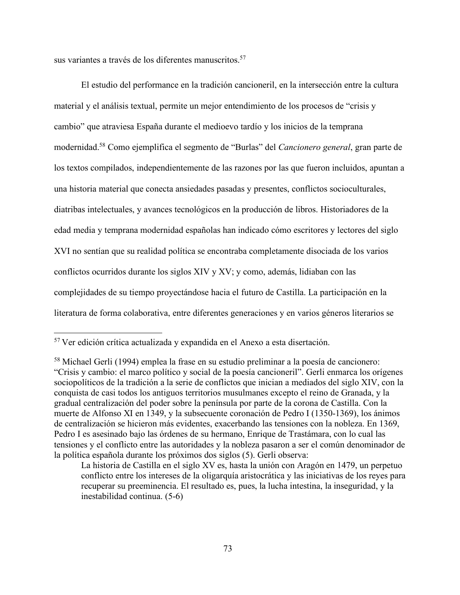sus variantes a través de los diferentes manuscritos.<sup>57</sup>

El estudio del performance en la tradición cancioneril, en la intersección entre la cultura material y el análisis textual, permite un mejor entendimiento de los procesos de "crisis y cambio" que atraviesa España durante el medioevo tardío y los inicios de la temprana modernidad.58 Como ejemplifica el segmento de "Burlas" del *Cancionero general*, gran parte de los textos compilados, independientemente de las razones por las que fueron incluidos, apuntan a una historia material que conecta ansiedades pasadas y presentes, conflictos socioculturales, diatribas intelectuales, y avances tecnológicos en la producción de libros. Historiadores de la edad media y temprana modernidad españolas han indicado cómo escritores y lectores del siglo XVI no sentían que su realidad política se encontraba completamente disociada de los varios conflictos ocurridos durante los siglos XIV y XV; y como, además, lidiaban con las complejidades de su tiempo proyectándose hacia el futuro de Castilla. La participación en la literatura de forma colaborativa, entre diferentes generaciones y en varios géneros literarios se

 <sup>57</sup> Ver edición crítica actualizada y expandida en el Anexo a esta disertación.

<sup>58</sup> Michael Gerli (1994) emplea la frase en su estudio preliminar a la poesía de cancionero: "Crisis y cambio: el marco político y social de la poesía cancioneril". Gerli enmarca los orígenes sociopolíticos de la tradición a la serie de conflictos que inician a mediados del siglo XIV, con la conquista de casi todos los antiguos territorios musulmanes excepto el reino de Granada, y la gradual centralización del poder sobre la península por parte de la corona de Castilla. Con la muerte de Alfonso XI en 1349, y la subsecuente coronación de Pedro I (1350-1369), los ánimos de centralización se hicieron más evidentes, exacerbando las tensiones con la nobleza. En 1369, Pedro I es asesinado bajo las órdenes de su hermano, Enrique de Trastámara, con lo cual las tensiones y el conflicto entre las autoridades y la nobleza pasaron a ser el común denominador de la política española durante los próximos dos siglos (5). Gerli observa:

La historia de Castilla en el siglo XV es, hasta la unión con Aragón en 1479, un perpetuo conflicto entre los intereses de la oligarquía aristocrática y las iniciativas de los reyes para recuperar su preeminencia. El resultado es, pues, la lucha intestina, la inseguridad, y la inestabilidad continua. (5-6)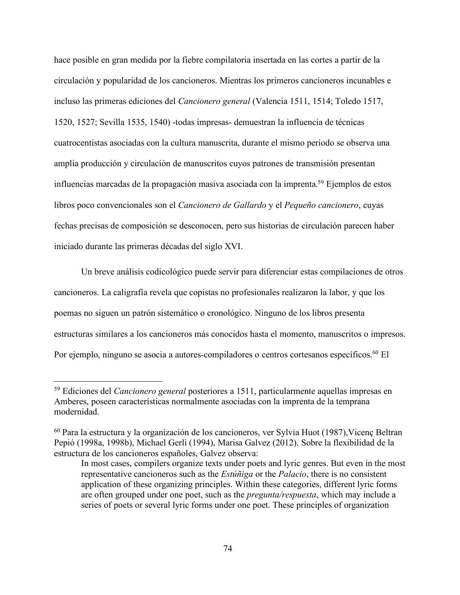hace posible en gran medida por la fiebre compilatoria insertada en las cortes a partir de la circulación y popularidad de los cancioneros. Mientras los primeros cancioneros incunables e incluso las primeras ediciones del *Cancionero general* (Valencia 1511, 1514; Toledo 1517, 1520, 1527; Sevilla 1535, 1540) -todas impresas- demuestran la influencia de técnicas cuatrocentistas asociadas con la cultura manuscrita, durante el mismo periodo se observa una amplia producción y circulación de manuscritos cuyos patrones de transmisión presentan influencias marcadas de la propagación masiva asociada con la imprenta.59 Ejemplos de estos libros poco convencionales son el *Cancionero de Gallardo* y el *Pequeño cancionero*, cuyas fechas precisas de composición se desconocen, pero sus historias de circulación parecen haber iniciado durante las primeras décadas del siglo XVI.

Un breve análisis codicológico puede servir para diferenciar estas compilaciones de otros cancioneros. La caligrafía revela que copistas no profesionales realizaron la labor, y que los poemas no siguen un patrón sistemático o cronológico. Ninguno de los libros presenta estructuras similares a los cancioneros más conocidos hasta el momento, manuscritos o impresos. Por ejemplo, ninguno se asocia a autores-compiladores o centros cortesanos específicos.<sup>60</sup> El

 <sup>59</sup> Ediciones del *Cancionero general* posteriores a 1511, particularmente aquellas impresas en Amberes, poseen características normalmente asociadas con la imprenta de la temprana modernidad.

<sup>60</sup> Para la estructura y la organización de los cancioneros, ver Sylvia Huot (1987),Vicenç Beltran Pepió (1998a, 1998b), Michael Gerli (1994), Marisa Galvez (2012). Sobre la flexibilidad de la estructura de los cancioneros españoles, Galvez observa:

In most cases, compilers organize texts under poets and lyric genres. But even in the most representative cancioneros such as the *Estúñiga* or the *Palacio*, there is no consistent application of these organizing principles. Within these categories, different lyric forms are often grouped under one poet, such as the *pregunta/respuesta*, which may include a series of poets or several lyric forms under one poet. These principles of organization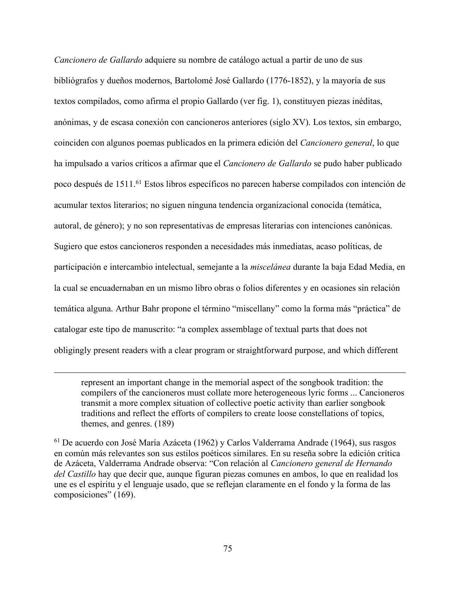*Cancionero de Gallardo* adquiere su nombre de catálogo actual a partir de uno de sus bibliógrafos y dueños modernos, Bartolomé José Gallardo (1776-1852), y la mayoría de sus textos compilados, como afirma el propio Gallardo (ver fig. 1), constituyen piezas inéditas, anónimas, y de escasa conexión con cancioneros anteriores (siglo XV). Los textos, sin embargo, coinciden con algunos poemas publicados en la primera edición del *Cancionero general*, lo que ha impulsado a varios críticos a afirmar que el *Cancionero de Gallardo* se pudo haber publicado poco después de 1511.61 Estos libros específicos no parecen haberse compilados con intención de acumular textos literarios; no siguen ninguna tendencia organizacional conocida (temática, autoral, de género); y no son representativas de empresas literarias con intenciones canónicas. Sugiero que estos cancioneros responden a necesidades más inmediatas, acaso políticas, de participación e intercambio intelectual, semejante a la *miscelánea* durante la baja Edad Media, en la cual se encuadernaban en un mismo libro obras o folios diferentes y en ocasiones sin relación temática alguna. Arthur Bahr propone el término "miscellany" como la forma más "práctica" de catalogar este tipo de manuscrito: "a complex assemblage of textual parts that does not obligingly present readers with a clear program or straightforward purpose, and which different

represent an important change in the memorial aspect of the songbook tradition: the compilers of the cancioneros must collate more heterogeneous lyric forms ... Cancioneros transmit a more complex situation of collective poetic activity than earlier songbook traditions and reflect the efforts of compilers to create loose constellations of topics, themes, and genres. (189)

<sup>61</sup> De acuerdo con José María Azáceta (1962) y Carlos Valderrama Andrade (1964), sus rasgos en común más relevantes son sus estilos poéticos similares. En su reseña sobre la edición crítica de Azáceta, Valderrama Andrade observa: "Con relación al *Cancionero general de Hernando del Castillo* hay que decir que, aunque figuran piezas comunes en ambos, lo que en realidad los une es el espíritu y el lenguaje usado, que se reflejan claramente en el fondo y la forma de las composiciones" (169).

 $\overline{a}$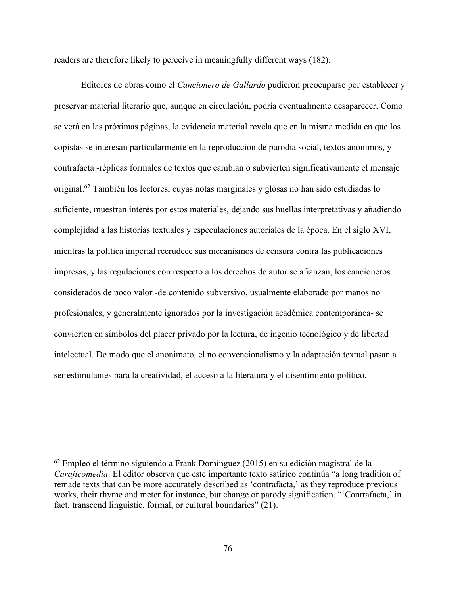readers are therefore likely to perceive in meaningfully different ways (182).

Editores de obras como el *Cancionero de Gallardo* pudieron preocuparse por establecer y preservar material literario que, aunque en circulación, podría eventualmente desaparecer. Como se verá en las próximas páginas, la evidencia material revela que en la misma medida en que los copistas se interesan particularmente en la reproducción de parodia social, textos anónimos, y contrafacta -réplicas formales de textos que cambian o subvierten significativamente el mensaje original.62 También los lectores, cuyas notas marginales y glosas no han sido estudiadas lo suficiente, muestran interés por estos materiales, dejando sus huellas interpretativas y añadiendo complejidad a las historias textuales y especulaciones autoriales de la época. En el siglo XVI, mientras la política imperial recrudece sus mecanismos de censura contra las publicaciones impresas, y las regulaciones con respecto a los derechos de autor se afianzan, los cancioneros considerados de poco valor -de contenido subversivo, usualmente elaborado por manos no profesionales, y generalmente ignorados por la investigación académica contemporánea- se convierten en símbolos del placer privado por la lectura, de ingenio tecnológico y de libertad intelectual. De modo que el anonimato, el no convencionalismo y la adaptación textual pasan a ser estimulantes para la creatividad, el acceso a la literatura y el disentimiento político.

 <sup>62</sup> Empleo el término siguiendo a Frank Domínguez (2015) en su edición magistral de la *Carajicomedia*. El editor observa que este importante texto satírico continúa "a long tradition of remade texts that can be more accurately described as 'contrafacta,' as they reproduce previous works, their rhyme and meter for instance, but change or parody signification. "'Contrafacta,' in fact, transcend linguistic, formal, or cultural boundaries" (21).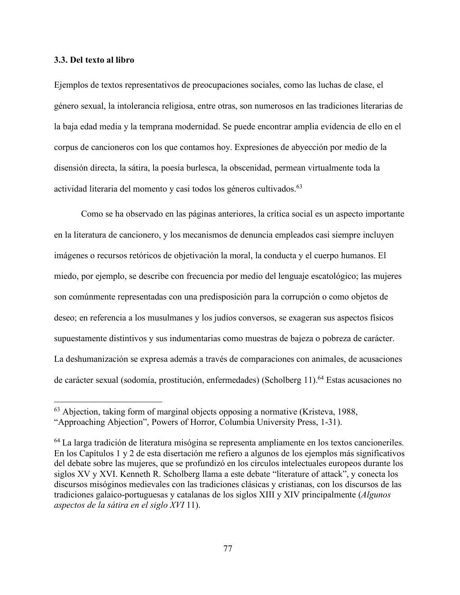## **3.3. Del texto al libro**

Ejemplos de textos representativos de preocupaciones sociales, como las luchas de clase, el género sexual, la intolerancia religiosa, entre otras, son numerosos en las tradiciones literarias de la baja edad media y la temprana modernidad. Se puede encontrar amplia evidencia de ello en el corpus de cancioneros con los que contamos hoy. Expresiones de abyección por medio de la disensión directa, la sátira, la poesía burlesca, la obscenidad, permean virtualmente toda la actividad literaria del momento y casi todos los géneros cultivados.<sup>63</sup>

Como se ha observado en las páginas anteriores, la crítica social es un aspecto importante en la literatura de cancionero, y los mecanismos de denuncia empleados casi siempre incluyen imágenes o recursos retóricos de objetivación la moral, la conducta y el cuerpo humanos. El miedo, por ejemplo, se describe con frecuencia por medio del lenguaje escatológico; las mujeres son comúnmente representadas con una predisposición para la corrupción o como objetos de deseo; en referencia a los musulmanes y los judíos conversos, se exageran sus aspectos físicos supuestamente distintivos y sus indumentarias como muestras de bajeza o pobreza de carácter. La deshumanización se expresa además a través de comparaciones con animales, de acusaciones de carácter sexual (sodomía, prostitución, enfermedades) (Scholberg 11).<sup>64</sup> Estas acusaciones no

 <sup>63</sup> Abjection, taking form of marginal objects opposing a normative (Kristeva, 1988, "Approaching Abjection", Powers of Horror, Columbia University Press, 1-31).

<sup>64</sup> La larga tradición de literatura misógina se representa ampliamente en los textos cancioneriles. En los Capítulos 1 y 2 de esta disertación me refiero a algunos de los ejemplos más significativos del debate sobre las mujeres, que se profundizó en los círculos intelectuales europeos durante los siglos XV y XVI. Kenneth R. Scholberg llama a este debate "literature of attack", y conecta los discursos misóginos medievales con las tradiciones clásicas y cristianas, con los discursos de las tradiciones galaico-portuguesas y catalanas de los siglos XIII y XIV principalmente (*Algunos aspectos de la sátira en el siglo XVI* 11).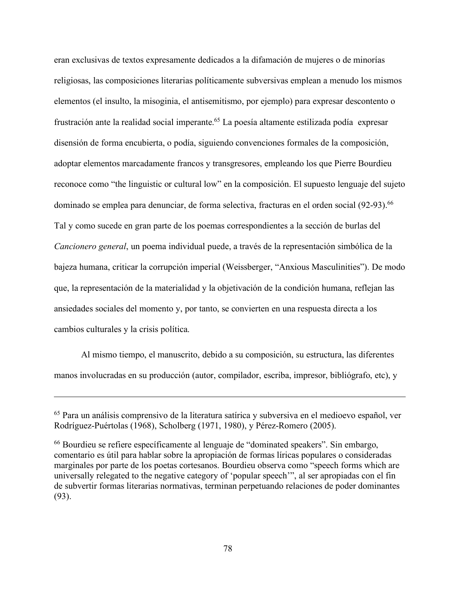eran exclusivas de textos expresamente dedicados a la difamación de mujeres o de minorías religiosas, las composiciones literarias políticamente subversivas emplean a menudo los mismos elementos (el insulto, la misoginia, el antisemitismo, por ejemplo) para expresar descontento o frustración ante la realidad social imperante.65 La poesía altamente estilizada podía expresar disensión de forma encubierta, o podía, siguiendo convenciones formales de la composición, adoptar elementos marcadamente francos y transgresores, empleando los que Pierre Bourdieu reconoce como "the linguistic or cultural low" en la composición. El supuesto lenguaje del sujeto dominado se emplea para denunciar, de forma selectiva, fracturas en el orden social (92-93).<sup>66</sup> Tal y como sucede en gran parte de los poemas correspondientes a la sección de burlas del *Cancionero general*, un poema individual puede, a través de la representación simbólica de la bajeza humana, criticar la corrupción imperial (Weissberger, "Anxious Masculinities"). De modo que, la representación de la materialidad y la objetivación de la condición humana, reflejan las ansiedades sociales del momento y, por tanto, se convierten en una respuesta directa a los cambios culturales y la crisis política.

Al mismo tiempo, el manuscrito, debido a su composición, su estructura, las diferentes manos involucradas en su producción (autor, compilador, escriba, impresor, bibliógrafo, etc), y

 $\overline{a}$ 

<sup>65</sup> Para un análisis comprensivo de la literatura satírica y subversiva en el medioevo español, ver Rodríguez-Puértolas (1968), Scholberg (1971, 1980), y Pérez-Romero (2005).

<sup>66</sup> Bourdieu se refiere específicamente al lenguaje de "dominated speakers". Sin embargo, comentario es útil para hablar sobre la apropiación de formas líricas populares o consideradas marginales por parte de los poetas cortesanos. Bourdieu observa como "speech forms which are universally relegated to the negative category of 'popular speech'", al ser apropiadas con el fin de subvertir formas literarias normativas, terminan perpetuando relaciones de poder dominantes (93).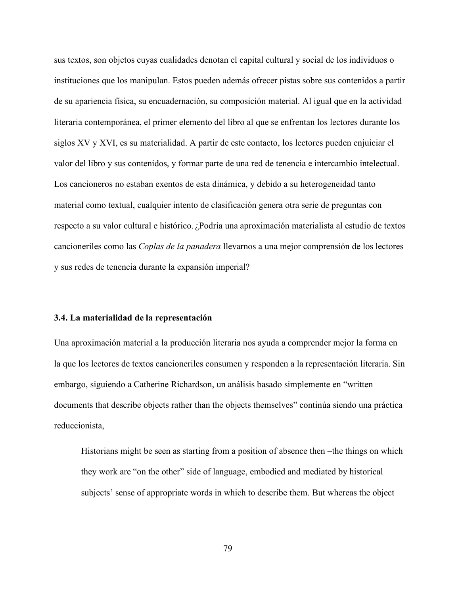sus textos, son objetos cuyas cualidades denotan el capital cultural y social de los individuos o instituciones que los manipulan. Estos pueden además ofrecer pistas sobre sus contenidos a partir de su apariencia física, su encuadernación, su composición material. Al igual que en la actividad literaria contemporánea, el primer elemento del libro al que se enfrentan los lectores durante los siglos XV y XVI, es su materialidad. A partir de este contacto, los lectores pueden enjuiciar el valor del libro y sus contenidos, y formar parte de una red de tenencia e intercambio intelectual. Los cancioneros no estaban exentos de esta dinámica, y debido a su heterogeneidad tanto material como textual, cualquier intento de clasificación genera otra serie de preguntas con respecto a su valor cultural e histórico. ¿Podría una aproximación materialista al estudio de textos cancioneriles como las *Coplas de la panadera* llevarnos a una mejor comprensión de los lectores y sus redes de tenencia durante la expansión imperial?

## **3.4. La materialidad de la representación**

Una aproximación material a la producción literaria nos ayuda a comprender mejor la forma en la que los lectores de textos cancioneriles consumen y responden a la representación literaria. Sin embargo, siguiendo a Catherine Richardson, un análisis basado simplemente en "written documents that describe objects rather than the objects themselves" continúa siendo una práctica reduccionista,

Historians might be seen as starting from a position of absence then –the things on which they work are "on the other" side of language, embodied and mediated by historical subjects' sense of appropriate words in which to describe them. But whereas the object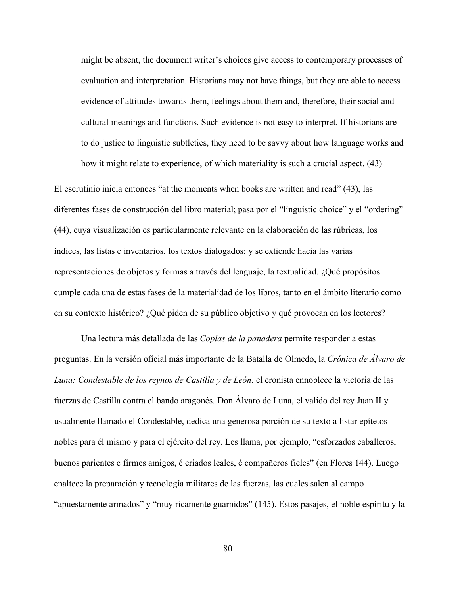might be absent, the document writer's choices give access to contemporary processes of evaluation and interpretation. Historians may not have things, but they are able to access evidence of attitudes towards them, feelings about them and, therefore, their social and cultural meanings and functions. Such evidence is not easy to interpret. If historians are to do justice to linguistic subtleties, they need to be savvy about how language works and how it might relate to experience, of which materiality is such a crucial aspect. (43)

El escrutinio inicia entonces "at the moments when books are written and read" (43), las diferentes fases de construcción del libro material; pasa por el "linguistic choice" y el "ordering" (44), cuya visualización es particularmente relevante en la elaboración de las rúbricas, los índices, las listas e inventarios, los textos dialogados; y se extiende hacia las varias representaciones de objetos y formas a través del lenguaje, la textualidad. ¿Qué propósitos cumple cada una de estas fases de la materialidad de los libros, tanto en el ámbito literario como en su contexto histórico? ¿Qué piden de su público objetivo y qué provocan en los lectores?

Una lectura más detallada de las *Coplas de la panadera* permite responder a estas preguntas. En la versión oficial más importante de la Batalla de Olmedo, la *Crónica de Álvaro de Luna: Condestable de los reynos de Castilla y de León*, el cronista ennoblece la victoria de las fuerzas de Castilla contra el bando aragonés. Don Álvaro de Luna, el valido del rey Juan II y usualmente llamado el Condestable, dedica una generosa porción de su texto a listar epítetos nobles para él mismo y para el ejército del rey. Les llama, por ejemplo, "esforzados caballeros, buenos parientes e firmes amigos, é criados leales, é compañeros fieles" (en Flores 144). Luego enaltece la preparación y tecnología militares de las fuerzas, las cuales salen al campo "apuestamente armados" y "muy ricamente guarnidos" (145). Estos pasajes, el noble espíritu y la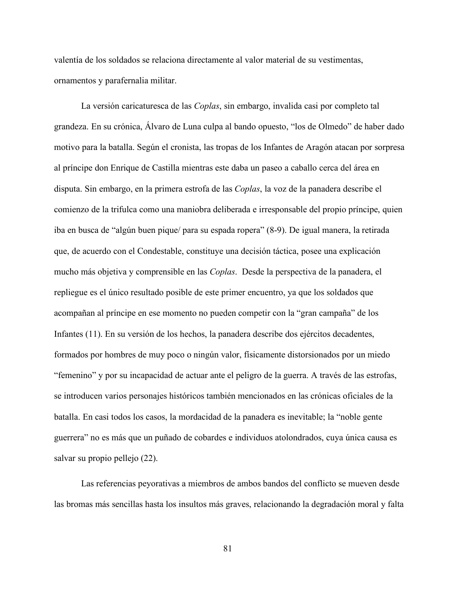valentía de los soldados se relaciona directamente al valor material de su vestimentas, ornamentos y parafernalia militar.

La versión caricaturesca de las *Coplas*, sin embargo, invalida casi por completo tal grandeza. En su crónica, Álvaro de Luna culpa al bando opuesto, "los de Olmedo" de haber dado motivo para la batalla. Según el cronista, las tropas de los Infantes de Aragón atacan por sorpresa al príncipe don Enrique de Castilla mientras este daba un paseo a caballo cerca del área en disputa. Sin embargo, en la primera estrofa de las *Coplas*, la voz de la panadera describe el comienzo de la trifulca como una maniobra deliberada e irresponsable del propio príncipe, quien iba en busca de "algún buen pique/ para su espada ropera" (8-9). De igual manera, la retirada que, de acuerdo con el Condestable, constituye una decisión táctica, posee una explicación mucho más objetiva y comprensible en las *Coplas*. Desde la perspectiva de la panadera, el repliegue es el único resultado posible de este primer encuentro, ya que los soldados que acompañan al príncipe en ese momento no pueden competir con la "gran campaña" de los Infantes (11). En su versión de los hechos, la panadera describe dos ejércitos decadentes, formados por hombres de muy poco o ningún valor, físicamente distorsionados por un miedo "femenino" y por su incapacidad de actuar ante el peligro de la guerra. A través de las estrofas, se introducen varios personajes históricos también mencionados en las crónicas oficiales de la batalla. En casi todos los casos, la mordacidad de la panadera es inevitable; la "noble gente guerrera" no es más que un puñado de cobardes e individuos atolondrados, cuya única causa es salvar su propio pellejo (22).

Las referencias peyorativas a miembros de ambos bandos del conflicto se mueven desde las bromas más sencillas hasta los insultos más graves, relacionando la degradación moral y falta

81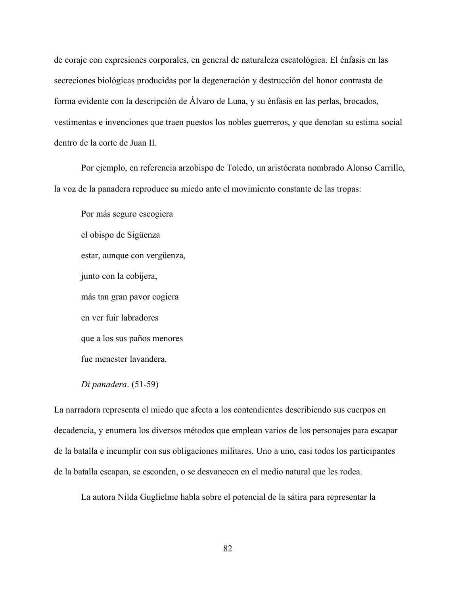de coraje con expresiones corporales, en general de naturaleza escatológica. El énfasis en las secreciones biológicas producidas por la degeneración y destrucción del honor contrasta de forma evidente con la descripción de Álvaro de Luna, y su énfasis en las perlas, brocados, vestimentas e invenciones que traen puestos los nobles guerreros, y que denotan su estima social dentro de la corte de Juan II.

Por ejemplo, en referencia arzobispo de Toledo, un aristócrata nombrado Alonso Carrillo, la voz de la panadera reproduce su miedo ante el movimiento constante de las tropas:

Por más seguro escogiera el obispo de Sigüenza estar, aunque con vergüenza, junto con la cobijera, más tan gran pavor cogiera en ver fuir labradores que a los sus paños menores fue menester lavandera.

*Di panadera*. (51-59)

La narradora representa el miedo que afecta a los contendientes describiendo sus cuerpos en decadencia, y enumera los diversos métodos que emplean varios de los personajes para escapar de la batalla e incumplir con sus obligaciones militares. Uno a uno, casi todos los participantes de la batalla escapan, se esconden, o se desvanecen en el medio natural que les rodea.

La autora Nilda Guglielme habla sobre el potencial de la sátira para representar la

82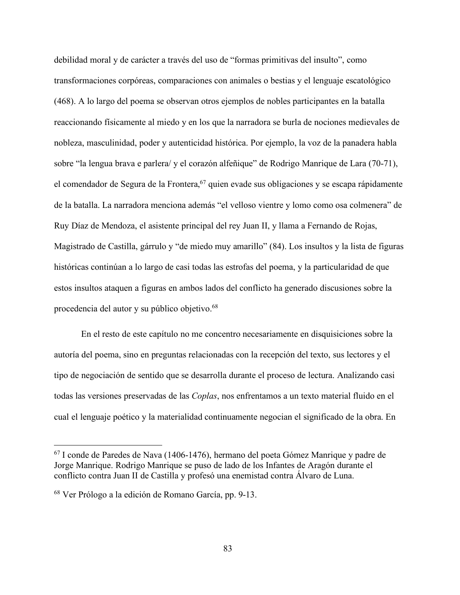debilidad moral y de carácter a través del uso de "formas primitivas del insulto", como transformaciones corpóreas, comparaciones con animales o bestias y el lenguaje escatológico (468). A lo largo del poema se observan otros ejemplos de nobles participantes en la batalla reaccionando físicamente al miedo y en los que la narradora se burla de nociones medievales de nobleza, masculinidad, poder y autenticidad histórica. Por ejemplo, la voz de la panadera habla sobre "la lengua brava e parlera/ y el corazón alfeñique" de Rodrigo Manrique de Lara (70-71), el comendador de Segura de la Frontera,  $67$  quien evade sus obligaciones y se escapa rápidamente de la batalla. La narradora menciona además "el velloso vientre y lomo como osa colmenera" de Ruy Díaz de Mendoza, el asistente principal del rey Juan II, y llama a Fernando de Rojas, Magistrado de Castilla, gárrulo y "de miedo muy amarillo" (84). Los insultos y la lista de figuras históricas continúan a lo largo de casi todas las estrofas del poema, y la particularidad de que estos insultos ataquen a figuras en ambos lados del conflicto ha generado discusiones sobre la procedencia del autor y su público objetivo.<sup>68</sup>

En el resto de este capítulo no me concentro necesariamente en disquisiciones sobre la autoría del poema, sino en preguntas relacionadas con la recepción del texto, sus lectores y el tipo de negociación de sentido que se desarrolla durante el proceso de lectura. Analizando casi todas las versiones preservadas de las *Coplas*, nos enfrentamos a un texto material fluido en el cual el lenguaje poético y la materialidad continuamente negocian el significado de la obra. En

 <sup>67</sup> I conde de Paredes de Nava (1406-1476), hermano del poeta Gómez Manrique y padre de Jorge Manrique. Rodrigo Manrique se puso de lado de los Infantes de Aragón durante el conflicto contra Juan II de Castilla y profesó una enemistad contra Álvaro de Luna.

<sup>68</sup> Ver Prólogo a la edición de Romano García, pp. 9-13.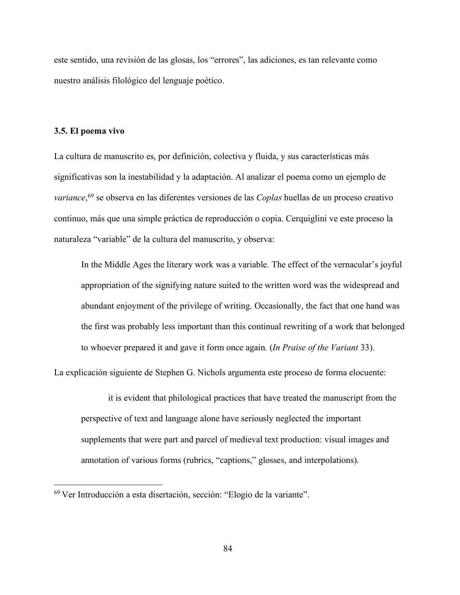este sentido, una revisión de las glosas, los "errores", las adiciones, es tan relevante como nuestro análisis filológico del lenguaje poético.

#### **3.5. El poema vivo**

La cultura de manuscrito es, por definición, colectiva y fluida, y sus características más significativas son la inestabilidad y la adaptación. Al analizar el poema como un ejemplo de *variance*, <sup>69</sup> se observa en las diferentes versiones de las *Coplas* huellas de un proceso creativo continuo, más que una simple práctica de reproducción o copia. Cerquiglini ve este proceso la naturaleza "variable" de la cultura del manuscrito, y observa:

In the Middle Ages the literary work was a variable. The effect of the vernacular's joyful appropriation of the signifying nature suited to the written word was the widespread and abundant enjoyment of the privilege of writing. Occasionally, the fact that one hand was the first was probably less important than this continual rewriting of a work that belonged to whoever prepared it and gave it form once again. (*In Praise of the Variant* 33).

La explicación siguiente de Stephen G. Nichols argumenta este proceso de forma elocuente:

it is evident that philological practices that have treated the manuscript from the perspective of text and language alone have seriously neglected the important supplements that were part and parcel of medieval text production: visual images and annotation of various forms (rubrics, "captions," glosses, and interpolations).

 <sup>69</sup> Ver Introducción a esta disertación, sección: "Elogio de la variante".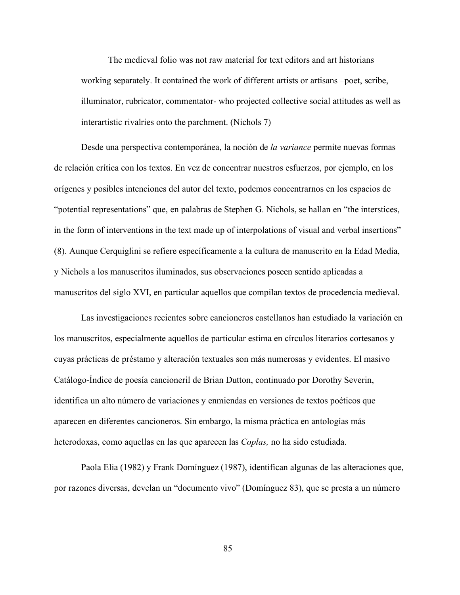The medieval folio was not raw material for text editors and art historians working separately. It contained the work of different artists or artisans –poet, scribe, illuminator, rubricator, commentator- who projected collective social attitudes as well as interartistic rivalries onto the parchment. (Nichols 7)

Desde una perspectiva contemporánea, la noción de *la variance* permite nuevas formas de relación crítica con los textos. En vez de concentrar nuestros esfuerzos, por ejemplo, en los orígenes y posibles intenciones del autor del texto, podemos concentrarnos en los espacios de "potential representations" que, en palabras de Stephen G. Nichols, se hallan en "the interstices, in the form of interventions in the text made up of interpolations of visual and verbal insertions" (8). Aunque Cerquiglini se refiere específicamente a la cultura de manuscrito en la Edad Media, y Nichols a los manuscritos iluminados, sus observaciones poseen sentido aplicadas a manuscritos del siglo XVI, en particular aquellos que compilan textos de procedencia medieval.

Las investigaciones recientes sobre cancioneros castellanos han estudiado la variación en los manuscritos, especialmente aquellos de particular estima en círculos literarios cortesanos y cuyas prácticas de préstamo y alteración textuales son más numerosas y evidentes. El masivo Catálogo-Índice de poesía cancioneril de Brian Dutton, continuado por Dorothy Severin, identifica un alto número de variaciones y enmiendas en versiones de textos poéticos que aparecen en diferentes cancioneros. Sin embargo, la misma práctica en antologías más heterodoxas, como aquellas en las que aparecen las *Coplas,* no ha sido estudiada.

Paola Elia (1982) y Frank Domínguez (1987), identifican algunas de las alteraciones que, por razones diversas, develan un "documento vivo" (Domínguez 83), que se presta a un número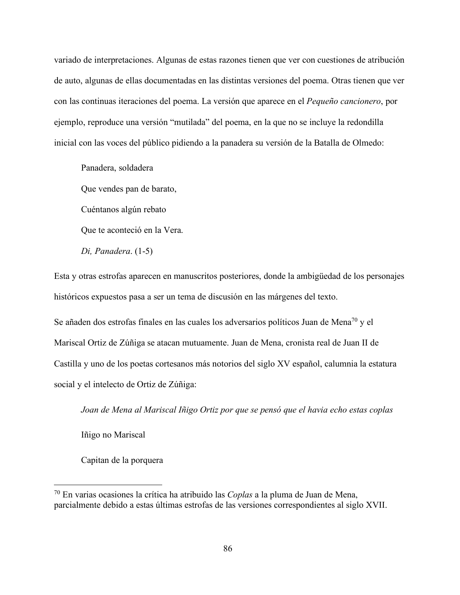variado de interpretaciones. Algunas de estas razones tienen que ver con cuestiones de atribución de auto, algunas de ellas documentadas en las distintas versiones del poema. Otras tienen que ver con las continuas iteraciones del poema. La versión que aparece en el *Pequeño cancionero*, por ejemplo, reproduce una versión "mutilada" del poema, en la que no se incluye la redondilla inicial con las voces del público pidiendo a la panadera su versión de la Batalla de Olmedo:

Panadera, soldadera Que vendes pan de barato, Cuéntanos algún rebato Que te aconteció en la Vera. *Di, Panadera*. (1-5)

Esta y otras estrofas aparecen en manuscritos posteriores, donde la ambigüedad de los personajes históricos expuestos pasa a ser un tema de discusión en las márgenes del texto.

Se añaden dos estrofas finales en las cuales los adversarios políticos Juan de Mena<sup>70</sup> y el Mariscal Ortiz de Zúñiga se atacan mutuamente. Juan de Mena, cronista real de Juan II de Castilla y uno de los poetas cortesanos más notorios del siglo XV español, calumnia la estatura social y el intelecto de Ortiz de Zúñiga:

*Joan de Mena al Mariscal Iñigo Ortiz por que se pensó que el havia echo estas coplas*

Iñigo no Mariscal

Capitan de la porquera

 <sup>70</sup> En varias ocasiones la crítica ha atribuido las *Coplas* a la pluma de Juan de Mena, parcialmente debido a estas últimas estrofas de las versiones correspondientes al siglo XVII.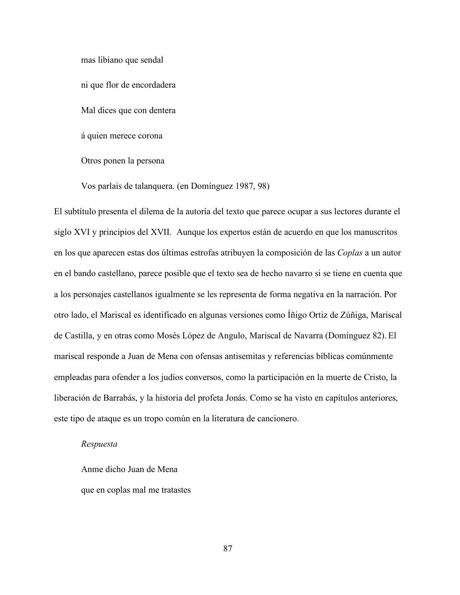mas libiano que sendal

ni que flor de encordadera

Mal dices que con dentera

á quien merece corona

Otros ponen la persona

Vos parlais de talanquera. (en Domínguez 1987, 98)

El subtítulo presenta el dilema de la autoría del texto que parece ocupar a sus lectores durante el siglo XVI y principios del XVII. Aunque los expertos están de acuerdo en que los manuscritos en los que aparecen estas dos últimas estrofas atribuyen la composición de las *Coplas* a un autor en el bando castellano, parece posible que el texto sea de hecho navarro si se tiene en cuenta que a los personajes castellanos igualmente se les representa de forma negativa en la narración. Por otro lado, el Mariscal es identificado en algunas versiones como Íñigo Ortiz de Zúñiga, Mariscal de Castilla, y en otras como Mosés López de Angulo, Mariscal de Navarra (Domínguez 82). El mariscal responde a Juan de Mena con ofensas antisemitas y referencias bíblicas comúnmente empleadas para ofender a los judíos conversos, como la participación en la muerte de Cristo, la liberación de Barrabás, y la historia del profeta Jonás. Como se ha visto en capítulos anteriores, este tipo de ataque es un tropo común en la literatura de cancionero.

#### *Respuesta*

Anme dicho Juan de Mena que en coplas mal me tratastes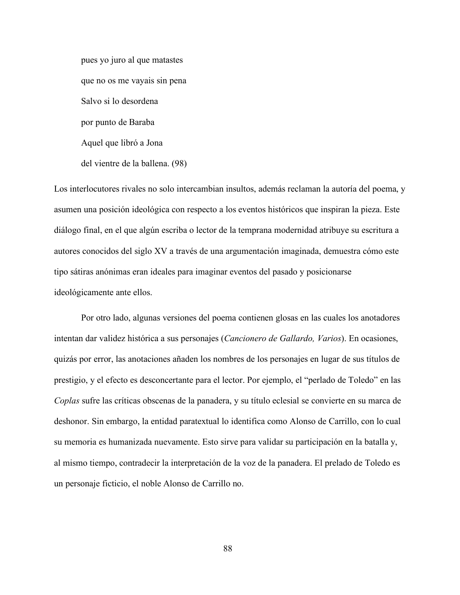pues yo juro al que matastes que no os me vayais sin pena Salvo si lo desordena por punto de Baraba Aquel que libró a Jona del vientre de la ballena. (98)

Los interlocutores rivales no solo intercambian insultos, además reclaman la autoría del poema, y asumen una posición ideológica con respecto a los eventos históricos que inspiran la pieza. Este diálogo final, en el que algún escriba o lector de la temprana modernidad atribuye su escritura a autores conocidos del siglo XV a través de una argumentación imaginada, demuestra cómo este tipo sátiras anónimas eran ideales para imaginar eventos del pasado y posicionarse ideológicamente ante ellos.

Por otro lado, algunas versiones del poema contienen glosas en las cuales los anotadores intentan dar validez histórica a sus personajes (*Cancionero de Gallardo, Varios*). En ocasiones, quizás por error, las anotaciones añaden los nombres de los personajes en lugar de sus títulos de prestigio, y el efecto es desconcertante para el lector. Por ejemplo, el "perlado de Toledo" en las *Coplas* sufre las críticas obscenas de la panadera, y su título eclesial se convierte en su marca de deshonor. Sin embargo, la entidad paratextual lo identifica como Alonso de Carrillo, con lo cual su memoria es humanizada nuevamente. Esto sirve para validar su participación en la batalla y, al mismo tiempo, contradecir la interpretación de la voz de la panadera. El prelado de Toledo es un personaje ficticio, el noble Alonso de Carrillo no.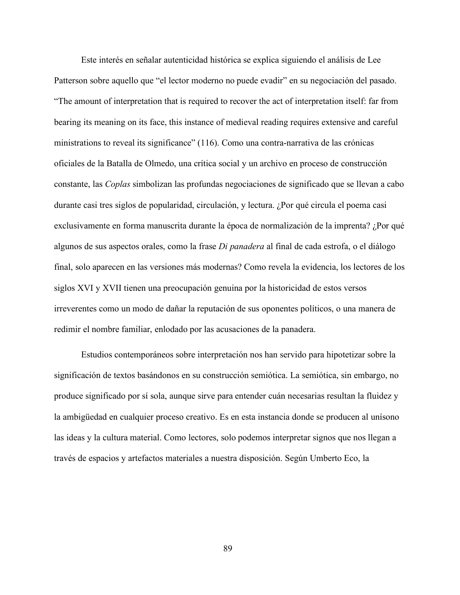Este interés en señalar autenticidad histórica se explica siguiendo el análisis de Lee Patterson sobre aquello que "el lector moderno no puede evadir" en su negociación del pasado. "The amount of interpretation that is required to recover the act of interpretation itself: far from bearing its meaning on its face, this instance of medieval reading requires extensive and careful ministrations to reveal its significance" (116). Como una contra-narrativa de las crónicas oficiales de la Batalla de Olmedo, una crítica social y un archivo en proceso de construcción constante, las *Coplas* simbolizan las profundas negociaciones de significado que se llevan a cabo durante casi tres siglos de popularidad, circulación, y lectura. ¿Por qué circula el poema casi exclusivamente en forma manuscrita durante la época de normalización de la imprenta? ¿Por qué algunos de sus aspectos orales, como la frase *Di panadera* al final de cada estrofa, o el diálogo final, solo aparecen en las versiones más modernas? Como revela la evidencia, los lectores de los siglos XVI y XVII tienen una preocupación genuina por la historicidad de estos versos irreverentes como un modo de dañar la reputación de sus oponentes políticos, o una manera de redimir el nombre familiar, enlodado por las acusaciones de la panadera.

Estudios contemporáneos sobre interpretación nos han servido para hipotetizar sobre la significación de textos basándonos en su construcción semiótica. La semiótica, sin embargo, no produce significado por sí sola, aunque sirve para entender cuán necesarias resultan la fluidez y la ambigüedad en cualquier proceso creativo. Es en esta instancia donde se producen al unísono las ideas y la cultura material. Como lectores, solo podemos interpretar signos que nos llegan a través de espacios y artefactos materiales a nuestra disposición. Según Umberto Eco, la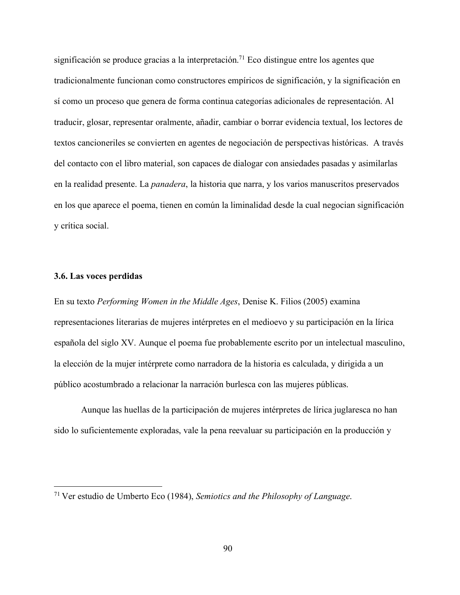significación se produce gracias a la interpretación.<sup>71</sup> Eco distingue entre los agentes que tradicionalmente funcionan como constructores empíricos de significación, y la significación en sí como un proceso que genera de forma continua categorías adicionales de representación. Al traducir, glosar, representar oralmente, añadir, cambiar o borrar evidencia textual, los lectores de textos cancioneriles se convierten en agentes de negociación de perspectivas históricas. A través del contacto con el libro material, son capaces de dialogar con ansiedades pasadas y asimilarlas en la realidad presente. La *panadera*, la historia que narra, y los varios manuscritos preservados en los que aparece el poema, tienen en común la liminalidad desde la cual negocian significación y crítica social.

#### **3.6. Las voces perdidas**

En su texto *Performing Women in the Middle Ages*, Denise K. Filios (2005) examina representaciones literarias de mujeres intérpretes en el medioevo y su participación en la lírica española del siglo XV. Aunque el poema fue probablemente escrito por un intelectual masculino, la elección de la mujer intérprete como narradora de la historia es calculada, y dirigida a un público acostumbrado a relacionar la narración burlesca con las mujeres públicas.

Aunque las huellas de la participación de mujeres intérpretes de lírica juglaresca no han sido lo suficientemente exploradas, vale la pena reevaluar su participación en la producción y

 <sup>71</sup> Ver estudio de Umberto Eco (1984), *Semiotics and the Philosophy of Language*.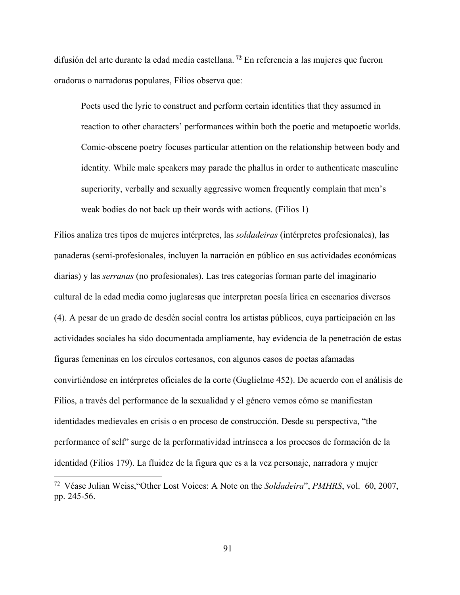difusión del arte durante la edad media castellana. **<sup>72</sup>** En referencia a las mujeres que fueron oradoras o narradoras populares, Filios observa que:

Poets used the lyric to construct and perform certain identities that they assumed in reaction to other characters' performances within both the poetic and metapoetic worlds. Comic-obscene poetry focuses particular attention on the relationship between body and identity. While male speakers may parade the phallus in order to authenticate masculine superiority, verbally and sexually aggressive women frequently complain that men's weak bodies do not back up their words with actions. (Filios 1)

Filios analiza tres tipos de mujeres intérpretes, las *soldadeiras* (intérpretes profesionales), las panaderas (semi-profesionales, incluyen la narración en público en sus actividades económicas diarias) y las *serranas* (no profesionales). Las tres categorías forman parte del imaginario cultural de la edad media como juglaresas que interpretan poesía lírica en escenarios diversos (4). A pesar de un grado de desdén social contra los artistas públicos, cuya participación en las actividades sociales ha sido documentada ampliamente, hay evidencia de la penetración de estas figuras femeninas en los círculos cortesanos, con algunos casos de poetas afamadas convirtiéndose en intérpretes oficiales de la corte (Guglielme 452). De acuerdo con el análisis de Filios, a través del performance de la sexualidad y el género vemos cómo se manifiestan identidades medievales en crisis o en proceso de construcción. Desde su perspectiva, "the performance of self" surge de la performatividad intrínseca a los procesos de formación de la identidad (Filios 179). La fluidez de la figura que es a la vez personaje, narradora y mujer

91

 <sup>72</sup> Véase Julian Weiss,"Other Lost Voices: A Note on the *Soldadeira*", *PMHRS*, vol. 60, 2007, pp. 245-56.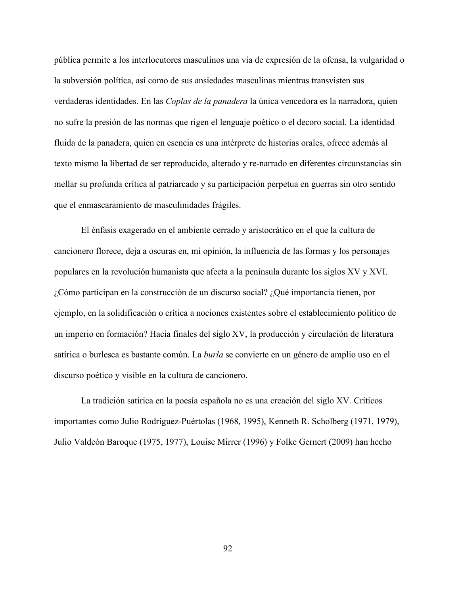pública permite a los interlocutores masculinos una vía de expresión de la ofensa, la vulgaridad o la subversión política, así como de sus ansiedades masculinas mientras transvisten sus verdaderas identidades. En las *Coplas de la panadera* la única vencedora es la narradora, quien no sufre la presión de las normas que rigen el lenguaje poético o el decoro social. La identidad fluida de la panadera, quien en esencia es una intérprete de historias orales, ofrece además al texto mismo la libertad de ser reproducido, alterado y re-narrado en diferentes circunstancias sin mellar su profunda crítica al patriarcado y su participación perpetua en guerras sin otro sentido que el enmascaramiento de masculinidades frágiles.

El énfasis exagerado en el ambiente cerrado y aristocrático en el que la cultura de cancionero florece, deja a oscuras en, mi opinión, la influencia de las formas y los personajes populares en la revolución humanista que afecta a la península durante los siglos XV y XVI. ¿Cómo participan en la construcción de un discurso social? ¿Qué importancia tienen, por ejemplo, en la solidificación o crítica a nociones existentes sobre el establecimiento político de un imperio en formación? Hacia finales del siglo XV, la producción y circulación de literatura satírica o burlesca es bastante común. La *burla* se convierte en un género de amplio uso en el discurso poético y visible en la cultura de cancionero.

La tradición satírica en la poesía española no es una creación del siglo XV. Críticos importantes como Julio Rodríguez-Puértolas (1968, 1995), Kenneth R. Scholberg (1971, 1979), Julio Valdeón Baroque (1975, 1977), Louise Mirrer (1996) y Folke Gernert (2009) han hecho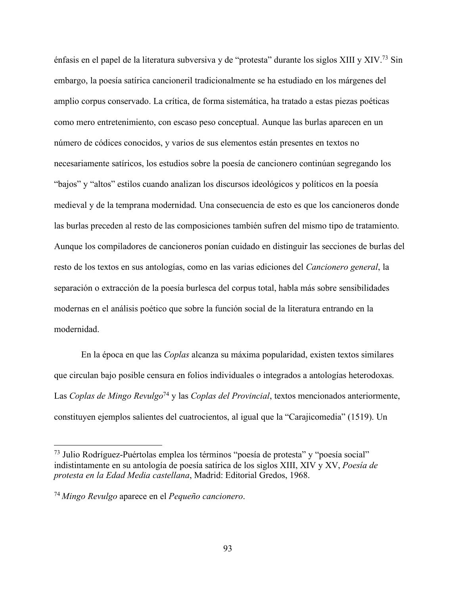énfasis en el papel de la literatura subversiva y de "protesta" durante los siglos XIII y XIV.73 Sin embargo, la poesía satírica cancioneril tradicionalmente se ha estudiado en los márgenes del amplio corpus conservado. La crítica, de forma sistemática, ha tratado a estas piezas poéticas como mero entretenimiento, con escaso peso conceptual. Aunque las burlas aparecen en un número de códices conocidos, y varios de sus elementos están presentes en textos no necesariamente satíricos, los estudios sobre la poesía de cancionero continúan segregando los "bajos" y "altos" estilos cuando analizan los discursos ideológicos y políticos en la poesía medieval y de la temprana modernidad. Una consecuencia de esto es que los cancioneros donde las burlas preceden al resto de las composiciones también sufren del mismo tipo de tratamiento. Aunque los compiladores de cancioneros ponían cuidado en distinguir las secciones de burlas del resto de los textos en sus antologías, como en las varias ediciones del *Cancionero general*, la separación o extracción de la poesía burlesca del corpus total, habla más sobre sensibilidades modernas en el análisis poético que sobre la función social de la literatura entrando en la modernidad.

En la época en que las *Coplas* alcanza su máxima popularidad, existen textos similares que circulan bajo posible censura en folios individuales o integrados a antologías heterodoxas. Las *Coplas de Mingo Revulgo*<sup>74</sup> y las *Coplas del Provincial*, textos mencionados anteriormente, constituyen ejemplos salientes del cuatrocientos, al igual que la "Carajicomedia" (1519). Un

 <sup>73</sup> Julio Rodríguez-Puértolas emplea los términos "poesía de protesta" y "poesía social" indistintamente en su antología de poesía satírica de los siglos XIII, XIV y XV, *Poesía de protesta en la Edad Media castellana*, Madrid: Editorial Gredos, 1968.

<sup>74</sup> *Mingo Revulgo* aparece en el *Pequeño cancionero*.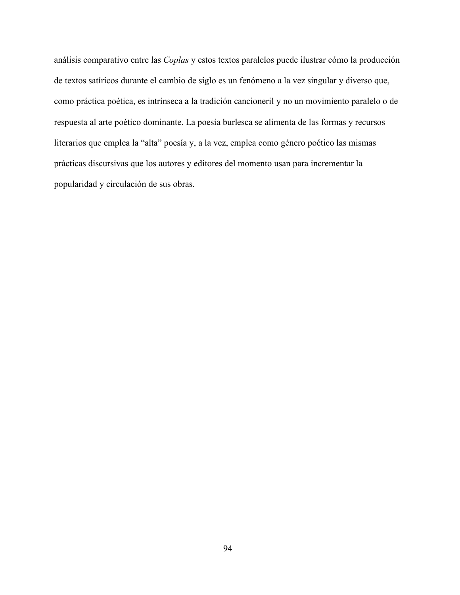análisis comparativo entre las *Coplas* y estos textos paralelos puede ilustrar cómo la producción de textos satíricos durante el cambio de siglo es un fenómeno a la vez singular y diverso que, como práctica poética, es intrínseca a la tradición cancioneril y no un movimiento paralelo o de respuesta al arte poético dominante. La poesía burlesca se alimenta de las formas y recursos literarios que emplea la "alta" poesía y, a la vez, emplea como género poético las mismas prácticas discursivas que los autores y editores del momento usan para incrementar la popularidad y circulación de sus obras.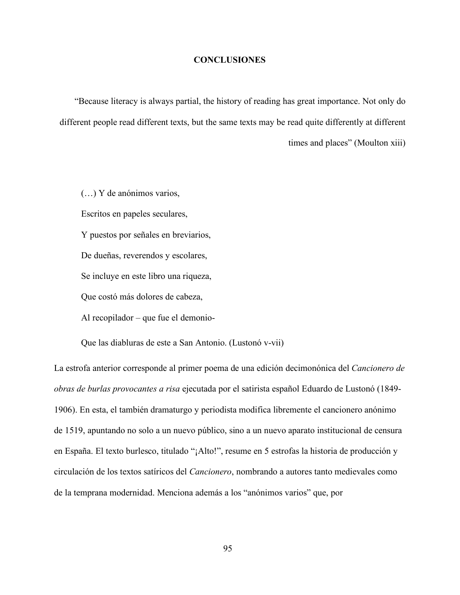## **CONCLUSIONES**

"Because literacy is always partial, the history of reading has great importance. Not only do different people read different texts, but the same texts may be read quite differently at different times and places" (Moulton xiii)

(…) Y de anónimos varios, Escritos en papeles seculares, Y puestos por señales en breviarios, De dueñas, reverendos y escolares, Se incluye en este libro una riqueza, Que costó más dolores de cabeza, Al recopilador – que fue el demonio-

Que las diabluras de este a San Antonio. (Lustonó v-vii)

La estrofa anterior corresponde al primer poema de una edición decimonónica del *Cancionero de obras de burlas provocantes a risa* ejecutada por el satirista español Eduardo de Lustonó (1849- 1906). En esta, el también dramaturgo y periodista modifica libremente el cancionero anónimo de 1519, apuntando no solo a un nuevo público, sino a un nuevo aparato institucional de censura en España. El texto burlesco, titulado "¡Alto!", resume en 5 estrofas la historia de producción y circulación de los textos satíricos del *Cancionero*, nombrando a autores tanto medievales como de la temprana modernidad. Menciona además a los "anónimos varios" que, por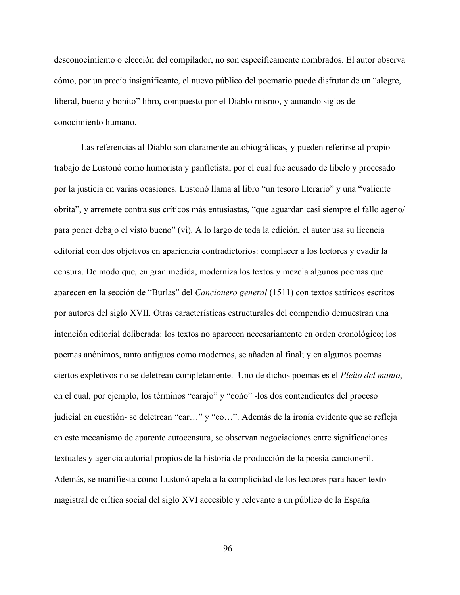desconocimiento o elección del compilador, no son específicamente nombrados. El autor observa cómo, por un precio insignificante, el nuevo público del poemario puede disfrutar de un "alegre, liberal, bueno y bonito" libro, compuesto por el Diablo mismo, y aunando siglos de conocimiento humano.

Las referencias al Diablo son claramente autobiográficas, y pueden referirse al propio trabajo de Lustonó como humorista y panfletista, por el cual fue acusado de libelo y procesado por la justicia en varias ocasiones. Lustonó llama al libro "un tesoro literario" y una "valiente obrita", y arremete contra sus críticos más entusiastas, "que aguardan casi siempre el fallo ageno/ para poner debajo el visto bueno" (vi). A lo largo de toda la edición, el autor usa su licencia editorial con dos objetivos en apariencia contradictorios: complacer a los lectores y evadir la censura. De modo que, en gran medida, moderniza los textos y mezcla algunos poemas que aparecen en la sección de "Burlas" del *Cancionero general* (1511) con textos satíricos escritos por autores del siglo XVII. Otras características estructurales del compendio demuestran una intención editorial deliberada: los textos no aparecen necesariamente en orden cronológico; los poemas anónimos, tanto antiguos como modernos, se añaden al final; y en algunos poemas ciertos expletivos no se deletrean completamente. Uno de dichos poemas es el *Pleito del manto*, en el cual, por ejemplo, los términos "carajo" y "coño" -los dos contendientes del proceso judicial en cuestión- se deletrean "car…" y "co…". Además de la ironía evidente que se refleja en este mecanismo de aparente autocensura, se observan negociaciones entre significaciones textuales y agencia autorial propios de la historia de producción de la poesía cancioneril. Además, se manifiesta cómo Lustonó apela a la complicidad de los lectores para hacer texto magistral de crítica social del siglo XVI accesible y relevante a un público de la España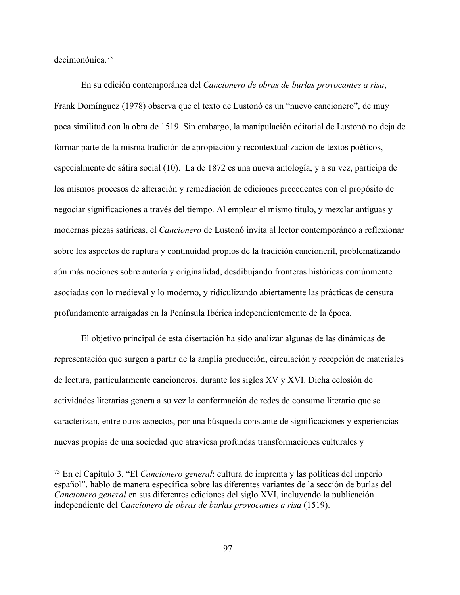decimonónica.75

En su edición contemporánea del *Cancionero de obras de burlas provocantes a risa*, Frank Domínguez (1978) observa que el texto de Lustonó es un "nuevo cancionero", de muy poca similitud con la obra de 1519. Sin embargo, la manipulación editorial de Lustonó no deja de formar parte de la misma tradición de apropiación y recontextualización de textos poéticos, especialmente de sátira social (10). La de 1872 es una nueva antología, y a su vez, participa de los mismos procesos de alteración y remediación de ediciones precedentes con el propósito de negociar significaciones a través del tiempo. Al emplear el mismo título, y mezclar antiguas y modernas piezas satíricas, el *Cancionero* de Lustonó invita al lector contemporáneo a reflexionar sobre los aspectos de ruptura y continuidad propios de la tradición cancioneril, problematizando aún más nociones sobre autoría y originalidad, desdibujando fronteras históricas comúnmente asociadas con lo medieval y lo moderno, y ridiculizando abiertamente las prácticas de censura profundamente arraigadas en la Península Ibérica independientemente de la época.

El objetivo principal de esta disertación ha sido analizar algunas de las dinámicas de representación que surgen a partir de la amplia producción, circulación y recepción de materiales de lectura, particularmente cancioneros, durante los siglos XV y XVI. Dicha eclosión de actividades literarias genera a su vez la conformación de redes de consumo literario que se caracterizan, entre otros aspectos, por una búsqueda constante de significaciones y experiencias nuevas propias de una sociedad que atraviesa profundas transformaciones culturales y

 <sup>75</sup> En el Capítulo 3, "El *Cancionero general*: cultura de imprenta y las políticas del imperio español", hablo de manera específica sobre las diferentes variantes de la sección de burlas del *Cancionero general* en sus diferentes ediciones del siglo XVI, incluyendo la publicación independiente del *Cancionero de obras de burlas provocantes a risa* (1519).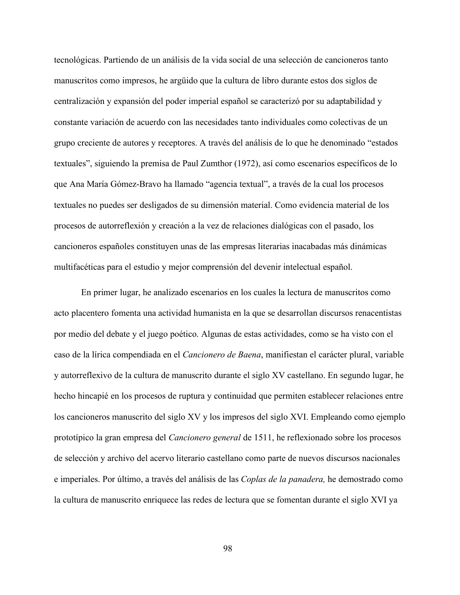tecnológicas. Partiendo de un análisis de la vida social de una selección de cancioneros tanto manuscritos como impresos, he argüido que la cultura de libro durante estos dos siglos de centralización y expansión del poder imperial español se caracterizó por su adaptabilidad y constante variación de acuerdo con las necesidades tanto individuales como colectivas de un grupo creciente de autores y receptores. A través del análisis de lo que he denominado "estados textuales", siguiendo la premisa de Paul Zumthor (1972), así como escenarios específicos de lo que Ana María Gómez-Bravo ha llamado "agencia textual", a través de la cual los procesos textuales no puedes ser desligados de su dimensión material. Como evidencia material de los procesos de autorreflexión y creación a la vez de relaciones dialógicas con el pasado, los cancioneros españoles constituyen unas de las empresas literarias inacabadas más dinámicas multifacéticas para el estudio y mejor comprensión del devenir intelectual español.

En primer lugar, he analizado escenarios en los cuales la lectura de manuscritos como acto placentero fomenta una actividad humanista en la que se desarrollan discursos renacentistas por medio del debate y el juego poético. Algunas de estas actividades, como se ha visto con el caso de la lírica compendiada en el *Cancionero de Baena*, manifiestan el carácter plural, variable y autorreflexivo de la cultura de manuscrito durante el siglo XV castellano. En segundo lugar, he hecho hincapié en los procesos de ruptura y continuidad que permiten establecer relaciones entre los cancioneros manuscrito del siglo XV y los impresos del siglo XVI. Empleando como ejemplo prototípico la gran empresa del *Cancionero general* de 1511, he reflexionado sobre los procesos de selección y archivo del acervo literario castellano como parte de nuevos discursos nacionales e imperiales. Por último, a través del análisis de las *Coplas de la panadera,* he demostrado como la cultura de manuscrito enriquece las redes de lectura que se fomentan durante el siglo XVI ya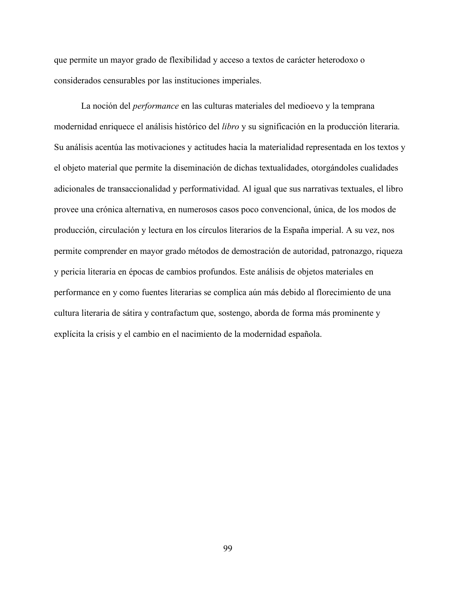que permite un mayor grado de flexibilidad y acceso a textos de carácter heterodoxo o considerados censurables por las instituciones imperiales.

La noción del *performance* en las culturas materiales del medioevo y la temprana modernidad enriquece el análisis histórico del *libro* y su significación en la producción literaria. Su análisis acentúa las motivaciones y actitudes hacia la materialidad representada en los textos y el objeto material que permite la diseminación de dichas textualidades, otorgándoles cualidades adicionales de transaccionalidad y performatividad. Al igual que sus narrativas textuales, el libro provee una crónica alternativa, en numerosos casos poco convencional, única, de los modos de producción, circulación y lectura en los círculos literarios de la España imperial. A su vez, nos permite comprender en mayor grado métodos de demostración de autoridad, patronazgo, riqueza y pericia literaria en épocas de cambios profundos. Este análisis de objetos materiales en performance en y como fuentes literarias se complica aún más debido al florecimiento de una cultura literaria de sátira y contrafactum que, sostengo, aborda de forma más prominente y explícita la crisis y el cambio en el nacimiento de la modernidad española.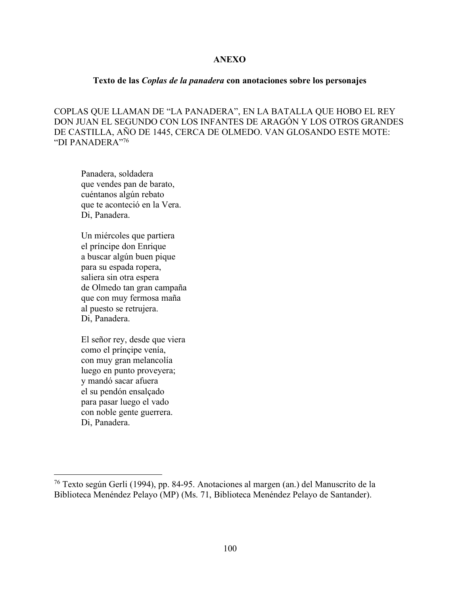## **ANEXO**

## **Texto de las** *Coplas de la panadera* **con anotaciones sobre los personajes**

COPLAS QUE LLAMAN DE "LA PANADERA", EN LA BATALLA QUE HOBO EL REY DON JUAN EL SEGUNDO CON LOS INFANTES DE ARAGÓN Y LOS OTROS GRANDES DE CASTILLA, AÑO DE 1445, CERCA DE OLMEDO. VAN GLOSANDO ESTE MOTE: "DI PANADERA"76

Panadera, soldadera que vendes pan de barato, cuéntanos algún rebato que te aconteció en la Vera. Di, Panadera.

Un miércoles que partiera el príncipe don Enrique a buscar algún buen pique para su espada ropera, saliera sin otra espera de Olmedo tan gran campaña que con muy fermosa maña al puesto se retrujera. Di, Panadera.

El señor rey, desde que viera como el prínçipe venía, con muy gran melancolía luego en punto proveyera; y mandó sacar afuera el su pendón ensalçado para pasar luego el vado con noble gente guerrera. Di, Panadera.

 <sup>76</sup> Texto según Gerli (1994), pp. 84-95. Anotaciones al margen (an.) del Manuscrito de la Biblioteca Menéndez Pelayo (MP) (Ms. 71, Biblioteca Menéndez Pelayo de Santander).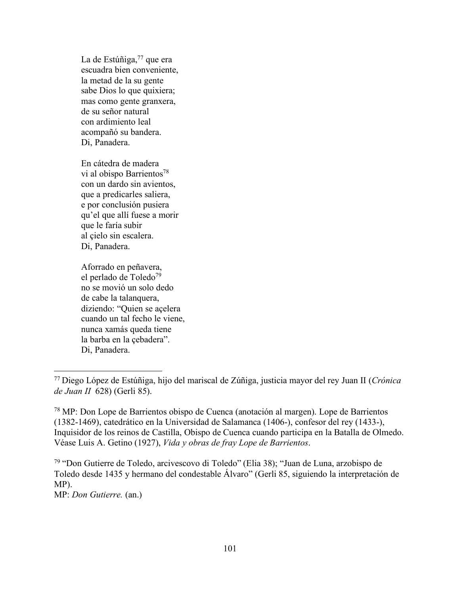La de Estúñiga, $77$  que era escuadra bien conveniente, la metad de la su gente sabe Dios lo que quixiera; mas como gente granxera, de su señor natural con ardimiento leal acompañó su bandera. Di, Panadera.

En cátedra de madera vi al obispo Barrientos<sup>78</sup> con un dardo sin avientos, que a predicarles saliera, e por conclusión pusiera qu'el que allí fuese a morir que le faría subir al çielo sin escalera. Di, Panadera.

Aforrado en peñavera, el perlado de Toledo79 no se movió un solo dedo de cabe la talanquera, diziendo: "Quien se açelera cuando un tal fecho le viene, nunca xamás queda tiene la barba en la çebadera". Di, Panadera.

<sup>79</sup> "Don Gutierre de Toledo, arcivescovo di Toledo" (Elia 38); "Juan de Luna, arzobispo de Toledo desde 1435 y hermano del condestable Álvaro" (Gerli 85, siguiendo la interpretación de MP).

MP: *Don Gutierre.* (an.)

 <sup>77</sup> Diego López de Estúñiga, hijo del mariscal de Zúñiga, justicia mayor del rey Juan II (*Crónica de Juan II* 628) (Gerli 85).

<sup>78</sup> MP: Don Lope de Barrientos obispo de Cuenca (anotación al margen). Lope de Barrientos (1382-1469), catedrático en la Universidad de Salamanca (1406-), confesor del rey (1433-), Inquisidor de los reinos de Castilla, Obispo de Cuenca cuando participa en la Batalla de Olmedo. Véase Luis A. Getino (1927), *Vida y obras de fray Lope de Barrientos*.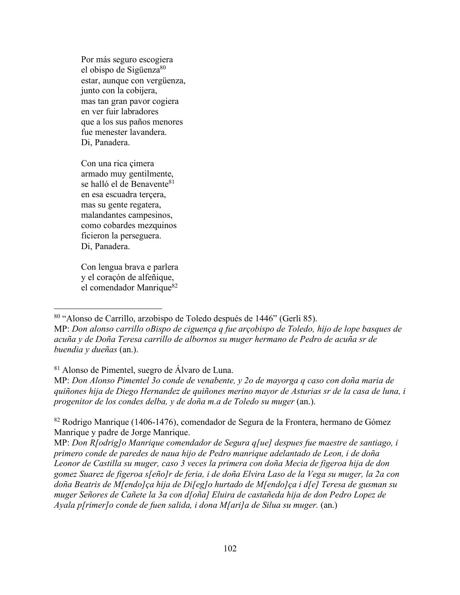Por más seguro escogiera el obispo de Sigüenza<sup>80</sup> estar, aunque con vergüenza, junto con la cobijera, mas tan gran pavor cogiera en ver fuir labradores que a los sus paños menores fue menester lavandera. Di, Panadera.

Con una rica çimera armado muy gentilmente, se halló el de Benavente<sup>81</sup> en esa escuadra terçera, mas su gente regatera, malandantes campesinos, como cobardes mezquinos ficieron la perseguera. Di, Panadera.

Con lengua brava e parlera y el coraçón de alfeñique, el comendador Manrique<sup>82</sup>

## <sup>81</sup> Alonso de Pimentel, suegro de Álvaro de Luna.

MP: *Don Alonso Pimentel 3o conde de venabente, y 2o de mayorga q caso con doña maria de quiñones hija de Diego Hernandez de quiñones merino mayor de Asturias sr de la casa de luna, i progenitor de los condes delba, y de doña m.a de Toledo su muger* (an.).

 <sup>80</sup> "Alonso de Carrillo, arzobispo de Toledo después de 1446" (Gerli 85). MP: *Don alonso carrillo oBispo de ciguença q fue arçobispo de Toledo, hijo de lope basques de acuña y de Doña Teresa carrillo de albornos su muger hermano de Pedro de acuña sr de buendia y dueñas* (an.).

<sup>82</sup> Rodrigo Manrique (1406-1476), comendador de Segura de la Frontera, hermano de Gómez Manrique y padre de Jorge Manrique.

MP: *Don R[odrig]o Manrique comendador de Segura q[ue] despues fue maestre de santiago, i primero conde de paredes de naua hijo de Pedro manrique adelantado de Leon, i de doña Leonor de Castilla su muger, caso 3 veces la primera con doña Mecia de figeroa hija de don gomez Suarez de figeroa s[eño]r de feria, i de doña Elvira Laso de la Vega su muger, la 2a con doña Beatris de M[endo]ça hija de Di[eg]o hurtado de M[endo]ça i d[e] Teresa de gusman su muger Señores de Cañete la 3a con d[oña] Eluira de castañeda hija de don Pedro Lopez de Ayala p[rimer]o conde de fuen salida, i dona M[ari]a de Silua su muger.* (an.)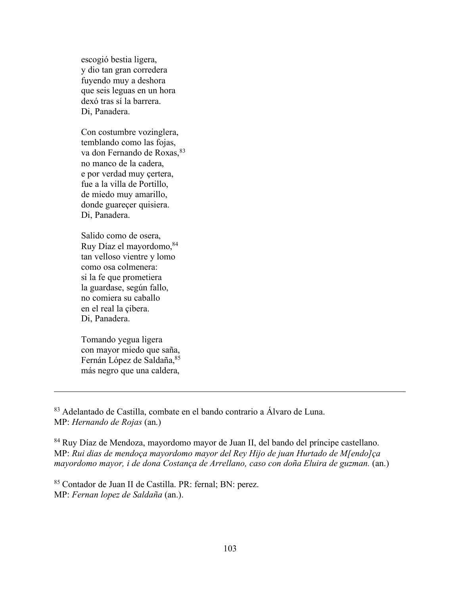escogió bestia ligera, y dio tan gran corredera fuyendo muy a deshora que seis leguas en un hora dexó tras sí la barrera. Di, Panadera.

Con costumbre vozinglera, temblando como las fojas, va don Fernando de Roxas, 83 no manco de la cadera, e por verdad muy çertera, fue a la villa de Portillo, de miedo muy amarillo, donde guareçer quisiera. Di, Panadera.

Salido como de osera, Ruy Díaz el mayordomo, 84 tan velloso vientre y lomo como osa colmenera: si la fe que prometiera la guardase, según fallo, no comiera su caballo en el real la çibera. Di, Panadera.

Tomando yegua ligera con mayor miedo que saña, Fernán López de Saldaña, 85 más negro que una caldera,

 $\overline{a}$ 

<sup>83</sup> Adelantado de Castilla, combate en el bando contrario a Álvaro de Luna. MP: *Hernando de Rojas* (an.)

<sup>84</sup> Ruy Díaz de Mendoza, mayordomo mayor de Juan II, del bando del príncipe castellano. MP: *Rui dias de mendoça mayordomo mayor del Rey Hijo de juan Hurtado de M[endo]ça mayordomo mayor, i de dona Costança de Arrellano, caso con doña Eluira de guzman.* (an.)

<sup>85</sup> Contador de Juan II de Castilla. PR: fernal; BN: perez. MP: *Fernan lopez de Saldaña* (an.).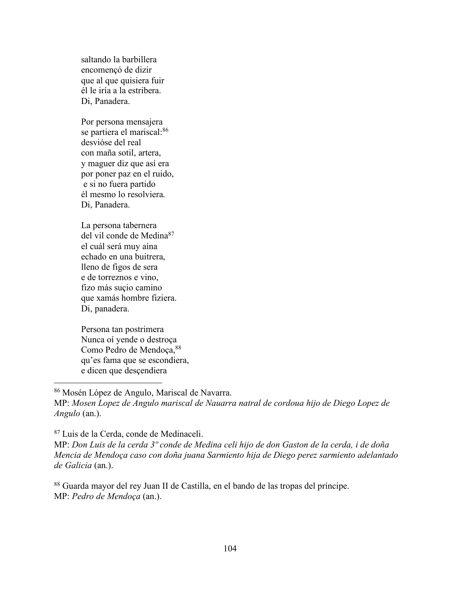saltando la barbillera encomençó de dizir que al que quisiera fuir él le iría a la estribera. Di, Panadera.

Por persona mensajera se partiera el mariscal:<sup>86</sup> desvióse del real con maña sotil, artera, y maguer diz que así era por poner paz en el ruido, e si no fuera partido él mesmo lo resolviera. Di, Panadera.

La persona tabernera del vil conde de Medina<sup>87</sup> el cuál será muy aína echado en una buitrera, lleno de figos de sera e de torreznos e vino, fizo más suçio camino que xamás hombre fiziera. Di, panadera.

Persona tan postrimera Nunca oí yende o destroça Como Pedro de Mendoça, 88 qu'es fama que se escondiera, e dicen que desçendiera

 86 Mosén López de Angulo, Mariscal de Navarra. MP: *Mosen Lopez de Angulo mariscal de Nauarra natral de cordoua hijo de Diego Lopez de Angulo* (an.).

<sup>87</sup> Luis de la Cerda, conde de Medinaceli.

MP: *Don Luis de la cerda 3º conde de Medina celi hijo de don Gaston de la cerda, i de doña Mencia de Mendoça caso con doña juana Sarmiento hija de Diego perez sarmiento adelantado de Galicia* (an.).

<sup>88</sup> Guarda mayor del rey Juan II de Castilla, en el bando de las tropas del príncipe. MP: *Pedro de Mendoça* (an.).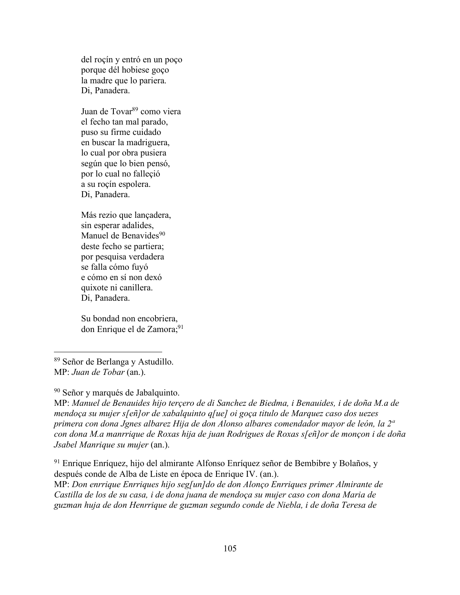del roçín y entró en un poço porque dél hobiese goço la madre que lo pariera. Di, Panadera.

Juan de Tovar<sup>89</sup> como viera el fecho tan mal parado, puso su firme cuidado en buscar la madriguera, lo cual por obra pusiera según que lo bien pensó, por lo cual no falleçió a su roçín espolera. Di, Panadera.

Más rezio que lançadera, sin esperar adalides, Manuel de Benavides<sup>90</sup> deste fecho se partiera; por pesquisa verdadera se falla cómo fuyó e cómo en sí non dexó quixote ni canillera. Di, Panadera.

Su bondad non encobriera, don Enrique el de Zamora;<sup>91</sup>

<sup>90</sup> Señor y marqués de Jabalquinto.

MP: *Manuel de Benauides hijo terçero de di Sanchez de Biedma, i Benauides, i de doña M.a de mendoça su mujer s[eñ]or de xabalquinto q[ue] oi goça titulo de Marquez caso dos uezes primera con dona Jgnes albarez Hija de don Alonso albares comendador mayor de león, la 2ª con dona M.a manrrique de Roxas hija de juan Rodrigues de Roxas s[eñ]or de monçon i de doña Jsabel Manrique su mujer* (an.).

<sup>91</sup> Enrique Enríquez, hijo del almirante Alfonso Enríquez señor de Bembibre y Bolaños, y después conde de Alba de Liste en época de Enrique IV. (an.).

MP: *Don enrrique Enrriques hijo seg[un]do de don Alonço Enrriques primer Almirante de Castilla de los de su casa, i de dona juana de mendoça su mujer caso con dona Maria de guzman huja de don Henrrique de guzman segundo conde de Niebla, i de doña Teresa de* 

 <sup>89</sup> Señor de Berlanga y Astudillo. MP: *Juan de Tobar* (an.).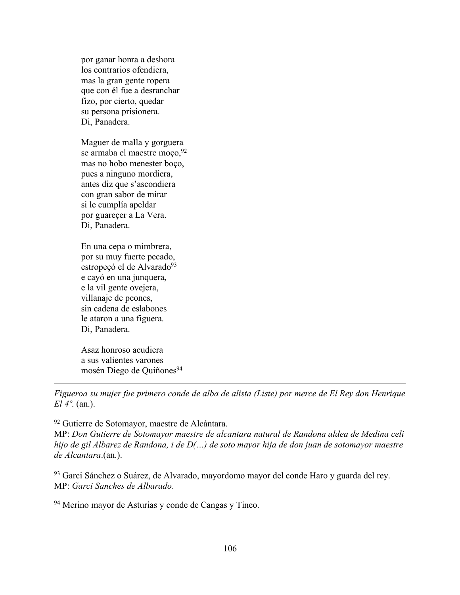por ganar honra a deshora los contrarios ofendiera, mas la gran gente ropera que con él fue a desranchar fizo, por cierto, quedar su persona prisionera. Di, Panadera.

Maguer de malla y gorguera se armaba el maestre moço,  $92$ mas no hobo menester boço, pues a ninguno mordiera, antes diz que s'ascondiera con gran sabor de mirar si le cumplía apeldar por guareçer a La Vera. Di, Panadera.

En una cepa o mimbrera, por su muy fuerte pecado, estropeçó el de Alvarado<sup>93</sup> e cayó en una junquera, e la vil gente ovejera, villanaje de peones, sin cadena de eslabones le ataron a una figuera. Di, Panadera.

Asaz honroso acudiera a sus valientes varones mosén Diego de Quiñones<sup>94</sup>

 $\overline{a}$ 

*Figueroa su mujer fue primero conde de alba de alista (Liste) por merce de El Rey don Henrique El 4º*. (an.).

<sup>92</sup> Gutierre de Sotomayor, maestre de Alcántara.

MP: *Don Gutierre de Sotomayor maestre de alcantara natural de Randona aldea de Medina celi hijo de gil Albarez de Randona, i de D(…) de soto mayor hija de don juan de sotomayor maestre de Alcantara*.(an.).

<sup>93</sup> Garci Sánchez o Suárez, de Alvarado, mayordomo mayor del conde Haro y guarda del rey. MP: *Garci Sanches de Albarado*.

<sup>94</sup> Merino mayor de Asturias y conde de Cangas y Tineo.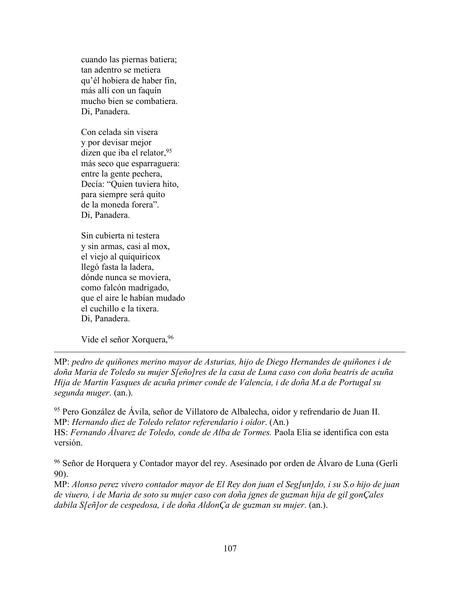cuando las piernas batiera; tan adentro se metiera qu'él hobiera de haber fin, más allí con un faquín mucho bien se combatiera. Di, Panadera.

Con celada sin visera y por devisar mejor dizen que iba el relator,  $95$ más seco que esparraguera: entre la gente pechera, Decía: "Quien tuviera hito, para siempre será quito de la moneda forera". Di, Panadera.

Sin cubierta ni testera y sin armas, casi al mox, el viejo al quiquiricox llegó fasta la ladera, dónde nunca se moviera, como falcón madrigado, que el aire le habían mudado el cuchillo e la tixera. Di, Panadera.

Vide el señor Xorquera, 96

 $\overline{a}$ 

MP: *pedro de quiñones merino mayor de Asturias, hijo de Diego Hernandes de quiñones i de doña Maria de Toledo su mujer S[eño]res de la casa de Luna caso con doña beatris de acuña Hija de Martin Vasques de acuña primer conde de Valencia, i de doña M.a de Portugal su segunda muger*. (an.).

<sup>95</sup> Pero González de Ávila, señor de Villatoro de Albalecha, oidor y refrendario de Juan II. MP: *Hernando diez de Toledo relator referendario i oidor*. (An.) HS: *Fernando Álvarez de Toledo, conde de Alba de Tormes*. Paola Elia se identifica con esta versión.

<sup>96</sup> Señor de Horquera y Contador mayor del rey. Asesinado por orden de Álvaro de Luna (Gerli 90).

MP: *Alonso perez vivero contador mayor de El Rey don juan el Seg[un]do, i su S.o hijo de juan de viuero, i de Maria de soto su mujer caso con doña jgnes de guzman hija de gil gonÇales dabila S[eñ]or de cespedosa, i de doña AldonÇa de guzman su mujer*. (an.).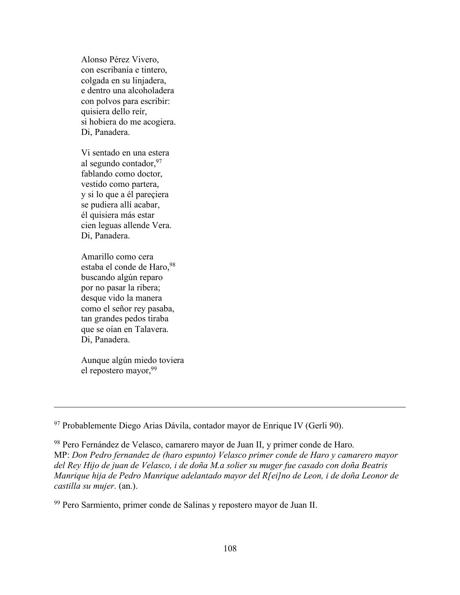Alonso Pérez Vivero, con escribanía e tintero, colgada en su linjadera, e dentro una alcoholadera con polvos para escribir: quisiera dello reír, si hobiera do me acogiera. Di, Panadera.

Vi sentado en una estera al segundo contador,  $97$ fablando como doctor, vestido como partera, y si lo que a él pareçiera se pudiera allí acabar, él quisiera más estar cien leguas allende Vera. Di, Panadera.

Amarillo como cera estaba el conde de Haro, 98 buscando algún reparo por no pasar la ribera; desque vido la manera como el señor rey pasaba, tan grandes pedos tiraba que se oían en Talavera. Di, Panadera.

Aunque algún miedo toviera el repostero mayor, 99

 $\overline{a}$ 

<sup>97</sup> Probablemente Diego Arias Dávila, contador mayor de Enrique IV (Gerli 90).

<sup>98</sup> Pero Fernández de Velasco, camarero mayor de Juan II, y primer conde de Haro. MP: *Don Pedro fernandez de (haro espunto) Velasco primer conde de Haro y camarero mayor del Rey Hijo de juan de Velasco, i de doña M.a solier su muger fue casado con doña Beatris Manrique hija de Pedro Manrique adelantado mayor del R[ei]no de Leon, i de doña Leonor de castilla su mujer*. (an.).

<sup>99</sup> Pero Sarmiento, primer conde de Salinas y repostero mayor de Juan II.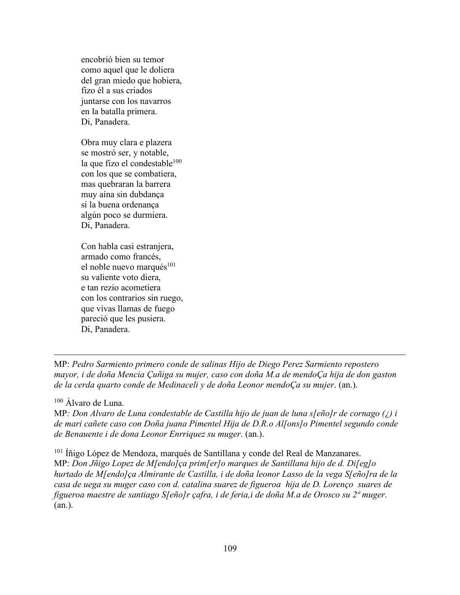encobrió bien su temor como aquel que le doliera del gran miedo que hobiera, fizo él a sus criados juntarse con los navarros en la batalla primera. Di, Panadera.

Obra muy clara e plazera se mostró ser, y notable, la que fizo el condestable $100$ con los que se combatiera, mas quebraran la barrera muy aína sin dubdança si la buena ordenança algún poco se durmiera. Di, Panadera.

Con habla casi estranjera, armado como francés, el noble nuevo marqués $101$ su valiente voto diera, e tan rezio acometiera con los contrarios sin ruego, que vivas llamas de fuego pareció que les pusiera. Di, Panadera.

MP: *Pedro Sarmiento primero conde de salinas Hijo de Diego Perez Sarmiento repostero mayor, i de doña Mencia Çuñiga su mujer, caso con doña M.a de mendoÇa hija de don gaston de la cerda quarto conde de Medinaceli y de doña Leonor mendoÇa su mujer*. (an.).

<sup>100</sup> Álvaro de Luna.

 $\overline{a}$ 

MP*: Don Alvaro de Luna condestable de Castilla hijo de juan de luna s[eño]r de cornago (¿) i de mari cañete caso con Doña juana Pimentel Hija de D.R.o Al[ons]o Pimentel segundo conde de Benauente i de dona Leonor Enrriquez su muger*. (an.).

<sup>101</sup> Íñigo López de Mendoza, marqués de Santillana y conde del Real de Manzanares. MP: *Don Jñigo Lopez de M[endo]ça prim[er]o marques de Santillana hijo de d. Di[eg]o hurtado de M[endo]ça Almirante de Castilla, i de doña leonor Lasso de la vega S[eño]ra de la casa de uega su muger caso con d. catalina suarez de figueroa hija de D. Lorenço suares de figueroa maestre de santiago S[eño]r çafra, i de feria,i de doña M.a de Orosco su 2ª muger*. (an.).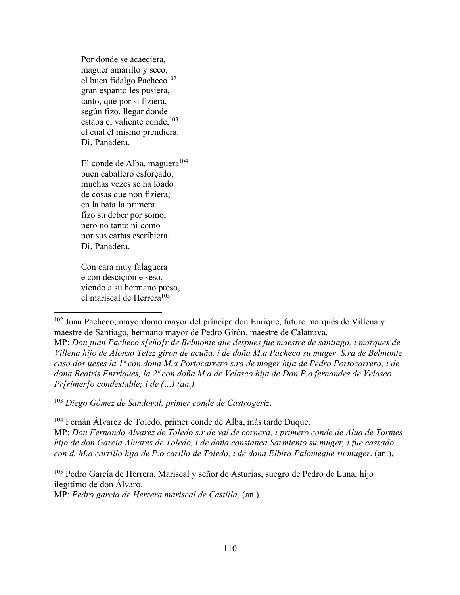Por donde se acaeçiera, maguer amarillo y seco, el buen fidalgo Pacheco $102$ gran espanto les pusiera, tanto, que por sí fiziera, según fizo, llegar donde estaba el valiente conde, $103$ el cual él mismo prendiera. Di, Panadera.

El conde de Alba, maguera<sup>104</sup> buen caballero esforçado, muchas vezes se ha loado de cosas que non fiziera; en la batalla primera fizo su deber por somo, pero no tanto ni como por sus cartas escribiera. Di, Panadera.

Con cara muy falaguera e con desciçión e seso, viendo a su hermano preso, el mariscal de Herrera<sup>105</sup>

<sup>102</sup> Juan Pacheco, mayordomo mayor del príncipe don Enrique, futuro marqués de Villena y maestre de Santiago, hermano mayor de Pedro Girón, maestre de Calatrava. MP: *Don juan Pacheco s[eño]r de Belmonte que despues fue maestre de santiago, i marques de* 

*Villena hijo de Alonso Telez giron de acuña, i de doña M.a Pacheco su muger S.ra de Belmonte caso dos ueses la 1ª con dona M.a Portocarrero s.ra de moger hija de Pedro Portocarrero, i de dona Beatris Enrriques, la 2ª con doña M.a de Velasco hija de Don P.o fernandes de Velasco Pr[rimer]o condestable; i de (…) (an.).* 

<sup>103</sup> *Diego Gómez de Sandoval, primer conde de Castrogeriz*.

<sup>104</sup> Fernán Álvarez de Toledo, primer conde de Alba, más tarde Duque. MP: *Don Fernando Alvarez de Toledo s.r de val de cornexa, i primero conde de Alua de Tormes hijo de don Garcia Aluares de Toledo, i de doña constança Sarmiento su muger, i fue cassado con d. M.a carrillo hija de P.o carillo de Toledo, i de dona Elbira Palomeque su muger*. (an.).

<sup>105</sup> Pedro García de Herrera, Mariscal y señor de Asturias, suegro de Pedro de Luna, hijo ilegítimo de don Álvaro.

MP: *Pedro garcia de Herrera mariscal de Castilla*. (an.).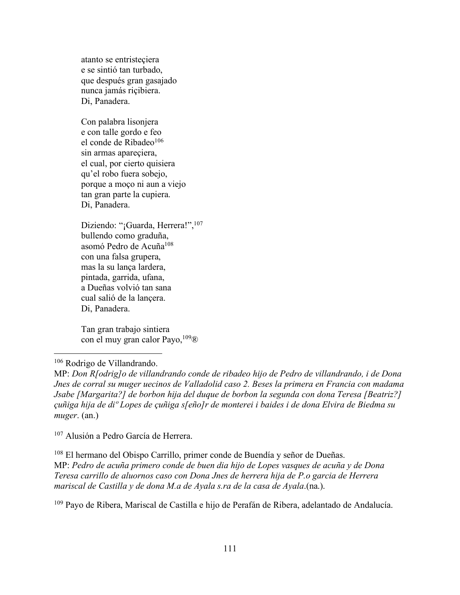atanto se entristeçiera e se sintió tan turbado, que después gran gasajado nunca jamás riçibiera. Di, Panadera.

Con palabra lisonjera e con talle gordo e feo el conde de Ribadeo<sup>106</sup> sin armas apareçiera, el cual, por cierto quisiera qu'el robo fuera sobejo, porque a moço ni aun a viejo tan gran parte la cupiera. Di, Panadera.

Diziendo: "¡Guarda, Herrera!",<sup>107</sup> bullendo como graduña, asomó Pedro de Acuña<sup>108</sup> con una falsa grupera, mas la su lança lardera, pintada, garrida, ufana, a Dueñas volvió tan sana cual salió de la lançera. Di, Panadera.

Tan gran trabajo sintiera con el muy gran calor Payo,  $109\&$ 

## 106 Rodrigo de Villandrando.

MP: *Don R[odrig]o de villandrando conde de ribadeo hijo de Pedro de villandrando, i de Dona Jnes de corral su muger uecinos de Valladolid caso 2. Beses la primera en Francia con madama Jsabe [Margarita?] de borbon hija del duque de borbon la segunda con dona Teresa [Beatriz?] çuñiga hija de diº Lopes de çuñiga s[eño]r de monterei i baides i de dona Elvira de Biedma su muger*. (an.)

<sup>107</sup> Alusión a Pedro García de Herrera.

<sup>108</sup> El hermano del Obispo Carrillo, primer conde de Buendía y señor de Dueñas. MP: *Pedro de acuña primero conde de buen dia hijo de Lopes vasques de acuña y de Dona Teresa carrillo de aluornos caso con Dona Jnes de herrera hija de P.o garcia de Herrera mariscal de Castilla y de dona M.a de Ayala s.ra de la casa de Ayala*.(na.).

<sup>109</sup> Payo de Ribera, Mariscal de Castilla e hijo de Perafán de Ribera, adelantado de Andalucía.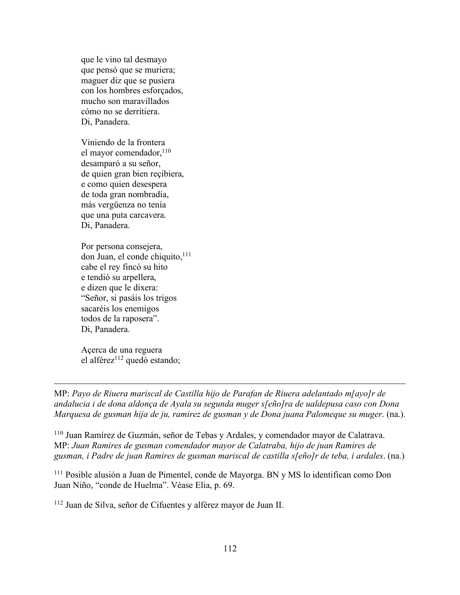que le vino tal desmayo que pensó que se muriera; maguer diz que se pusiera con los hombres esforçados, mucho son maravillados cómo no se derritiera. Di, Panadera.

Viniendo de la frontera el mayor comendador, $110$ desamparó a su señor, de quien gran bien reçibiera, e como quien desespera de toda gran nombradía, más vergüenza no tenía que una puta carcavera. Di, Panadera.

Por persona consejera, don Juan, el conde chiquito, 111 cabe el rey fincó su hito e tendió su arpellera, e dizen que le dixera: "Señor, si pasáis los trigos sacaréis los enemigos todos de la raposera". Di, Panadera.

Açerca de una reguera el alférez $112$  quedó estando;

 $\overline{a}$ 

MP: *Payo de Riuera mariscal de Castilla hijo de Parafan de Riuera adelantado m[ayo]r de andalucia i de dona aldonça de Ayala su segunda muger s[eño]ra de ualdepusa caso con Dona Marquesa de gusman hija de ju, ramirez de gusman y de Dona juana Palomeque su muger*. (na.).

<sup>110</sup> Juan Ramírez de Guzmán, señor de Tebas y Ardales, y comendador mayor de Calatrava. MP: *Juan Ramires de gusman comendador mayor de Calatraba, hijo de juan Ramires de gusman, i Padre de juan Ramires de gusman mariscal de castilla s[eño]r de teba, i ardales*. (na.)

<sup>111</sup> Posible alusión a Juan de Pimentel, conde de Mayorga. BN y MS lo identifican como Don Juan Niño, "conde de Huelma". Véase Elia, p. 69.

<sup>112</sup> Juan de Silva, señor de Cifuentes y alférez mayor de Juan II.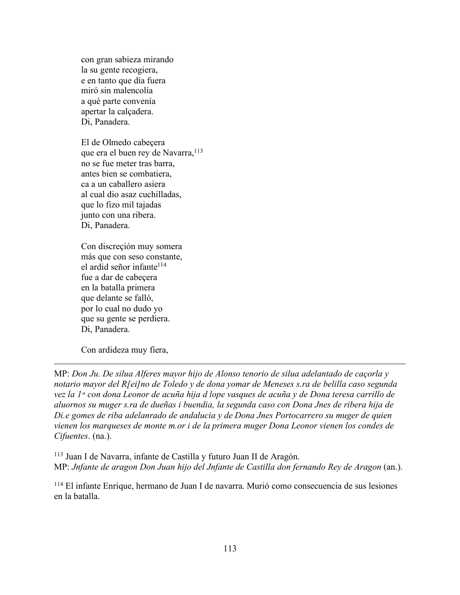con gran sabieza mirando la su gente recogiera, e en tanto que día fuera miró sin malencolía a qué parte convenía apertar la calçadera. Di, Panadera.

El de Olmedo cabeçera que era el buen rey de Navarra,<sup>113</sup> no se fue meter tras barra, antes bien se combatiera, ca a un caballero asiera al cual dio asaz cuchilladas, que lo fizo mil tajadas junto con una ribera. Di, Panadera.

Con discreçión muy somera más que con seso constante, el ardid señor infante<sup>114</sup> fue a dar de cabeçera en la batalla primera que delante se falló, por lo cual no dudo yo que su gente se perdiera. Di, Panadera.

Con ardideza muy fiera,

 $\overline{a}$ 

MP: *Don Ju. De silua Alferes mayor hijo de Alonso tenorio de silua adelantado de caçorla y notario mayor del R[ei]no de Toledo y de dona yomar de Meneses s.ra de belilla caso segunda vez la 1ᵃ con dona Leonor de acuña hija d lope vasques de acuña y de Dona teresa carrillo de aluornos su muger s.ra de dueñas i buendia, la segunda caso con Dona Jnes de ribera hija de Di.e gomes de riba adelanrado de andalucia y de Dona Jnes Portocarrero su muger de quien vienen los marqueses de monte m.or i de la primera muger Dona Leonor vienen los condes de Cifuentes*. (na.).

<sup>113</sup> Juan I de Navarra, infante de Castilla y futuro Juan II de Aragón. MP: *Jnfante de aragon Don Juan hijo del Jnfante de Castilla don fernando Rey de Aragon* (an.).

<sup>114</sup> El infante Enrique, hermano de Juan I de navarra. Murió como consecuencia de sus lesiones en la batalla.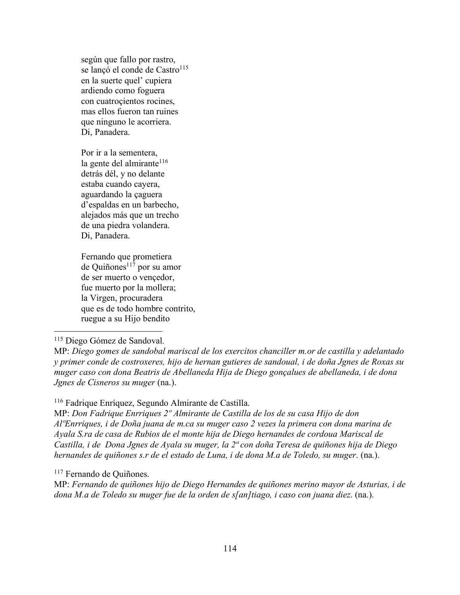según que fallo por rastro, se lançó el conde de Castro<sup>115</sup> en la suerte quel' cupiera ardiendo como foguera con cuatroçientos rocines, mas ellos fueron tan ruines que ninguno le acorriera. Di, Panadera.

Por ir a la sementera, la gente del almirante<sup>116</sup> detrás dél, y no delante estaba cuando cayera, aguardando la çaguera d'espaldas en un barbecho, alejados más que un trecho de una piedra volandera. Di, Panadera.

Fernando que prometiera  $de Quiñones<sup>117</sup> por su amor$ de ser muerto o vençedor, fue muerto por la mollera; la Virgen, procuradera que es de todo hombre contrito, ruegue a su Hijo bendito

## 115 Diego Gómez de Sandoval.

## <sup>116</sup> Fadrique Enríquez, Segundo Almirante de Castilla.

MP: *Don Fadrique Enrriques 2º Almirante de Castilla de los de su casa Hijo de don AlºEnrriques, i de Doña juana de m.ca su muger caso 2 vezes la primera con dona marina de Ayala S.ra de casa de Rubios de el monte hija de Diego hernandes de cordoua Mariscal de Castilla, i de Dona Jgnes de Ayala su muger, la 2ª con doña Teresa de quiñones hija de Diego hernandes de quiñones s.r de el estado de Luna, i de dona M.a de Toledo, su muger*. (na.).

#### <sup>117</sup> Fernando de Quiñones.

MP: *Fernando de quiñones hijo de Diego Hernandes de quiñones merino mayor de Asturias, i de dona M.a de Toledo su muger fue de la orden de s[an]tiago, i caso con juana diez*. (na.).

MP: *Diego gomes de sandobal mariscal de los exercitos chanciller m.or de castilla y adelantado y primer conde de costroxeres, hijo de hernan gutieres de sandoual, i de doña Jgnes de Roxas su muger caso con dona Beatris de Abellaneda Hija de Diego gonçalues de abellaneda, i de dona Jgnes de Cisneros su muger* (na.).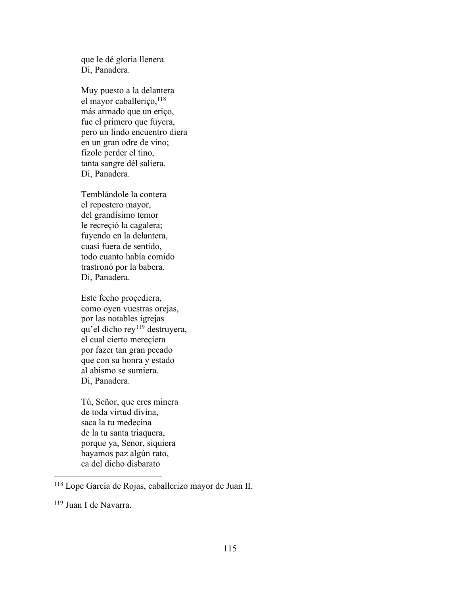que le dé gloria llenera. Di, Panadera.

Muy puesto a la delantera el mayor caballeriço, $118$ más armado que un eriço, fue el primero que fuyera, pero un lindo encuentro diera en un gran odre de vino; fízole perder el tino, tanta sangre dél saliera. Di, Panadera.

Temblándole la contera el repostero mayor, del grandísimo temor le recreçió la cagalera; fuyendo en la delantera, cuasi fuera de sentido, todo cuanto había comido trastronó por la babera. Di, Panadera.

Este fecho proçediera, como oyen vuestras orejas, por las notables igrejas qu'el dicho rey<sup>119</sup> destruyera, el cual cierto mereçiera por fazer tan gran pecado que con su honra y estado al abismo se sumiera. Di, Panadera.

Tú, Señor, que eres minera de toda virtud divina, saca la tu medecina de la tu santa triaquera, porque ya, Senor, siquiera hayamos paz algún rato, ca del dicho disbarato

 <sup>118</sup> Lope García de Rojas, caballerizo mayor de Juan II.

<sup>119</sup> Juan I de Navarra.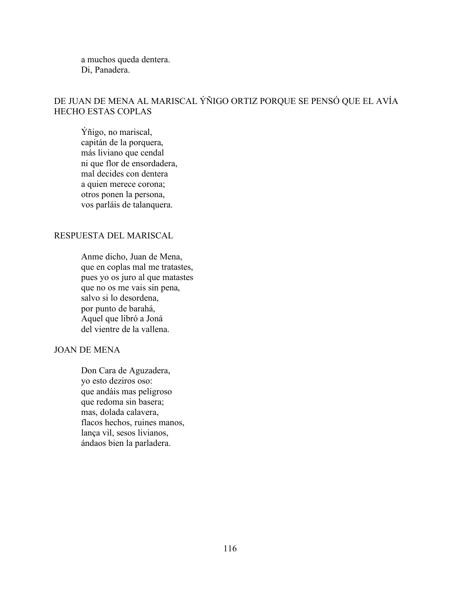a muchos queda dentera. Di, Panadera.

# DE JUAN DE MENA AL MARISCAL ÝÑIGO ORTIZ PORQUE SE PENSÓ QUE EL AVÍA HECHO ESTAS COPLAS

Ýñigo, no mariscal, capitán de la porquera, más liviano que cendal ni que flor de ensordadera, mal decides con dentera a quien merece corona; otros ponen la persona, vos parláis de talanquera.

## RESPUESTA DEL MARISCAL

Anme dicho, Juan de Mena, que en coplas mal me tratastes, pues yo os juro al que matastes que no os me vais sin pena, salvo si lo desordena, por punto de barahá, Aquel que libró a Joná del vientre de la vallena.

## JOAN DE MENA

Don Cara de Aguzadera, yo esto deziros oso: que andáis mas peligroso que redoma sin basera; mas, dolada calavera, flacos hechos, ruines manos, lança vil, sesos livianos, ándaos bien la parladera.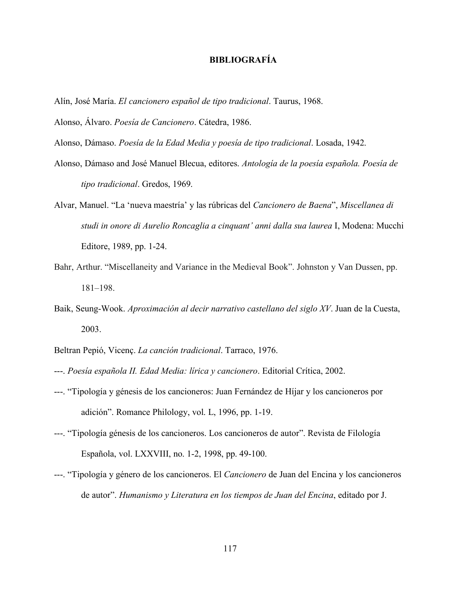## **BIBLIOGRAFÍA**

- Alín, José María. *El cancionero español de tipo tradicional*. Taurus, 1968.
- Alonso, Álvaro. *Poesía de Cancionero*. Cátedra, 1986.
- Alonso, Dámaso. *Poesía de la Edad Media y poesía de tipo tradicional*. Losada, 1942.
- Alonso, Dámaso and José Manuel Blecua, editores. *Antología de la poesía española. Poesía de tipo tradicional*. Gredos, 1969.
- Alvar, Manuel. "La 'nueva maestría' y las rúbricas del *Cancionero de Baena*", *Miscellanea di studi in onore di Aurelio Roncaglia a cinquant' anni dalla sua laurea* I, Modena: Mucchi Editore, 1989, pp. 1-24.
- Bahr, Arthur. "Miscellaneity and Variance in the Medieval Book". Johnston y Van Dussen, pp. 181–198.
- Baik, Seung-Wook. *Aproximación al decir narrativo castellano del siglo XV*. Juan de la Cuesta, 2003.
- Beltran Pepió, Vicenç. *La canción tradicional*. Tarraco, 1976.
- ---. *Poesía española II. Edad Media: lírica y cancionero*. Editorial Crítica, 2002.
- ---. "Tipología y génesis de los cancioneros: Juan Fernández de Híjar y los cancioneros por adición". Romance Philology, vol. L, 1996, pp. 1-19.
- ---. "Tipología génesis de los cancioneros. Los cancioneros de autor". Revista de Filología Española, vol. LXXVIII, no. 1-2, 1998, pp. 49-100.
- ---. "Tipología y género de los cancioneros. El *Cancionero* de Juan del Encina y los cancioneros de autor". *Humanismo y Literatura en los tiempos de Juan del Encina*, editado por J.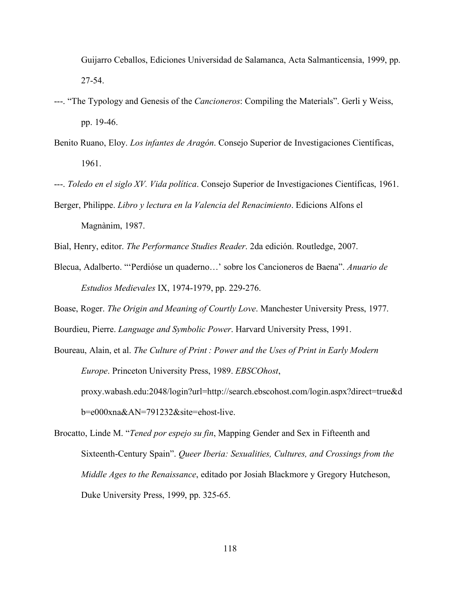Guijarro Ceballos, Ediciones Universidad de Salamanca, Acta Salmanticensia, 1999, pp. 27-54.

- ---. "The Typology and Genesis of the *Cancioneros*: Compiling the Materials". Gerli y Weiss, pp. 19-46.
- Benito Ruano, Eloy. *Los infantes de Aragón*. Consejo Superior de Investigaciones Científicas, 1961.
- ---. *Toledo en el siglo XV. Vida política*. Consejo Superior de Investigaciones Científicas, 1961.
- Berger, Philippe. *Libro y lectura en la Valencia del Renacimiento*. Edicions Alfons el Magnànim, 1987.
- Bial, Henry, editor. *The Performance Studies Reader*. 2da edición. Routledge, 2007.
- Blecua, Adalberto. "'Perdióse un quaderno…' sobre los Cancioneros de Baena". *Anuario de Estudios Medievales* IX, 1974-1979, pp. 229-276.
- Boase, Roger. *The Origin and Meaning of Courtly Love*. Manchester University Press, 1977.
- Bourdieu, Pierre. *Language and Symbolic Power*. Harvard University Press, 1991.
- Boureau, Alain, et al. *The Culture of Print : Power and the Uses of Print in Early Modern Europe*. Princeton University Press, 1989. *EBSCOhost*, proxy.wabash.edu:2048/login?url=http://search.ebscohost.com/login.aspx?direct=true&d b=e000xna&AN=791232&site=ehost-live.
- Brocatto, Linde M. "*Tened por espejo su fin*, Mapping Gender and Sex in Fifteenth and Sixteenth-Century Spain". *Queer Iberia: Sexualities, Cultures, and Crossings from the Middle Ages to the Renaissance*, editado por Josiah Blackmore y Gregory Hutcheson, Duke University Press, 1999, pp. 325-65.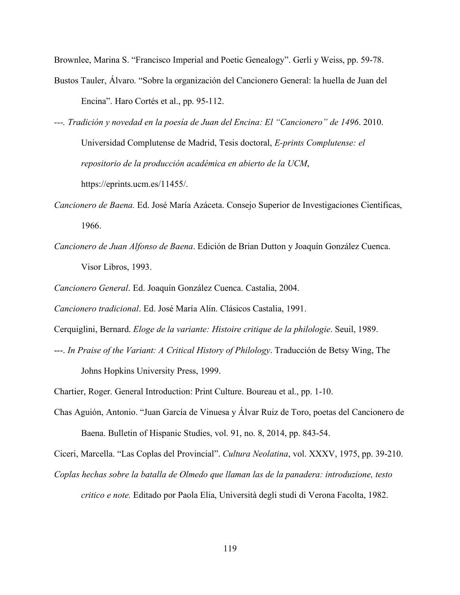Brownlee, Marina S. "Francisco Imperial and Poetic Genealogy". Gerli y Weiss, pp. 59-78.

- Bustos Tauler, Álvaro. "Sobre la organización del Cancionero General: la huella de Juan del Encina". Haro Cortés et al., pp. 95-112.
- *---. Tradición y novedad en la poesía de Juan del Encina: El "Cancionero" de 1496*. 2010. Universidad Complutense de Madrid, Tesis doctoral, *E-prints Complutense: el repositorio de la producción académica en abierto de la UCM*, https://eprints.ucm.es/11455/.
- *Cancionero de Baena.* Ed. José María Azáceta. Consejo Superior de Investigaciones Científicas, 1966.
- *Cancionero de Juan Alfonso de Baena*. Edición de Brian Dutton y Joaquín González Cuenca. Visor Libros, 1993.

*Cancionero General*. Ed. Joaquín González Cuenca. Castalia, 2004.

*Cancionero tradicional*. Ed. José María Alín. Clásicos Castalia, 1991.

Cerquiglini, Bernard. *Eloge de la variante: Histoire critique de la philologie*. Seuil, 1989.

---. *In Praise of the Variant: A Critical History of Philology*. Traducción de Betsy Wing, The Johns Hopkins University Press, 1999.

Chartier, Roger. General Introduction: Print Culture. Boureau et al., pp. 1-10.

Chas Aguión, Antonio. "Juan García de Vinuesa y Álvar Ruiz de Toro, poetas del Cancionero de Baena. Bulletin of Hispanic Studies, vol. 91, no. 8, 2014, pp. 843-54.

Ciceri, Marcella. "Las Coplas del Provincial". *Cultura Neolatina*, vol. XXXV, 1975, pp. 39-210. *Coplas hechas sobre la batalla de Olmedo que llaman las de la panadera: introduzione, testo* 

*critico e note.* Editado por Paola Elia, Università degli studi di Verona Facolta, 1982.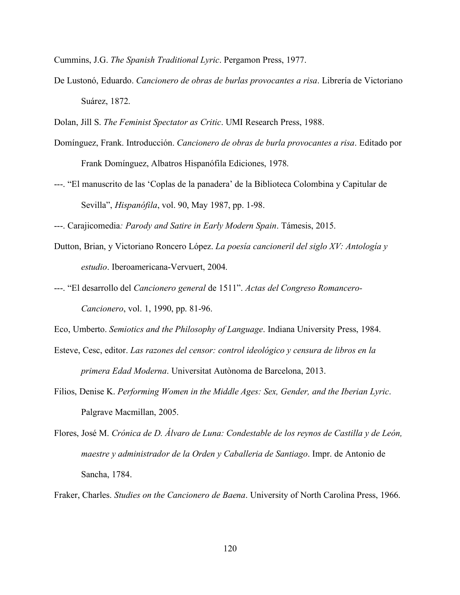Cummins, J.G. *The Spanish Traditional Lyric*. Pergamon Press, 1977.

- De Lustonó, Eduardo. *Cancionero de obras de burlas provocantes a risa*. Librería de Victoriano Suárez, 1872.
- Dolan, Jill S. *The Feminist Spectator as Critic*. UMI Research Press, 1988.
- Domínguez, Frank. Introducción. *Cancionero de obras de burla provocantes a risa*. Editado por Frank Domínguez, Albatros Hispanófila Ediciones, 1978.
- ---. "El manuscrito de las 'Coplas de la panadera' de la Biblioteca Colombina y Capitular de Sevilla", *Hispanófila*, vol. 90, May 1987, pp. 1-98.
- ---. Carajicomedia*: Parody and Satire in Early Modern Spain*. Támesis, 2015.
- Dutton, Brian, y Victoriano Roncero López. *La poesía cancioneril del siglo XV: Antología y estudio*. Iberoamericana-Vervuert, 2004.
- ---. "El desarrollo del *Cancionero general* de 1511". *Actas del Congreso Romancero-Cancionero*, vol. 1, 1990, pp. 81-96.

Eco, Umberto. *Semiotics and the Philosophy of Language*. Indiana University Press, 1984.

- Esteve, Cesc, editor. *Las razones del censor: control ideológico y censura de libros en la primera Edad Moderna*. Universitat Autònoma de Barcelona, 2013.
- Filios, Denise K. *Performing Women in the Middle Ages: Sex, Gender, and the Iberian Lyric*. Palgrave Macmillan, 2005.
- Flores, José M. *Crónica de D. Álvaro de Luna: Condestable de los reynos de Castilla y de León, maestre y administrador de la Orden y Caballeria de Santiago*. Impr. de Antonio de Sancha, 1784.

Fraker, Charles. *Studies on the Cancionero de Baena*. University of North Carolina Press, 1966.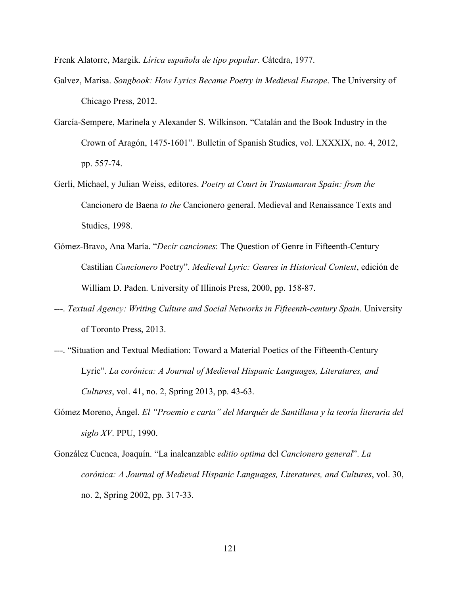Frenk Alatorre, Margik. *Lírica española de tipo popular*. Cátedra, 1977.

- Galvez, Marisa. *Songbook: How Lyrics Became Poetry in Medieval Europe*. The University of Chicago Press, 2012.
- García-Sempere, Marinela y Alexander S. Wilkinson. "Catalán and the Book Industry in the Crown of Aragón, 1475-1601". Bulletin of Spanish Studies, vol. LXXXIX, no. 4, 2012, pp. 557-74.
- Gerli, Michael, y Julian Weiss, editores. *Poetry at Court in Trastamaran Spain: from the*  Cancionero de Baena *to the* Cancionero general. Medieval and Renaissance Texts and Studies, 1998.
- Gómez-Bravo, Ana María. "*Decir canciones*: The Question of Genre in Fifteenth-Century Castilian *Cancionero* Poetry". *Medieval Lyric: Genres in Historical Context*, edición de William D. Paden. University of Illinois Press, 2000, pp. 158-87.
- ---. *Textual Agency: Writing Culture and Social Networks in Fifteenth-century Spain*. University of Toronto Press, 2013.
- ---. "Situation and Textual Mediation: Toward a Material Poetics of the Fifteenth-Century Lyric". *La corónica: A Journal of Medieval Hispanic Languages, Literatures, and Cultures*, vol. 41, no. 2, Spring 2013, pp. 43-63.
- Gómez Moreno, Ángel. *El "Proemio e carta" del Marqués de Santillana y la teoría literaria del siglo XV*. PPU, 1990.
- González Cuenca, Joaquín. "La inalcanzable *editio optima* del *Cancionero general*". *La corónica: A Journal of Medieval Hispanic Languages, Literatures, and Cultures*, vol. 30, no. 2, Spring 2002, pp. 317-33.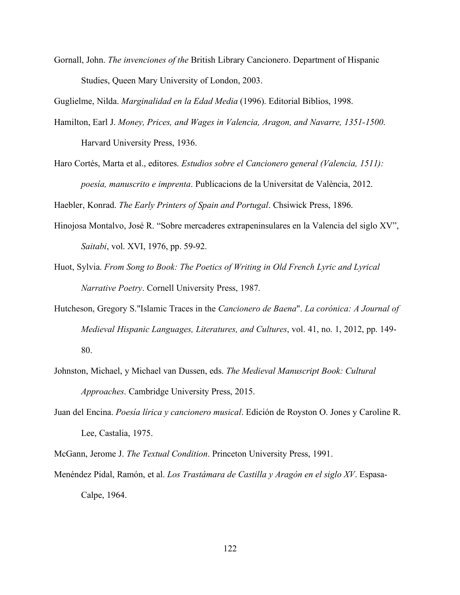Gornall, John. *The invenciones of the* British Library Cancionero. Department of Hispanic Studies, Queen Mary University of London, 2003.

Guglielme, Nilda. *Marginalidad en la Edad Media* (1996). Editorial Biblios, 1998.

- Hamilton, Earl J. *Money, Prices, and Wages in Valencia, Aragon, and Navarre, 1351-1500*. Harvard University Press, 1936.
- Haro Cortés, Marta et al., editores. *Estudios sobre el Cancionero general (Valencia, 1511): poesía, manuscrito e imprenta*. Publicacions de la Universitat de València, 2012.

Haebler, Konrad. *The Early Printers of Spain and Portugal*. Chsiwick Press, 1896.

- Hinojosa Montalvo, José R. "Sobre mercaderes extrapeninsulares en la Valencia del siglo XV", *Saitabi*, vol. XVI, 1976, pp. 59-92.
- Huot, Sylvia. *From Song to Book: The Poetics of Writing in Old French Lyric and Lyrical Narrative Poetry*. Cornell University Press, 1987.
- Hutcheson, Gregory S."Islamic Traces in the *Cancionero de Baena*". *La corónica: A Journal of Medieval Hispanic Languages, Literatures, and Cultures*, vol. 41, no. 1, 2012, pp. 149- 80.
- Johnston, Michael, y Michael van Dussen, eds. *The Medieval Manuscript Book: Cultural Approaches*. Cambridge University Press, 2015.
- Juan del Encina. *Poesía lírica y cancionero musical*. Edición de Royston O. Jones y Caroline R. Lee, Castalia, 1975.
- McGann, Jerome J. *The Textual Condition*. Princeton University Press, 1991.
- Menéndez Pidal, Ramón, et al. *Los Trastámara de Castilla y Aragón en el siglo XV*. Espasa-Calpe, 1964.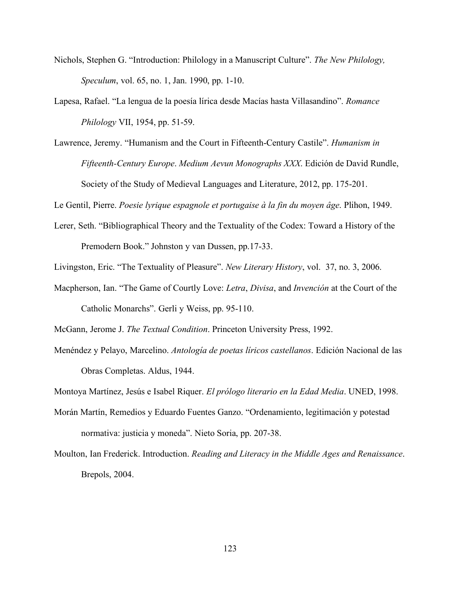- Nichols, Stephen G. "Introduction: Philology in a Manuscript Culture". *The New Philology, Speculum*, vol. 65, no. 1, Jan. 1990, pp. 1-10.
- Lapesa, Rafael. "La lengua de la poesía lírica desde Macías hasta Villasandino". *Romance Philology* VII, 1954, pp. 51-59.
- Lawrence, Jeremy. "Humanism and the Court in Fifteenth-Century Castile". *Humanism in Fifteenth-Century Europe*. *Medium Aevun Monographs XXX*. Edición de David Rundle, Society of the Study of Medieval Languages and Literature, 2012, pp. 175-201.

Le Gentil, Pierre. *Poesie lyrique espagnole et portugaise à la fin du moyen âge*. Plihon, 1949.

- Lerer, Seth. "Bibliographical Theory and the Textuality of the Codex: Toward a History of the Premodern Book." Johnston y van Dussen, pp.17-33.
- Livingston, Eric. "The Textuality of Pleasure". *New Literary History*, vol. 37, no. 3, 2006.
- Macpherson, Ian. "The Game of Courtly Love: *Letra*, *Divisa*, and *Invención* at the Court of the Catholic Monarchs". Gerli y Weiss, pp. 95-110.

McGann, Jerome J. *The Textual Condition*. Princeton University Press, 1992.

Menéndez y Pelayo, Marcelino. *Antología de poetas líricos castellanos*. Edición Nacional de las Obras Completas. Aldus, 1944.

Montoya Martínez, Jesús e Isabel Riquer. *El prólogo literario en la Edad Media*. UNED, 1998.

- Morán Martín, Remedios y Eduardo Fuentes Ganzo. "Ordenamiento, legitimación y potestad normativa: justicia y moneda". Nieto Soria, pp. 207-38.
- Moulton, Ian Frederick. Introduction. *Reading and Literacy in the Middle Ages and Renaissance*. Brepols, 2004.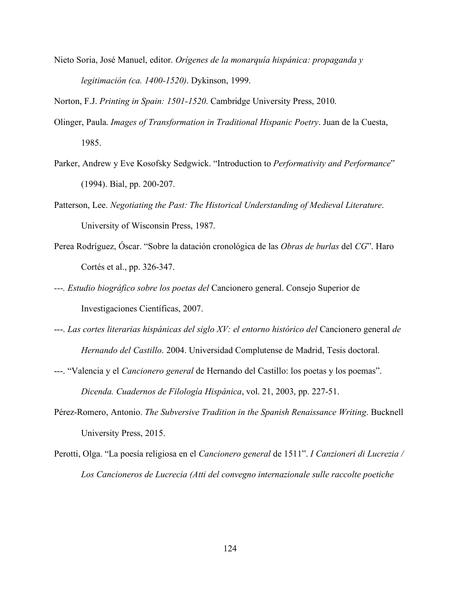Nieto Soria, José Manuel, editor. *Orígenes de la monarquía hispánica: propaganda y legitimación (ca. 1400-1520)*. Dykinson, 1999.

Norton, F.J. *Printing in Spain: 1501-1520*. Cambridge University Press, 2010.

- Olinger, Paula. *Images of Transformation in Traditional Hispanic Poetry*. Juan de la Cuesta, 1985.
- Parker, Andrew y Eve Kosofsky Sedgwick. "Introduction to *Performativity and Performance*" (1994). Bial, pp. 200-207.
- Patterson, Lee. *Negotiating the Past: The Historical Understanding of Medieval Literature*. University of Wisconsin Press, 1987.
- Perea Rodríguez, Óscar. "Sobre la datación cronológica de las *Obras de burlas* del *CG*". Haro Cortés et al., pp. 326-347.
- *---. Estudio biográfico sobre los poetas del* Cancionero general. Consejo Superior de Investigaciones Científicas, 2007.
- ---. *Las cortes literarias hispánicas del siglo XV: el entorno histórico del* Cancionero general *de Hernando del Castillo*. 2004. Universidad Complutense de Madrid, Tesis doctoral.
- ---. "Valencia y el *Cancionero general* de Hernando del Castillo: los poetas y los poemas". *Dicenda. Cuadernos de Filología Hispánica*, vol. 21, 2003, pp. 227-51.
- Pérez-Romero, Antonio. *The Subversive Tradition in the Spanish Renaissance Writing*. Bucknell University Press, 2015.
- Perotti, Olga. "La poesía religiosa en el *Cancionero general* de 1511". *I Canzioneri di Lucrezia / Los Cancioneros de Lucrecia (Atti del convegno internazionale sulle raccolte poetiche*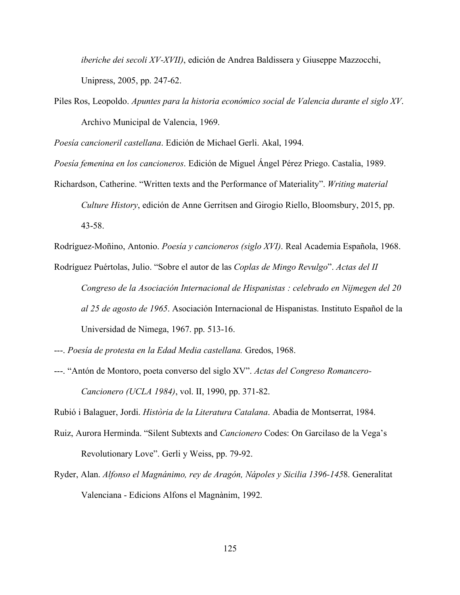*iberiche dei secoli XV-XVII)*, edición de Andrea Baldissera y Giuseppe Mazzocchi, Unipress, 2005, pp. 247-62.

Piles Ros, Leopoldo. *Apuntes para la historia económico social de Valencia durante el siglo XV*. Archivo Municipal de Valencia, 1969.

*Poesía cancioneril castellana*. Edición de Michael Gerli. Akal, 1994.

*Poesía femenina en los cancioneros*. Edición de Miguel Ángel Pérez Priego. Castalia, 1989.

Richardson, Catherine. "Written texts and the Performance of Materiality". *Writing material Culture History*, edición de Anne Gerritsen and Girogio Riello, Bloomsbury, 2015, pp. 43-58.

Rodríguez-Moñino, Antonio. *Poesía y cancioneros (siglo XVI)*. Real Academia Española, 1968.

Rodríguez Puértolas, Julio. "Sobre el autor de las *Coplas de Mingo Revulgo*". *Actas del II Congreso de la Asociación Internacional de Hispanistas : celebrado en Nijmegen del 20 al 25 de agosto de 1965*. Asociación Internacional de Hispanistas. Instituto Español de la Universidad de Nimega, 1967. pp. 513-16.

- ---. *Poesía de protesta en la Edad Media castellana.* Gredos, 1968.
- ---. "Antón de Montoro, poeta converso del siglo XV". *Actas del Congreso Romancero-Cancionero (UCLA 1984)*, vol. II, 1990, pp. 371-82.

Rubió i Balaguer, Jordi. *Història de la Literatura Catalana*. Abadia de Montserrat, 1984.

- Ruiz, Aurora Herminda. "Silent Subtexts and *Cancionero* Codes: On Garcilaso de la Vega's Revolutionary Love". Gerli y Weiss, pp. 79-92.
- Ryder, Alan. *Alfonso el Magnánimo, rey de Aragón, Nápoles y Sicilia 1396-145*8. Generalitat Valenciana - Edicions Alfons el Magnànim, 1992.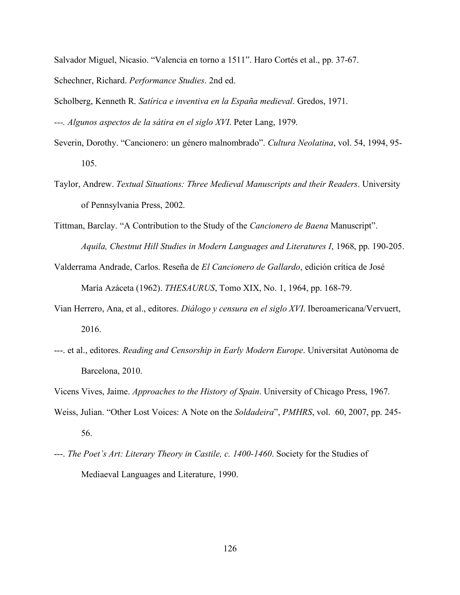Salvador Miguel, Nicasio. "Valencia en torno a 1511". Haro Cortés et al., pp. 37-67. Schechner, Richard. *Performance Studies*. 2nd ed.

Scholberg, Kenneth R. *Satírica e inventiva en la España medieval*. Gredos, 1971.

*---. Algunos aspectos de la sátira en el siglo XVI*. Peter Lang, 1979.

- Severin, Dorothy. "Cancionero: un género malnombrado". *Cultura Neolatina*, vol. 54, 1994, 95- 105.
- Taylor, Andrew. *Textual Situations: Three Medieval Manuscripts and their Readers*. University of Pennsylvania Press, 2002.
- Tittman, Barclay. "A Contribution to the Study of the *Cancionero de Baena* Manuscript". *Aquila, Chestnut Hill Studies in Modern Languages and Literatures I*, 1968, pp. 190-205.
- Valderrama Andrade, Carlos. Reseña de *El Cancionero de Gallardo*, edición crítica de José María Azáceta (1962). *THESAURUS*, Tomo XIX, No. 1, 1964, pp. 168-79.
- Vian Herrero, Ana, et al., editores. *Diálogo y censura en el siglo XVI*. Iberoamericana/Vervuert, 2016.
- ---. et al., editores. *Reading and Censorship in Early Modern Europe*. Universitat Autònoma de Barcelona, 2010.
- Vicens Vives, Jaime. *Approaches to the History of Spain*. University of Chicago Press, 1967.
- Weiss, Julian. "Other Lost Voices: A Note on the *Soldadeira*", *PMHRS*, vol. 60, 2007, pp. 245- 56.
- ---. *The Poet's Art: Literary Theory in Castile, c. 1400-1460*. Society for the Studies of Mediaeval Languages and Literature, 1990.